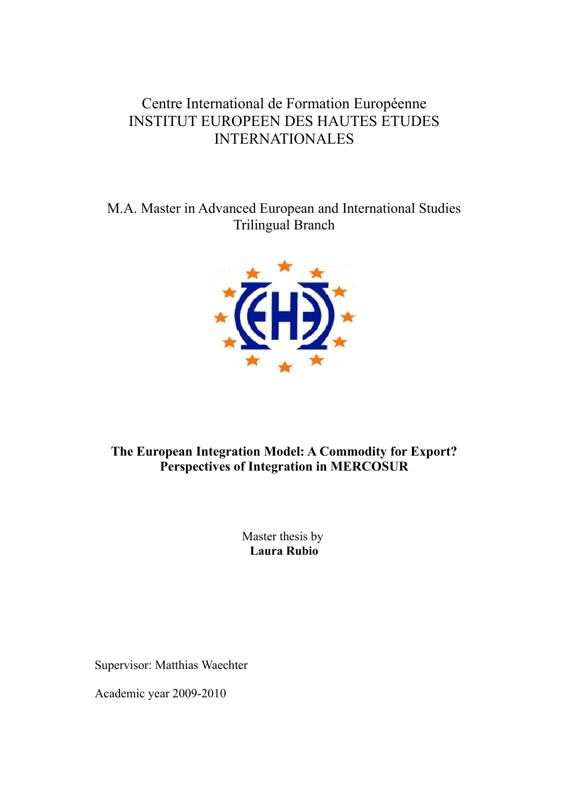# Centre International de Formation Européenne INSTITUT EUROPEEN DES HAUTES ETUDES INTERNATIONALES

M.A. Master in Advanced European and International Studies Trilingual Branch



# **The European Integration Model: A Commodity for Export? Perspectives of Integration in MERCOSUR**

Master thesis by **Laura Rubio**

Supervisor: Matthias Waechter

Academic year 2009-2010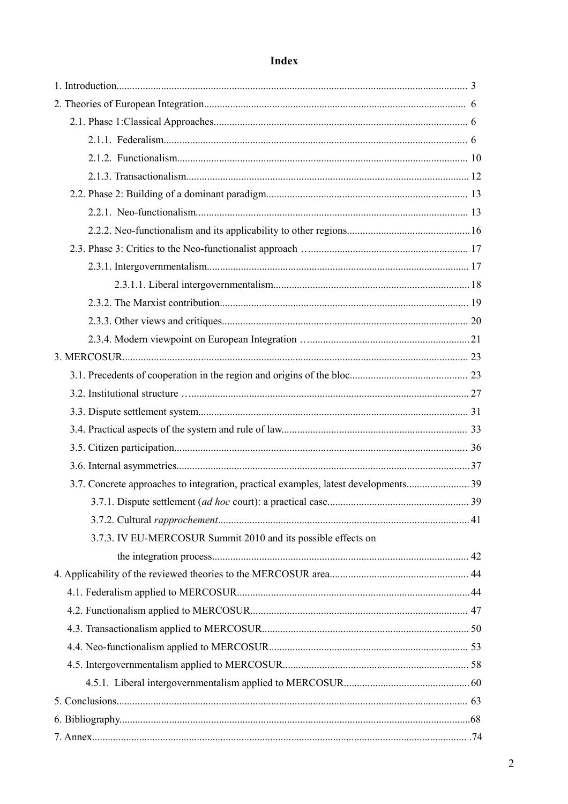# Index

| 3.7. Concrete approaches to integration, practical examples, latest developments39 |  |
|------------------------------------------------------------------------------------|--|
|                                                                                    |  |
|                                                                                    |  |
| 3.7.3. IV EU-MERCOSUR Summit 2010 and its possible effects on                      |  |
|                                                                                    |  |
|                                                                                    |  |
|                                                                                    |  |
|                                                                                    |  |
|                                                                                    |  |
|                                                                                    |  |
|                                                                                    |  |
|                                                                                    |  |
|                                                                                    |  |
|                                                                                    |  |
|                                                                                    |  |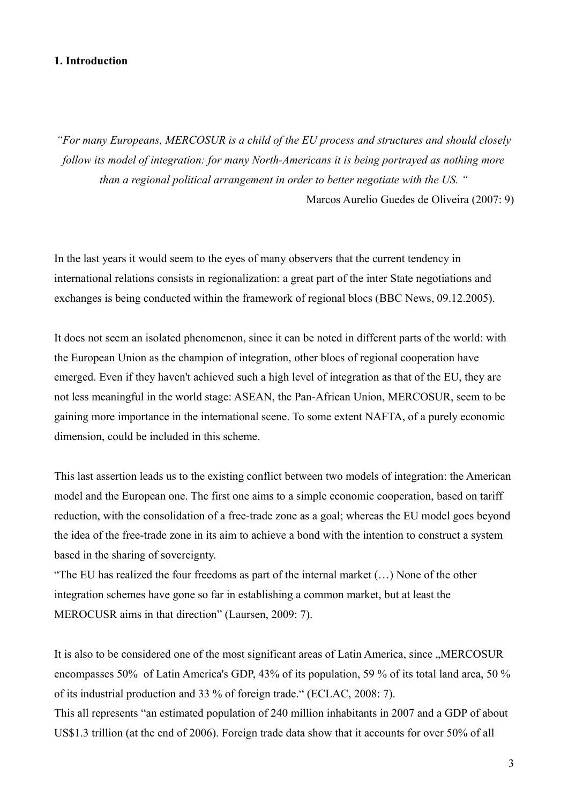#### **1. Introduction**

*"For many Europeans, MERCOSUR is a child of the EU process and structures and should closely follow its model of integration: for many North-Americans it is being portrayed as nothing more than a regional political arrangement in order to better negotiate with the US. "*

Marcos Aurelio Guedes de Oliveira (2007: 9)

In the last years it would seem to the eyes of many observers that the current tendency in international relations consists in regionalization: a great part of the inter State negotiations and exchanges is being conducted within the framework of regional blocs (BBC News, 09.12.2005).

It does not seem an isolated phenomenon, since it can be noted in different parts of the world: with the European Union as the champion of integration, other blocs of regional cooperation have emerged. Even if they haven't achieved such a high level of integration as that of the EU, they are not less meaningful in the world stage: ASEAN, the Pan-African Union, MERCOSUR, seem to be gaining more importance in the international scene. To some extent NAFTA, of a purely economic dimension, could be included in this scheme.

This last assertion leads us to the existing conflict between two models of integration: the American model and the European one. The first one aims to a simple economic cooperation, based on tariff reduction, with the consolidation of a free-trade zone as a goal; whereas the EU model goes beyond the idea of the free-trade zone in its aim to achieve a bond with the intention to construct a system based in the sharing of sovereignty.

"The EU has realized the four freedoms as part of the internal market (…) None of the other integration schemes have gone so far in establishing a common market, but at least the MEROCUSR aims in that direction" (Laursen, 2009: 7).

It is also to be considered one of the most significant areas of Latin America, since "MERCOSUR encompasses 50% of Latin America's GDP, 43% of its population, 59 % of its total land area, 50 % of its industrial production and 33 % of foreign trade." (ECLAC, 2008: 7).

This all represents "an estimated population of 240 million inhabitants in 2007 and a GDP of about US\$1.3 trillion (at the end of 2006). Foreign trade data show that it accounts for over 50% of all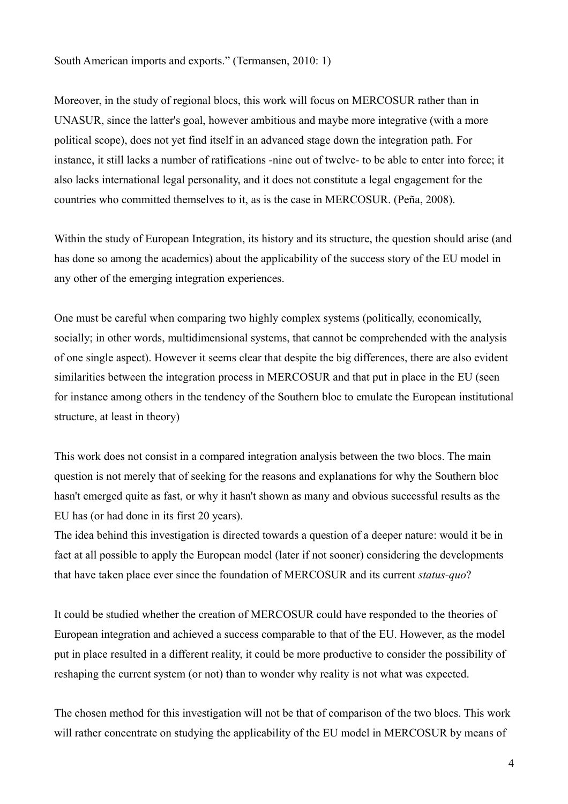South American imports and exports." (Termansen, 2010: 1)

Moreover, in the study of regional blocs, this work will focus on MERCOSUR rather than in UNASUR, since the latter's goal, however ambitious and maybe more integrative (with a more political scope), does not yet find itself in an advanced stage down the integration path. For instance, it still lacks a number of ratifications -nine out of twelve- to be able to enter into force; it also lacks international legal personality, and it does not constitute a legal engagement for the countries who committed themselves to it, as is the case in MERCOSUR. (Peña, 2008).

Within the study of European Integration, its history and its structure, the question should arise (and has done so among the academics) about the applicability of the success story of the EU model in any other of the emerging integration experiences.

One must be careful when comparing two highly complex systems (politically, economically, socially; in other words, multidimensional systems, that cannot be comprehended with the analysis of one single aspect). However it seems clear that despite the big differences, there are also evident similarities between the integration process in MERCOSUR and that put in place in the EU (seen for instance among others in the tendency of the Southern bloc to emulate the European institutional structure, at least in theory)

This work does not consist in a compared integration analysis between the two blocs. The main question is not merely that of seeking for the reasons and explanations for why the Southern bloc hasn't emerged quite as fast, or why it hasn't shown as many and obvious successful results as the EU has (or had done in its first 20 years).

The idea behind this investigation is directed towards a question of a deeper nature: would it be in fact at all possible to apply the European model (later if not sooner) considering the developments that have taken place ever since the foundation of MERCOSUR and its current *status-quo*?

It could be studied whether the creation of MERCOSUR could have responded to the theories of European integration and achieved a success comparable to that of the EU. However, as the model put in place resulted in a different reality, it could be more productive to consider the possibility of reshaping the current system (or not) than to wonder why reality is not what was expected.

The chosen method for this investigation will not be that of comparison of the two blocs. This work will rather concentrate on studying the applicability of the EU model in MERCOSUR by means of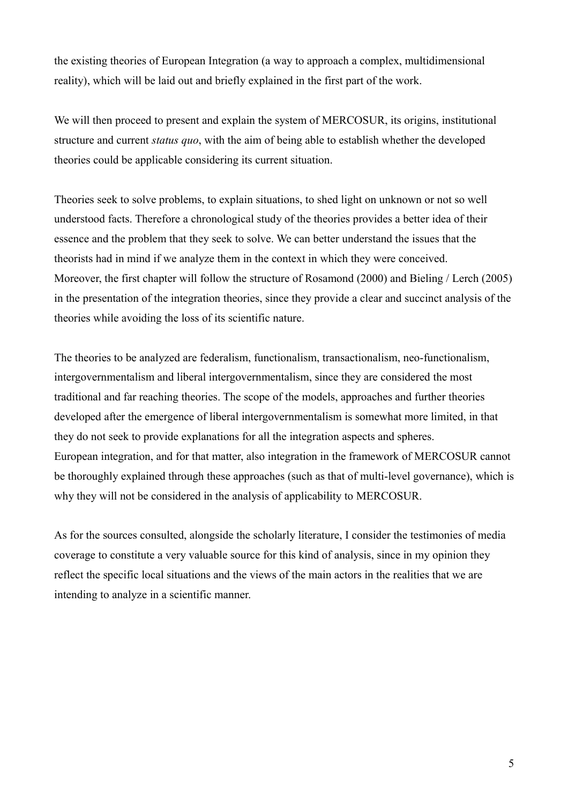the existing theories of European Integration (a way to approach a complex, multidimensional reality), which will be laid out and briefly explained in the first part of the work.

We will then proceed to present and explain the system of MERCOSUR, its origins, institutional structure and current *status quo*, with the aim of being able to establish whether the developed theories could be applicable considering its current situation.

Theories seek to solve problems, to explain situations, to shed light on unknown or not so well understood facts. Therefore a chronological study of the theories provides a better idea of their essence and the problem that they seek to solve. We can better understand the issues that the theorists had in mind if we analyze them in the context in which they were conceived. Moreover, the first chapter will follow the structure of Rosamond (2000) and Bieling / Lerch (2005) in the presentation of the integration theories, since they provide a clear and succinct analysis of the theories while avoiding the loss of its scientific nature.

The theories to be analyzed are federalism, functionalism, transactionalism, neo-functionalism, intergovernmentalism and liberal intergovernmentalism, since they are considered the most traditional and far reaching theories. The scope of the models, approaches and further theories developed after the emergence of liberal intergovernmentalism is somewhat more limited, in that they do not seek to provide explanations for all the integration aspects and spheres. European integration, and for that matter, also integration in the framework of MERCOSUR cannot be thoroughly explained through these approaches (such as that of multi-level governance), which is why they will not be considered in the analysis of applicability to MERCOSUR.

As for the sources consulted, alongside the scholarly literature, I consider the testimonies of media coverage to constitute a very valuable source for this kind of analysis, since in my opinion they reflect the specific local situations and the views of the main actors in the realities that we are intending to analyze in a scientific manner.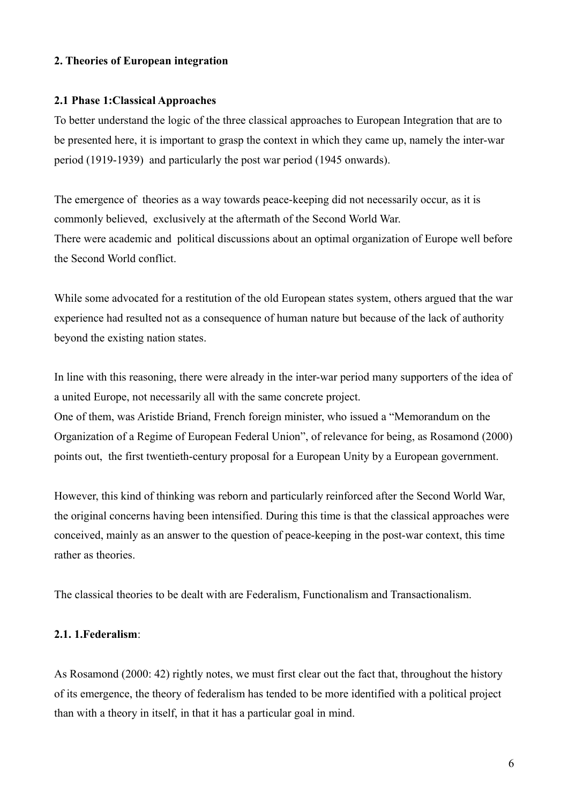### **2. Theories of European integration**

#### **2.1 Phase 1:Classical Approaches**

To better understand the logic of the three classical approaches to European Integration that are to be presented here, it is important to grasp the context in which they came up, namely the inter-war period (1919-1939) and particularly the post war period (1945 onwards).

The emergence of theories as a way towards peace-keeping did not necessarily occur, as it is commonly believed, exclusively at the aftermath of the Second World War. There were academic and political discussions about an optimal organization of Europe well before the Second World conflict.

While some advocated for a restitution of the old European states system, others argued that the war experience had resulted not as a consequence of human nature but because of the lack of authority beyond the existing nation states.

In line with this reasoning, there were already in the inter-war period many supporters of the idea of a united Europe, not necessarily all with the same concrete project.

One of them, was Aristide Briand, French foreign minister, who issued a "Memorandum on the Organization of a Regime of European Federal Union", of relevance for being, as Rosamond (2000) points out, the first twentieth-century proposal for a European Unity by a European government.

However, this kind of thinking was reborn and particularly reinforced after the Second World War, the original concerns having been intensified. During this time is that the classical approaches were conceived, mainly as an answer to the question of peace-keeping in the post-war context, this time rather as theories.

The classical theories to be dealt with are Federalism, Functionalism and Transactionalism.

## **2.1. 1.Federalism**:

As Rosamond (2000: 42) rightly notes, we must first clear out the fact that, throughout the history of its emergence, the theory of federalism has tended to be more identified with a political project than with a theory in itself, in that it has a particular goal in mind.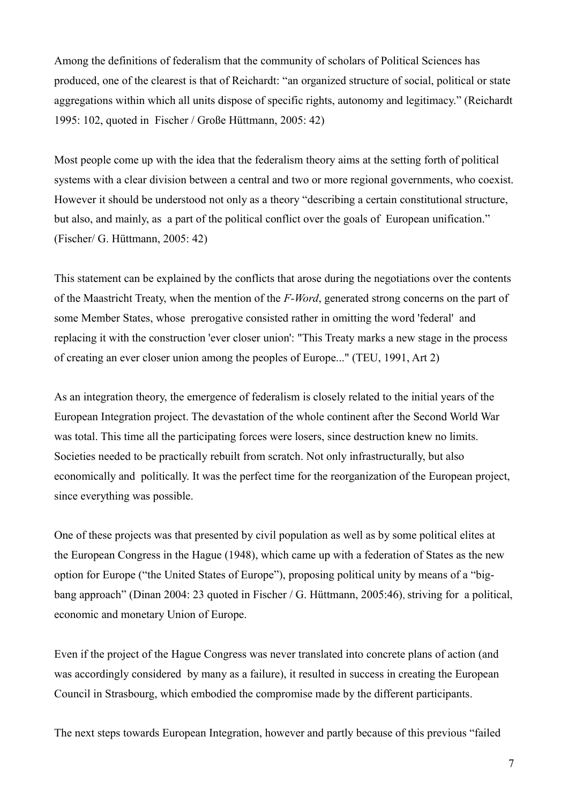Among the definitions of federalism that the community of scholars of Political Sciences has produced, one of the clearest is that of Reichardt: "an organized structure of social, political or state aggregations within which all units dispose of specific rights, autonomy and legitimacy." (Reichardt 1995: 102, quoted in Fischer / Große Hüttmann, 2005: 42)

Most people come up with the idea that the federalism theory aims at the setting forth of political systems with a clear division between a central and two or more regional governments, who coexist. However it should be understood not only as a theory "describing a certain constitutional structure, but also, and mainly, as a part of the political conflict over the goals of European unification." (Fischer/ G. Hüttmann, 2005: 42)

This statement can be explained by the conflicts that arose during the negotiations over the contents of the Maastricht Treaty, when the mention of the *F-Word*, generated strong concerns on the part of some Member States, whose prerogative consisted rather in omitting the word 'federal' and replacing it with the construction 'ever closer union': "This Treaty marks a new stage in the process of creating an ever closer union among the peoples of Europe..." (TEU, 1991, Art 2)

As an integration theory, the emergence of federalism is closely related to the initial years of the European Integration project. The devastation of the whole continent after the Second World War was total. This time all the participating forces were losers, since destruction knew no limits. Societies needed to be practically rebuilt from scratch. Not only infrastructurally, but also economically and politically. It was the perfect time for the reorganization of the European project, since everything was possible.

One of these projects was that presented by civil population as well as by some political elites at the European Congress in the Hague (1948), which came up with a federation of States as the new option for Europe ("the United States of Europe"), proposing political unity by means of a "bigbang approach" (Dinan 2004: 23 quoted in Fischer / G. Hüttmann, 2005:46), striving for a political, economic and monetary Union of Europe.

Even if the project of the Hague Congress was never translated into concrete plans of action (and was accordingly considered by many as a failure), it resulted in success in creating the European Council in Strasbourg, which embodied the compromise made by the different participants.

The next steps towards European Integration, however and partly because of this previous "failed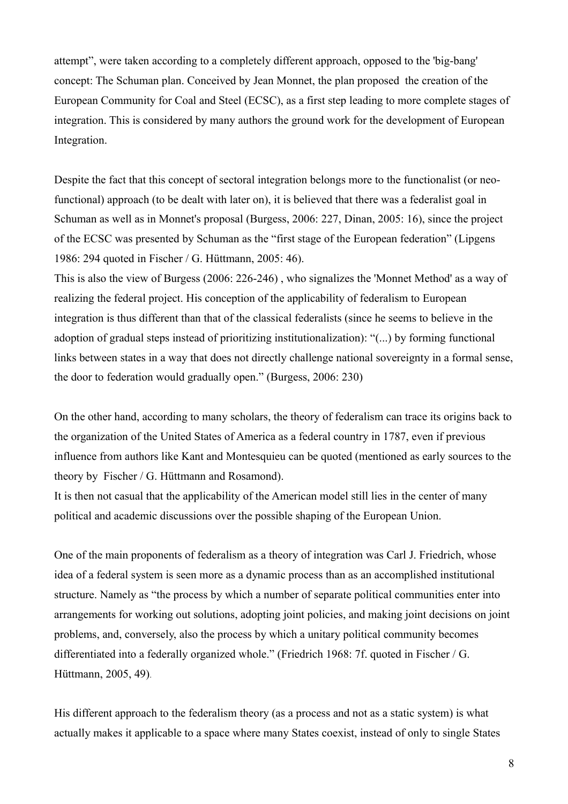attempt", were taken according to a completely different approach, opposed to the 'big-bang' concept: The Schuman plan. Conceived by Jean Monnet, the plan proposed the creation of the European Community for Coal and Steel (ECSC), as a first step leading to more complete stages of integration. This is considered by many authors the ground work for the development of European Integration.

Despite the fact that this concept of sectoral integration belongs more to the functionalist (or neofunctional) approach (to be dealt with later on), it is believed that there was a federalist goal in Schuman as well as in Monnet's proposal (Burgess, 2006: 227, Dinan, 2005: 16), since the project of the ECSC was presented by Schuman as the "first stage of the European federation" (Lipgens 1986: 294 quoted in Fischer / G. Hüttmann, 2005: 46).

This is also the view of Burgess (2006: 226-246) , who signalizes the 'Monnet Method' as a way of realizing the federal project. His conception of the applicability of federalism to European integration is thus different than that of the classical federalists (since he seems to believe in the adoption of gradual steps instead of prioritizing institutionalization): "(...) by forming functional links between states in a way that does not directly challenge national sovereignty in a formal sense, the door to federation would gradually open." (Burgess, 2006: 230)

On the other hand, according to many scholars, the theory of federalism can trace its origins back to the organization of the United States of America as a federal country in 1787, even if previous influence from authors like Kant and Montesquieu can be quoted (mentioned as early sources to the theory by Fischer / G. Hüttmann and Rosamond).

It is then not casual that the applicability of the American model still lies in the center of many political and academic discussions over the possible shaping of the European Union.

One of the main proponents of federalism as a theory of integration was Carl J. Friedrich, whose idea of a federal system is seen more as a dynamic process than as an accomplished institutional structure. Namely as "the process by which a number of separate political communities enter into arrangements for working out solutions, adopting joint policies, and making joint decisions on joint problems, and, conversely, also the process by which a unitary political community becomes differentiated into a federally organized whole." (Friedrich 1968: 7f. quoted in Fischer / G. Hüttmann, 2005, 49).

His different approach to the federalism theory (as a process and not as a static system) is what actually makes it applicable to a space where many States coexist, instead of only to single States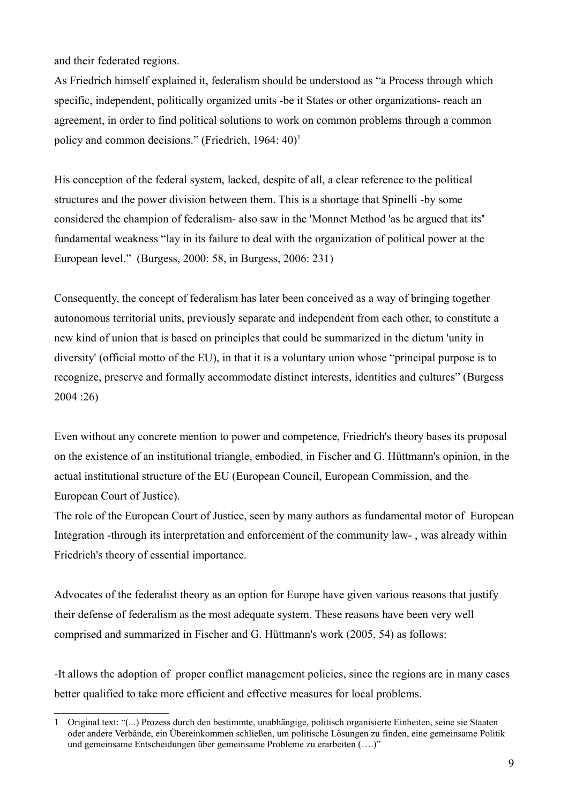and their federated regions.

As Friedrich himself explained it, federalism should be understood as "a Process through which specific, independent, politically organized units -be it States or other organizations- reach an agreement, in order to find political solutions to work on common problems through a common policy and common decisions." (Friedrich, [1](#page-8-0)964:  $40$ )<sup>1</sup>

His conception of the federal system, lacked, despite of all, a clear reference to the political structures and the power division between them. This is a shortage that Spinelli -by some considered the champion of federalism- also saw in the 'Monnet Method 'as he argued that its**'** fundamental weakness "lay in its failure to deal with the organization of political power at the European level." (Burgess, 2000: 58, in Burgess, 2006: 231)

Consequently, the concept of federalism has later been conceived as a way of bringing together autonomous territorial units, previously separate and independent from each other, to constitute a new kind of union that is based on principles that could be summarized in the dictum 'unity in diversity' (official motto of the EU), in that it is a voluntary union whose "principal purpose is to recognize, preserve and formally accommodate distinct interests, identities and cultures" (Burgess 2004 :26)

Even without any concrete mention to power and competence, Friedrich's theory bases its proposal on the existence of an institutional triangle, embodied, in Fischer and G. Hüttmann's opinion, in the actual institutional structure of the EU (European Council, European Commission, and the European Court of Justice).

The role of the European Court of Justice, seen by many authors as fundamental motor of European Integration -through its interpretation and enforcement of the community law- , was already within Friedrich's theory of essential importance.

Advocates of the federalist theory as an option for Europe have given various reasons that justify their defense of federalism as the most adequate system. These reasons have been very well comprised and summarized in Fischer and G. Hüttmann's work (2005, 54) as follows:

-It allows the adoption of proper conflict management policies, since the regions are in many cases better qualified to take more efficient and effective measures for local problems.

<span id="page-8-0"></span><sup>1</sup> Original text: "(...) Prozess durch den bestimmte, unabhängige, politisch organisierte Einheiten, seine sie Staaten oder andere Verbände, ein Übereinkommen schließen, um politische Lösungen zu finden, eine gemeinsame Politik und gemeinsame Entscheidungen über gemeinsame Probleme zu erarbeiten (….)"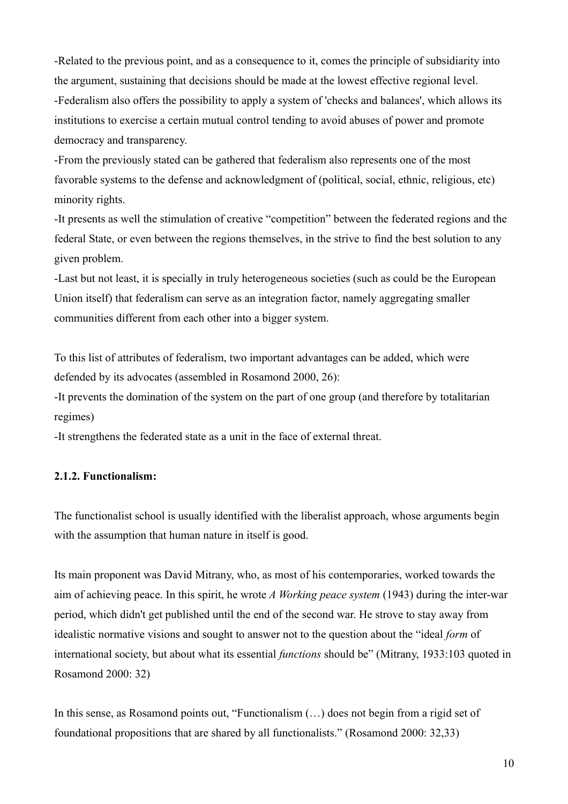-Related to the previous point, and as a consequence to it, comes the principle of subsidiarity into the argument, sustaining that decisions should be made at the lowest effective regional level. -Federalism also offers the possibility to apply a system of 'checks and balances', which allows its institutions to exercise a certain mutual control tending to avoid abuses of power and promote democracy and transparency.

-From the previously stated can be gathered that federalism also represents one of the most favorable systems to the defense and acknowledgment of (political, social, ethnic, religious, etc) minority rights.

-It presents as well the stimulation of creative "competition" between the federated regions and the federal State, or even between the regions themselves, in the strive to find the best solution to any given problem.

-Last but not least, it is specially in truly heterogeneous societies (such as could be the European Union itself) that federalism can serve as an integration factor, namely aggregating smaller communities different from each other into a bigger system.

To this list of attributes of federalism, two important advantages can be added, which were defended by its advocates (assembled in Rosamond 2000, 26):

-It prevents the domination of the system on the part of one group (and therefore by totalitarian regimes)

-It strengthens the federated state as a unit in the face of external threat.

## **2.1.2. Functionalism:**

The functionalist school is usually identified with the liberalist approach, whose arguments begin with the assumption that human nature in itself is good.

Its main proponent was David Mitrany, who, as most of his contemporaries, worked towards the aim of achieving peace. In this spirit, he wrote *A Working peace system* (1943) during the inter-war period, which didn't get published until the end of the second war. He strove to stay away from idealistic normative visions and sought to answer not to the question about the "ideal *form* of international society, but about what its essential *functions* should be" (Mitrany, 1933:103 quoted in Rosamond 2000: 32)

In this sense, as Rosamond points out, "Functionalism (…) does not begin from a rigid set of foundational propositions that are shared by all functionalists." (Rosamond 2000: 32,33)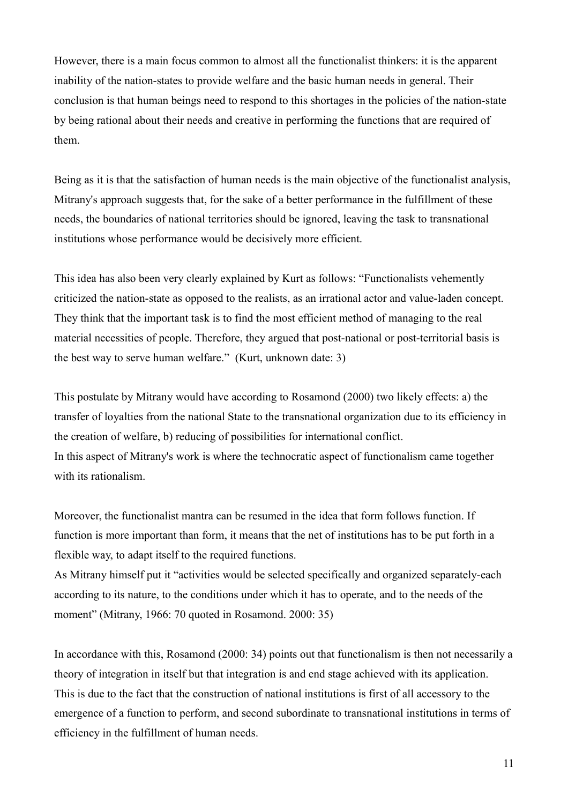However, there is a main focus common to almost all the functionalist thinkers: it is the apparent inability of the nation-states to provide welfare and the basic human needs in general. Their conclusion is that human beings need to respond to this shortages in the policies of the nation-state by being rational about their needs and creative in performing the functions that are required of them.

Being as it is that the satisfaction of human needs is the main objective of the functionalist analysis, Mitrany's approach suggests that, for the sake of a better performance in the fulfillment of these needs, the boundaries of national territories should be ignored, leaving the task to transnational institutions whose performance would be decisively more efficient.

This idea has also been very clearly explained by Kurt as follows: "Functionalists vehemently criticized the nation-state as opposed to the realists, as an irrational actor and value-laden concept. They think that the important task is to find the most efficient method of managing to the real material necessities of people. Therefore, they argued that post-national or post-territorial basis is the best way to serve human welfare." (Kurt, unknown date: 3)

This postulate by Mitrany would have according to Rosamond (2000) two likely effects: a) the transfer of loyalties from the national State to the transnational organization due to its efficiency in the creation of welfare, b) reducing of possibilities for international conflict. In this aspect of Mitrany's work is where the technocratic aspect of functionalism came together with its rationalism.

Moreover, the functionalist mantra can be resumed in the idea that form follows function. If function is more important than form, it means that the net of institutions has to be put forth in a flexible way, to adapt itself to the required functions.

As Mitrany himself put it "activities would be selected specifically and organized separately-each according to its nature, to the conditions under which it has to operate, and to the needs of the moment" (Mitrany, 1966: 70 quoted in Rosamond. 2000: 35)

In accordance with this, Rosamond (2000: 34) points out that functionalism is then not necessarily a theory of integration in itself but that integration is and end stage achieved with its application. This is due to the fact that the construction of national institutions is first of all accessory to the emergence of a function to perform, and second subordinate to transnational institutions in terms of efficiency in the fulfillment of human needs.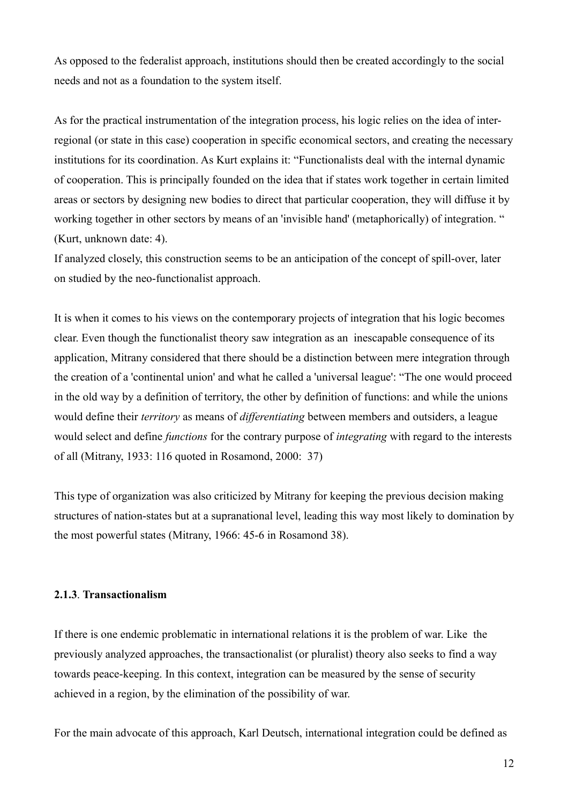As opposed to the federalist approach, institutions should then be created accordingly to the social needs and not as a foundation to the system itself.

As for the practical instrumentation of the integration process, his logic relies on the idea of interregional (or state in this case) cooperation in specific economical sectors, and creating the necessary institutions for its coordination. As Kurt explains it: "Functionalists deal with the internal dynamic of cooperation. This is principally founded on the idea that if states work together in certain limited areas or sectors by designing new bodies to direct that particular cooperation, they will diffuse it by working together in other sectors by means of an 'invisible hand' (metaphorically) of integration. " (Kurt, unknown date: 4).

If analyzed closely, this construction seems to be an anticipation of the concept of spill-over, later on studied by the neo-functionalist approach.

It is when it comes to his views on the contemporary projects of integration that his logic becomes clear. Even though the functionalist theory saw integration as an inescapable consequence of its application, Mitrany considered that there should be a distinction between mere integration through the creation of a 'continental union' and what he called a 'universal league': "The one would proceed in the old way by a definition of territory, the other by definition of functions: and while the unions would define their *territory* as means of *differentiating* between members and outsiders, a league would select and define *functions* for the contrary purpose of *integrating* with regard to the interests of all (Mitrany, 1933: 116 quoted in Rosamond, 2000: 37)

This type of organization was also criticized by Mitrany for keeping the previous decision making structures of nation-states but at a supranational level, leading this way most likely to domination by the most powerful states (Mitrany, 1966: 45-6 in Rosamond 38).

#### **2.1.3**. **Transactionalism**

If there is one endemic problematic in international relations it is the problem of war. Like the previously analyzed approaches, the transactionalist (or pluralist) theory also seeks to find a way towards peace-keeping. In this context, integration can be measured by the sense of security achieved in a region, by the elimination of the possibility of war.

For the main advocate of this approach, Karl Deutsch, international integration could be defined as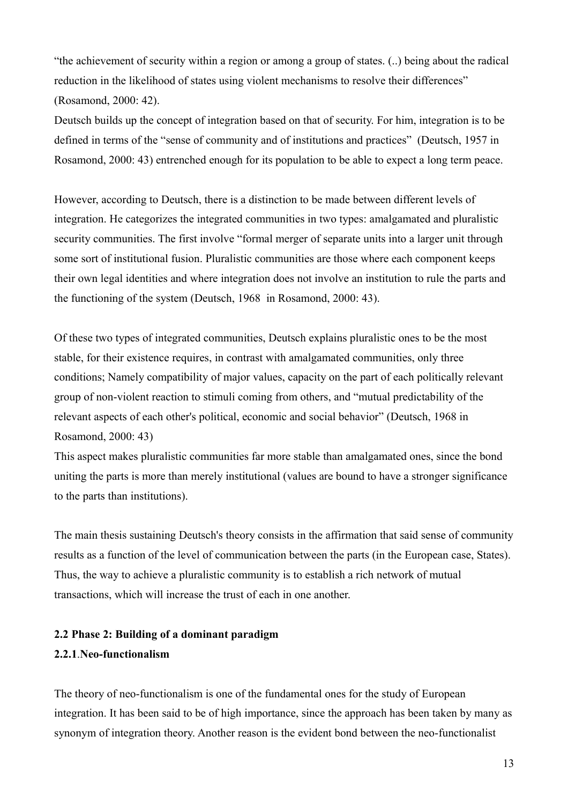"the achievement of security within a region or among a group of states. (..) being about the radical reduction in the likelihood of states using violent mechanisms to resolve their differences" (Rosamond, 2000: 42).

Deutsch builds up the concept of integration based on that of security. For him, integration is to be defined in terms of the "sense of community and of institutions and practices" (Deutsch, 1957 in Rosamond, 2000: 43) entrenched enough for its population to be able to expect a long term peace.

However, according to Deutsch, there is a distinction to be made between different levels of integration. He categorizes the integrated communities in two types: amalgamated and pluralistic security communities. The first involve "formal merger of separate units into a larger unit through some sort of institutional fusion. Pluralistic communities are those where each component keeps their own legal identities and where integration does not involve an institution to rule the parts and the functioning of the system (Deutsch, 1968 in Rosamond, 2000: 43).

Of these two types of integrated communities, Deutsch explains pluralistic ones to be the most stable, for their existence requires, in contrast with amalgamated communities, only three conditions; Namely compatibility of major values, capacity on the part of each politically relevant group of non-violent reaction to stimuli coming from others, and "mutual predictability of the relevant aspects of each other's political, economic and social behavior" (Deutsch, 1968 in Rosamond, 2000: 43)

This aspect makes pluralistic communities far more stable than amalgamated ones, since the bond uniting the parts is more than merely institutional (values are bound to have a stronger significance to the parts than institutions).

The main thesis sustaining Deutsch's theory consists in the affirmation that said sense of community results as a function of the level of communication between the parts (in the European case, States). Thus, the way to achieve a pluralistic community is to establish a rich network of mutual transactions, which will increase the trust of each in one another.

# **2.2 Phase 2: Building of a dominant paradigm 2.2.1**.**Neo-functionalism**

The theory of neo-functionalism is one of the fundamental ones for the study of European integration. It has been said to be of high importance, since the approach has been taken by many as synonym of integration theory. Another reason is the evident bond between the neo-functionalist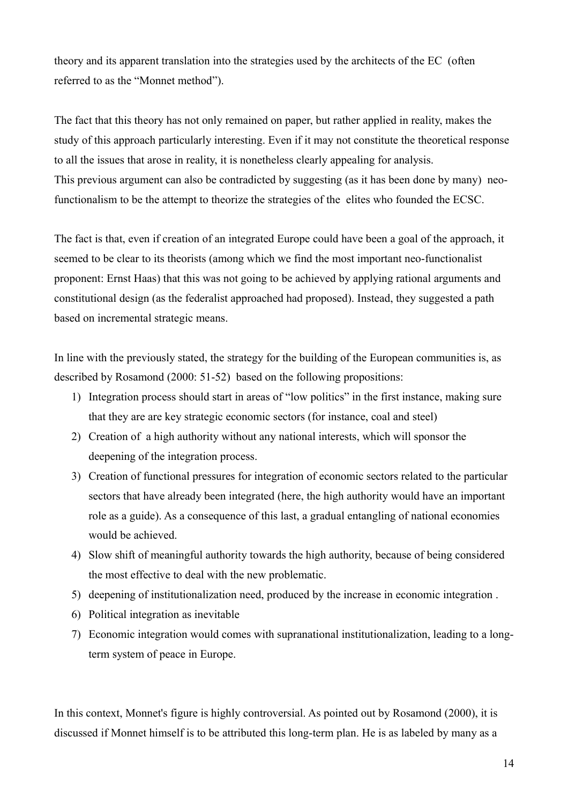theory and its apparent translation into the strategies used by the architects of the EC (often referred to as the "Monnet method").

The fact that this theory has not only remained on paper, but rather applied in reality, makes the study of this approach particularly interesting. Even if it may not constitute the theoretical response to all the issues that arose in reality, it is nonetheless clearly appealing for analysis. This previous argument can also be contradicted by suggesting (as it has been done by many) neofunctionalism to be the attempt to theorize the strategies of the elites who founded the ECSC.

The fact is that, even if creation of an integrated Europe could have been a goal of the approach, it seemed to be clear to its theorists (among which we find the most important neo-functionalist proponent: Ernst Haas) that this was not going to be achieved by applying rational arguments and constitutional design (as the federalist approached had proposed). Instead, they suggested a path based on incremental strategic means.

In line with the previously stated, the strategy for the building of the European communities is, as described by Rosamond (2000: 51-52) based on the following propositions:

- 1) Integration process should start in areas of "low politics" in the first instance, making sure that they are are key strategic economic sectors (for instance, coal and steel)
- 2) Creation of a high authority without any national interests, which will sponsor the deepening of the integration process.
- 3) Creation of functional pressures for integration of economic sectors related to the particular sectors that have already been integrated (here, the high authority would have an important role as a guide). As a consequence of this last, a gradual entangling of national economies would be achieved.
- 4) Slow shift of meaningful authority towards the high authority, because of being considered the most effective to deal with the new problematic.
- 5) deepening of institutionalization need, produced by the increase in economic integration .
- 6) Political integration as inevitable
- 7) Economic integration would comes with supranational institutionalization, leading to a longterm system of peace in Europe.

In this context, Monnet's figure is highly controversial. As pointed out by Rosamond (2000), it is discussed if Monnet himself is to be attributed this long-term plan. He is as labeled by many as a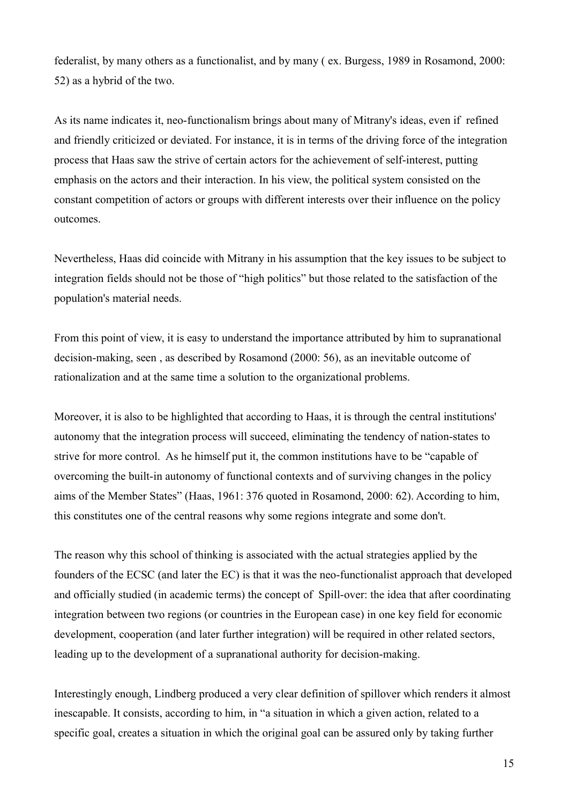federalist, by many others as a functionalist, and by many ( ex. Burgess, 1989 in Rosamond, 2000: 52) as a hybrid of the two.

As its name indicates it, neo-functionalism brings about many of Mitrany's ideas, even if refined and friendly criticized or deviated. For instance, it is in terms of the driving force of the integration process that Haas saw the strive of certain actors for the achievement of self-interest, putting emphasis on the actors and their interaction. In his view, the political system consisted on the constant competition of actors or groups with different interests over their influence on the policy outcomes.

Nevertheless, Haas did coincide with Mitrany in his assumption that the key issues to be subject to integration fields should not be those of "high politics" but those related to the satisfaction of the population's material needs.

From this point of view, it is easy to understand the importance attributed by him to supranational decision-making, seen , as described by Rosamond (2000: 56), as an inevitable outcome of rationalization and at the same time a solution to the organizational problems.

Moreover, it is also to be highlighted that according to Haas, it is through the central institutions' autonomy that the integration process will succeed, eliminating the tendency of nation-states to strive for more control. As he himself put it, the common institutions have to be "capable of overcoming the built-in autonomy of functional contexts and of surviving changes in the policy aims of the Member States" (Haas, 1961: 376 quoted in Rosamond, 2000: 62). According to him, this constitutes one of the central reasons why some regions integrate and some don't.

The reason why this school of thinking is associated with the actual strategies applied by the founders of the ECSC (and later the EC) is that it was the neo-functionalist approach that developed and officially studied (in academic terms) the concept of Spill-over: the idea that after coordinating integration between two regions (or countries in the European case) in one key field for economic development, cooperation (and later further integration) will be required in other related sectors, leading up to the development of a supranational authority for decision-making.

Interestingly enough, Lindberg produced a very clear definition of spillover which renders it almost inescapable. It consists, according to him, in "a situation in which a given action, related to a specific goal, creates a situation in which the original goal can be assured only by taking further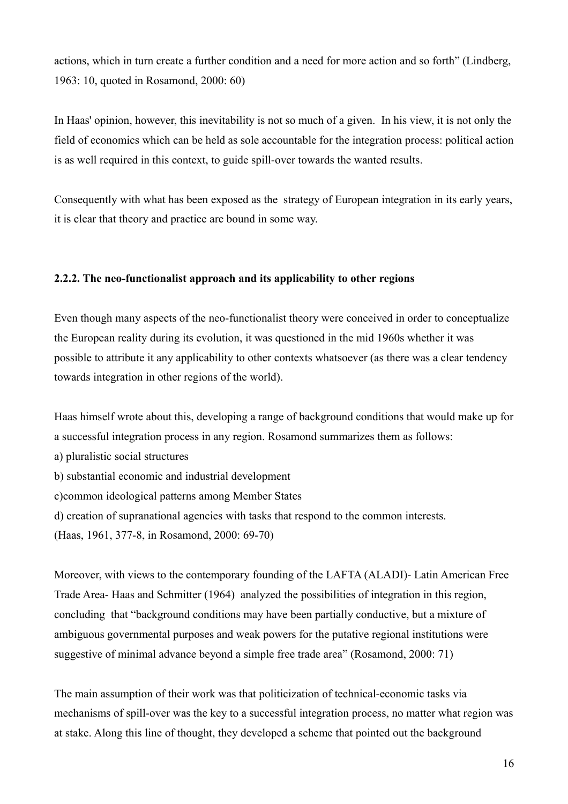actions, which in turn create a further condition and a need for more action and so forth" (Lindberg, 1963: 10, quoted in Rosamond, 2000: 60)

In Haas' opinion, however, this inevitability is not so much of a given. In his view, it is not only the field of economics which can be held as sole accountable for the integration process: political action is as well required in this context, to guide spill-over towards the wanted results.

Consequently with what has been exposed as the strategy of European integration in its early years, it is clear that theory and practice are bound in some way.

# **2.2.2. The neo-functionalist approach and its applicability to other regions**

Even though many aspects of the neo-functionalist theory were conceived in order to conceptualize the European reality during its evolution, it was questioned in the mid 1960s whether it was possible to attribute it any applicability to other contexts whatsoever (as there was a clear tendency towards integration in other regions of the world).

Haas himself wrote about this, developing a range of background conditions that would make up for a successful integration process in any region. Rosamond summarizes them as follows: a) pluralistic social structures b) substantial economic and industrial development c)common ideological patterns among Member States d) creation of supranational agencies with tasks that respond to the common interests. (Haas, 1961, 377-8, in Rosamond, 2000: 69-70)

Moreover, with views to the contemporary founding of the LAFTA (ALADI)- Latin American Free Trade Area- Haas and Schmitter (1964) analyzed the possibilities of integration in this region, concluding that "background conditions may have been partially conductive, but a mixture of ambiguous governmental purposes and weak powers for the putative regional institutions were suggestive of minimal advance beyond a simple free trade area" (Rosamond, 2000: 71)

The main assumption of their work was that politicization of technical-economic tasks via mechanisms of spill-over was the key to a successful integration process, no matter what region was at stake. Along this line of thought, they developed a scheme that pointed out the background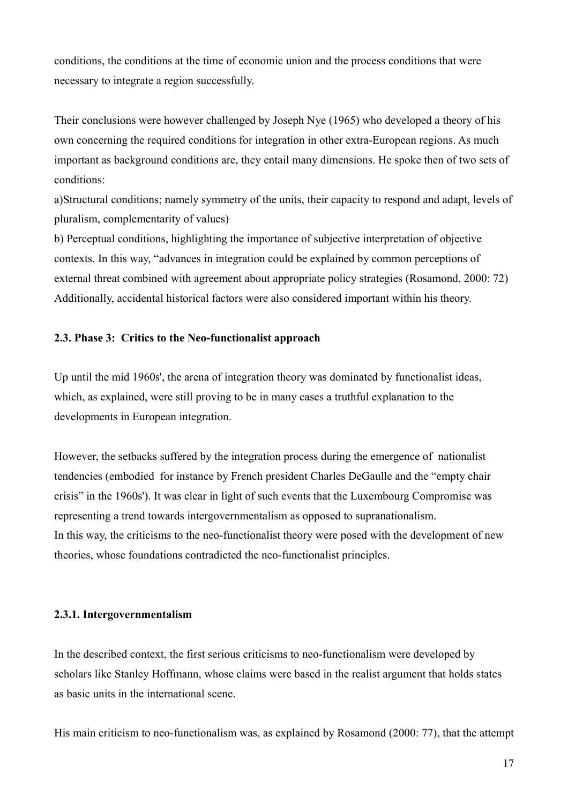conditions, the conditions at the time of economic union and the process conditions that were necessary to integrate a region successfully.

Their conclusions were however challenged by Joseph Nye (1965) who developed a theory of his own concerning the required conditions for integration in other extra-European regions. As much important as background conditions are, they entail many dimensions. He spoke then of two sets of conditions:

a)Structural conditions; namely symmetry of the units, their capacity to respond and adapt, levels of pluralism, complementarity of values)

b) Perceptual conditions, highlighting the importance of subjective interpretation of objective contexts. In this way, "advances in integration could be explained by common perceptions of external threat combined with agreement about appropriate policy strategies (Rosamond, 2000: 72) Additionally, accidental historical factors were also considered important within his theory.

# **2.3. Phase 3: Critics to the Neo-functionalist approach**

Up until the mid 1960s', the arena of integration theory was dominated by functionalist ideas, which, as explained, were still proving to be in many cases a truthful explanation to the developments in European integration.

However, the setbacks suffered by the integration process during the emergence of nationalist tendencies (embodied for instance by French president Charles DeGaulle and the "empty chair crisis" in the 1960s'). It was clear in light of such events that the Luxembourg Compromise was representing a trend towards intergovernmentalism as opposed to supranationalism. In this way, the criticisms to the neo-functionalist theory were posed with the development of new theories, whose foundations contradicted the neo-functionalist principles.

#### **2.3.1. Intergovernmentalism**

In the described context, the first serious criticisms to neo-functionalism were developed by scholars like Stanley Hoffmann, whose claims were based in the realist argument that holds states as basic units in the international scene.

His main criticism to neo-functionalism was, as explained by Rosamond (2000: 77), that the attempt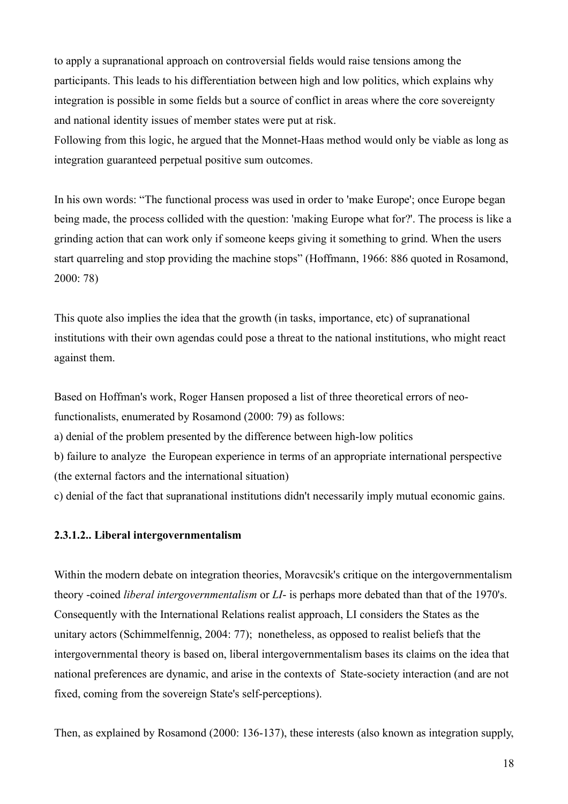to apply a supranational approach on controversial fields would raise tensions among the participants. This leads to his differentiation between high and low politics, which explains why integration is possible in some fields but a source of conflict in areas where the core sovereignty and national identity issues of member states were put at risk.

Following from this logic, he argued that the Monnet-Haas method would only be viable as long as integration guaranteed perpetual positive sum outcomes.

In his own words: "The functional process was used in order to 'make Europe'; once Europe began being made, the process collided with the question: 'making Europe what for?'. The process is like a grinding action that can work only if someone keeps giving it something to grind. When the users start quarreling and stop providing the machine stops" (Hoffmann, 1966: 886 quoted in Rosamond, 2000: 78)

This quote also implies the idea that the growth (in tasks, importance, etc) of supranational institutions with their own agendas could pose a threat to the national institutions, who might react against them.

Based on Hoffman's work, Roger Hansen proposed a list of three theoretical errors of neofunctionalists, enumerated by Rosamond (2000: 79) as follows: a) denial of the problem presented by the difference between high-low politics b) failure to analyze the European experience in terms of an appropriate international perspective (the external factors and the international situation) c) denial of the fact that supranational institutions didn't necessarily imply mutual economic gains.

#### **2.3.1.2.. Liberal intergovernmentalism**

Within the modern debate on integration theories, Moravcsik's critique on the intergovernmentalism theory -coined *liberal intergovernmentalism* or *LI*- is perhaps more debated than that of the 1970's. Consequently with the International Relations realist approach, LI considers the States as the unitary actors (Schimmelfennig, 2004: 77); nonetheless, as opposed to realist beliefs that the intergovernmental theory is based on, liberal intergovernmentalism bases its claims on the idea that national preferences are dynamic, and arise in the contexts of State-society interaction (and are not fixed, coming from the sovereign State's self-perceptions).

Then, as explained by Rosamond (2000: 136-137), these interests (also known as integration supply,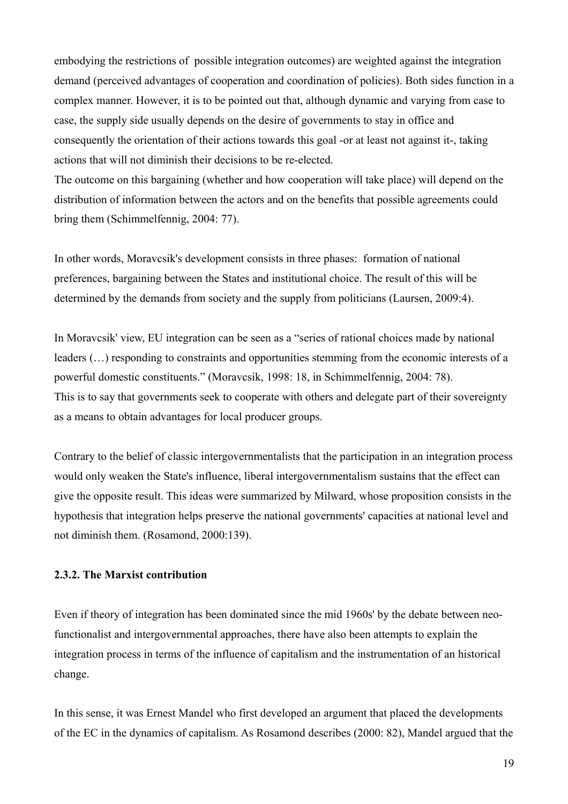embodying the restrictions of possible integration outcomes) are weighted against the integration demand (perceived advantages of cooperation and coordination of policies). Both sides function in a complex manner. However, it is to be pointed out that, although dynamic and varying from case to case, the supply side usually depends on the desire of governments to stay in office and consequently the orientation of their actions towards this goal -or at least not against it-, taking actions that will not diminish their decisions to be re-elected.

The outcome on this bargaining (whether and how cooperation will take place) will depend on the distribution of information between the actors and on the benefits that possible agreements could bring them (Schimmelfennig, 2004: 77).

In other words, Moravcsik's development consists in three phases: formation of national preferences, bargaining between the States and institutional choice. The result of this will be determined by the demands from society and the supply from politicians (Laursen, 2009:4).

In Moravcsik' view, EU integration can be seen as a "series of rational choices made by national leaders (…) responding to constraints and opportunities stemming from the economic interests of a powerful domestic constituents." (Moravcsik, 1998: 18, in Schimmelfennig, 2004: 78). This is to say that governments seek to cooperate with others and delegate part of their sovereignty as a means to obtain advantages for local producer groups.

Contrary to the belief of classic intergovernmentalists that the participation in an integration process would only weaken the State's influence, liberal intergovernmentalism sustains that the effect can give the opposite result. This ideas were summarized by Milward, whose proposition consists in the hypothesis that integration helps preserve the national governments' capacities at national level and not diminish them. (Rosamond, 2000:139).

# **2.3.2. The Marxist contribution**

Even if theory of integration has been dominated since the mid 1960s' by the debate between neofunctionalist and intergovernmental approaches, there have also been attempts to explain the integration process in terms of the influence of capitalism and the instrumentation of an historical change.

In this sense, it was Ernest Mandel who first developed an argument that placed the developments of the EC in the dynamics of capitalism. As Rosamond describes (2000: 82), Mandel argued that the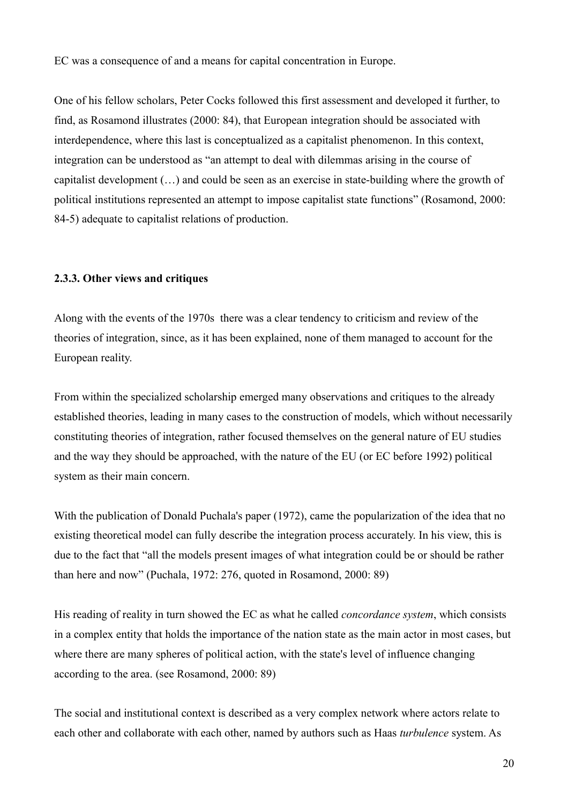EC was a consequence of and a means for capital concentration in Europe.

One of his fellow scholars, Peter Cocks followed this first assessment and developed it further, to find, as Rosamond illustrates (2000: 84), that European integration should be associated with interdependence, where this last is conceptualized as a capitalist phenomenon. In this context, integration can be understood as "an attempt to deal with dilemmas arising in the course of capitalist development (…) and could be seen as an exercise in state-building where the growth of political institutions represented an attempt to impose capitalist state functions" (Rosamond, 2000: 84-5) adequate to capitalist relations of production.

#### **2.3.3. Other views and critiques**

Along with the events of the 1970s there was a clear tendency to criticism and review of the theories of integration, since, as it has been explained, none of them managed to account for the European reality.

From within the specialized scholarship emerged many observations and critiques to the already established theories, leading in many cases to the construction of models, which without necessarily constituting theories of integration, rather focused themselves on the general nature of EU studies and the way they should be approached, with the nature of the EU (or EC before 1992) political system as their main concern.

With the publication of Donald Puchala's paper (1972), came the popularization of the idea that no existing theoretical model can fully describe the integration process accurately. In his view, this is due to the fact that "all the models present images of what integration could be or should be rather than here and now" (Puchala, 1972: 276, quoted in Rosamond, 2000: 89)

His reading of reality in turn showed the EC as what he called *concordance system*, which consists in a complex entity that holds the importance of the nation state as the main actor in most cases, but where there are many spheres of political action, with the state's level of influence changing according to the area. (see Rosamond, 2000: 89)

The social and institutional context is described as a very complex network where actors relate to each other and collaborate with each other, named by authors such as Haas *turbulence* system. As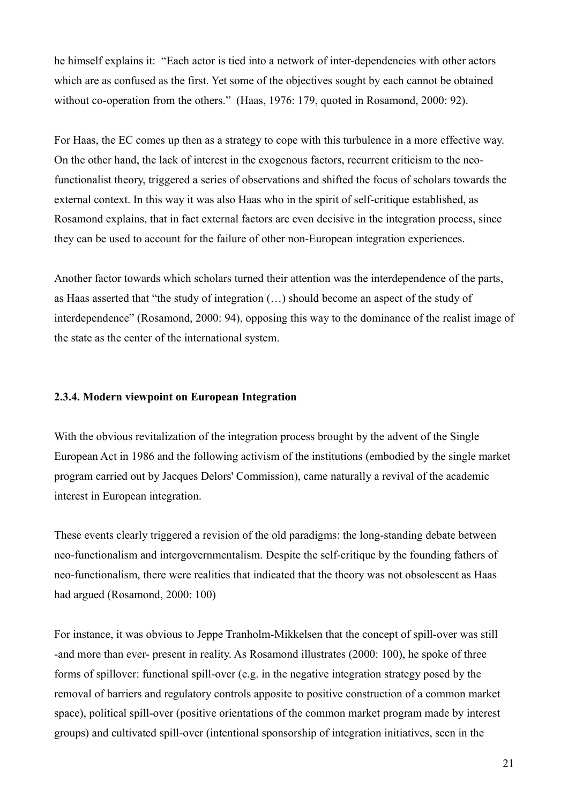he himself explains it: "Each actor is tied into a network of inter-dependencies with other actors which are as confused as the first. Yet some of the objectives sought by each cannot be obtained without co-operation from the others." (Haas, 1976: 179, quoted in Rosamond, 2000: 92).

For Haas, the EC comes up then as a strategy to cope with this turbulence in a more effective way. On the other hand, the lack of interest in the exogenous factors, recurrent criticism to the neofunctionalist theory, triggered a series of observations and shifted the focus of scholars towards the external context. In this way it was also Haas who in the spirit of self-critique established, as Rosamond explains, that in fact external factors are even decisive in the integration process, since they can be used to account for the failure of other non-European integration experiences.

Another factor towards which scholars turned their attention was the interdependence of the parts, as Haas asserted that "the study of integration (…) should become an aspect of the study of interdependence" (Rosamond, 2000: 94), opposing this way to the dominance of the realist image of the state as the center of the international system.

#### **2.3.4. Modern viewpoint on European Integration**

With the obvious revitalization of the integration process brought by the advent of the Single European Act in 1986 and the following activism of the institutions (embodied by the single market program carried out by Jacques Delors' Commission), came naturally a revival of the academic interest in European integration.

These events clearly triggered a revision of the old paradigms: the long-standing debate between neo-functionalism and intergovernmentalism. Despite the self-critique by the founding fathers of neo-functionalism, there were realities that indicated that the theory was not obsolescent as Haas had argued (Rosamond, 2000: 100)

For instance, it was obvious to Jeppe Tranholm-Mikkelsen that the concept of spill-over was still -and more than ever- present in reality. As Rosamond illustrates (2000: 100), he spoke of three forms of spillover: functional spill-over (e.g. in the negative integration strategy posed by the removal of barriers and regulatory controls apposite to positive construction of a common market space), political spill-over (positive orientations of the common market program made by interest groups) and cultivated spill-over (intentional sponsorship of integration initiatives, seen in the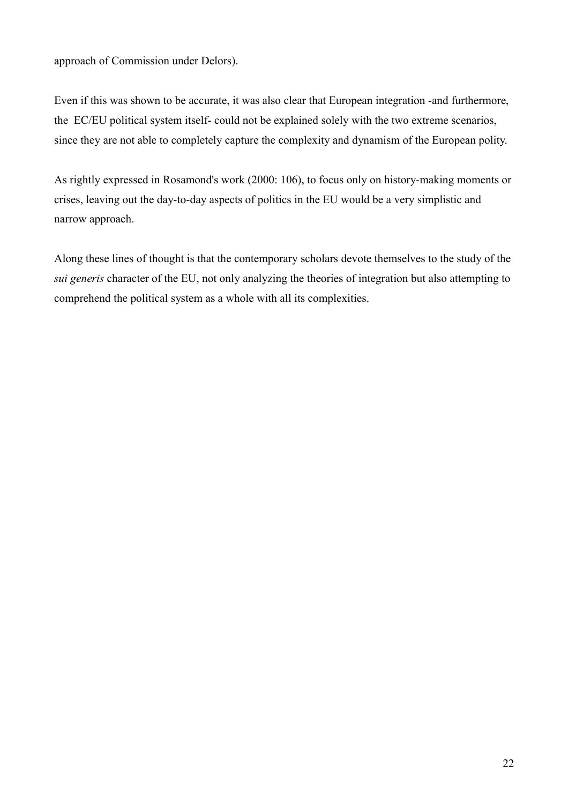approach of Commission under Delors).

Even if this was shown to be accurate, it was also clear that European integration -and furthermore, the EC/EU political system itself- could not be explained solely with the two extreme scenarios, since they are not able to completely capture the complexity and dynamism of the European polity.

As rightly expressed in Rosamond's work (2000: 106), to focus only on history-making moments or crises, leaving out the day-to-day aspects of politics in the EU would be a very simplistic and narrow approach.

Along these lines of thought is that the contemporary scholars devote themselves to the study of the *sui generis* character of the EU, not only analyzing the theories of integration but also attempting to comprehend the political system as a whole with all its complexities.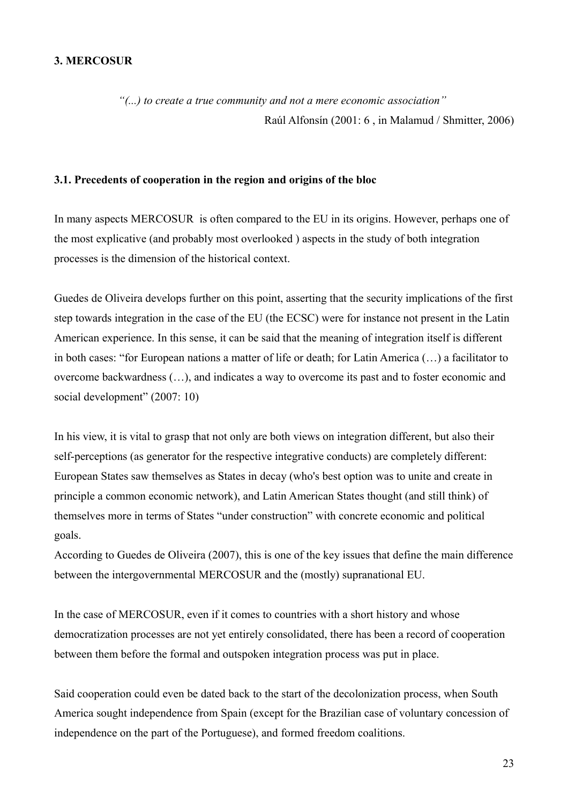## **3. MERCOSUR**

*"(...) to create a true community and not a mere economic association"*  Raúl Alfonsín (2001: 6 , in Malamud / Shmitter, 2006)

#### **3.1. Precedents of cooperation in the region and origins of the bloc**

In many aspects MERCOSUR is often compared to the EU in its origins. However, perhaps one of the most explicative (and probably most overlooked ) aspects in the study of both integration processes is the dimension of the historical context.

Guedes de Oliveira develops further on this point, asserting that the security implications of the first step towards integration in the case of the EU (the ECSC) were for instance not present in the Latin American experience. In this sense, it can be said that the meaning of integration itself is different in both cases: "for European nations a matter of life or death; for Latin America (…) a facilitator to overcome backwardness (…), and indicates a way to overcome its past and to foster economic and social development" (2007: 10)

In his view, it is vital to grasp that not only are both views on integration different, but also their self-perceptions (as generator for the respective integrative conducts) are completely different: European States saw themselves as States in decay (who's best option was to unite and create in principle a common economic network), and Latin American States thought (and still think) of themselves more in terms of States "under construction" with concrete economic and political goals.

According to Guedes de Oliveira (2007), this is one of the key issues that define the main difference between the intergovernmental MERCOSUR and the (mostly) supranational EU.

In the case of MERCOSUR, even if it comes to countries with a short history and whose democratization processes are not yet entirely consolidated, there has been a record of cooperation between them before the formal and outspoken integration process was put in place.

Said cooperation could even be dated back to the start of the decolonization process, when South America sought independence from Spain (except for the Brazilian case of voluntary concession of independence on the part of the Portuguese), and formed freedom coalitions.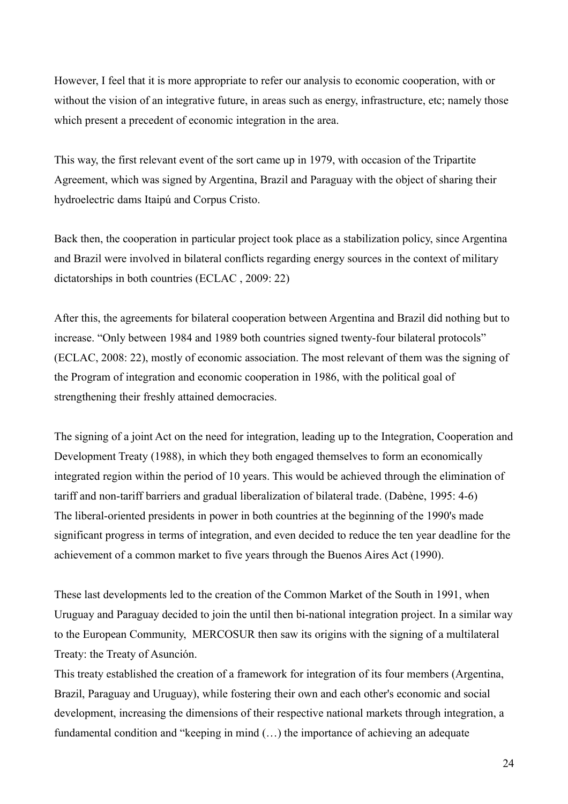However, I feel that it is more appropriate to refer our analysis to economic cooperation, with or without the vision of an integrative future, in areas such as energy, infrastructure, etc; namely those which present a precedent of economic integration in the area.

This way, the first relevant event of the sort came up in 1979, with occasion of the Tripartite Agreement, which was signed by Argentina, Brazil and Paraguay with the object of sharing their hydroelectric dams Itaipú and Corpus Cristo.

Back then, the cooperation in particular project took place as a stabilization policy, since Argentina and Brazil were involved in bilateral conflicts regarding energy sources in the context of military dictatorships in both countries (ECLAC , 2009: 22)

After this, the agreements for bilateral cooperation between Argentina and Brazil did nothing but to increase. "Only between 1984 and 1989 both countries signed twenty-four bilateral protocols" (ECLAC, 2008: 22), mostly of economic association. The most relevant of them was the signing of the Program of integration and economic cooperation in 1986, with the political goal of strengthening their freshly attained democracies.

The signing of a joint Act on the need for integration, leading up to the Integration, Cooperation and Development Treaty (1988), in which they both engaged themselves to form an economically integrated region within the period of 10 years. This would be achieved through the elimination of tariff and non-tariff barriers and gradual liberalization of bilateral trade. (Dabène, 1995: 4-6) The liberal-oriented presidents in power in both countries at the beginning of the 1990's made significant progress in terms of integration, and even decided to reduce the ten year deadline for the achievement of a common market to five years through the Buenos Aires Act (1990).

These last developments led to the creation of the Common Market of the South in 1991, when Uruguay and Paraguay decided to join the until then bi-national integration project. In a similar way to the European Community, MERCOSUR then saw its origins with the signing of a multilateral Treaty: the Treaty of Asunción.

This treaty established the creation of a framework for integration of its four members (Argentina, Brazil, Paraguay and Uruguay), while fostering their own and each other's economic and social development, increasing the dimensions of their respective national markets through integration, a fundamental condition and "keeping in mind (…) the importance of achieving an adequate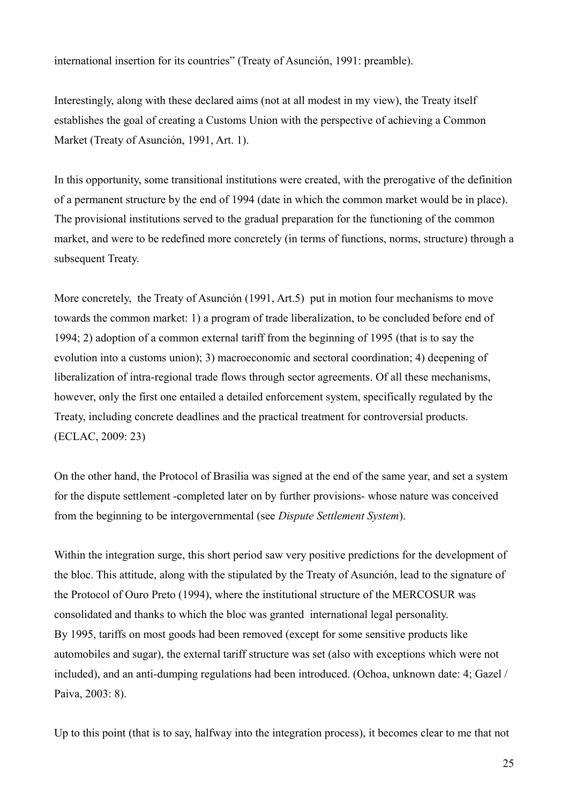international insertion for its countries" (Treaty of Asunción, 1991: preamble).

Interestingly, along with these declared aims (not at all modest in my view), the Treaty itself establishes the goal of creating a Customs Union with the perspective of achieving a Common Market (Treaty of Asunción, 1991, Art. 1).

In this opportunity, some transitional institutions were created, with the prerogative of the definition of a permanent structure by the end of 1994 (date in which the common market would be in place). The provisional institutions served to the gradual preparation for the functioning of the common market, and were to be redefined more concretely (in terms of functions, norms, structure) through a subsequent Treaty.

More concretely, the Treaty of Asunción (1991, Art.5) put in motion four mechanisms to move towards the common market: 1) a program of trade liberalization, to be concluded before end of 1994; 2) adoption of a common external tariff from the beginning of 1995 (that is to say the evolution into a customs union); 3) macroeconomic and sectoral coordination; 4) deepening of liberalization of intra-regional trade flows through sector agreements. Of all these mechanisms, however, only the first one entailed a detailed enforcement system, specifically regulated by the Treaty, including concrete deadlines and the practical treatment for controversial products. (ECLAC, 2009: 23)

On the other hand, the Protocol of Brasilia was signed at the end of the same year, and set a system for the dispute settlement -completed later on by further provisions- whose nature was conceived from the beginning to be intergovernmental (see *Dispute Settlement System*).

Within the integration surge, this short period saw very positive predictions for the development of the bloc. This attitude, along with the stipulated by the Treaty of Asunción, lead to the signature of the Protocol of Ouro Preto (1994), where the institutional structure of the MERCOSUR was consolidated and thanks to which the bloc was granted international legal personality. By 1995, tariffs on most goods had been removed (except for some sensitive products like automobiles and sugar), the external tariff structure was set (also with exceptions which were not included), and an anti-dumping regulations had been introduced. (Ochoa, unknown date: 4; Gazel / Paiva, 2003: 8).

Up to this point (that is to say, halfway into the integration process), it becomes clear to me that not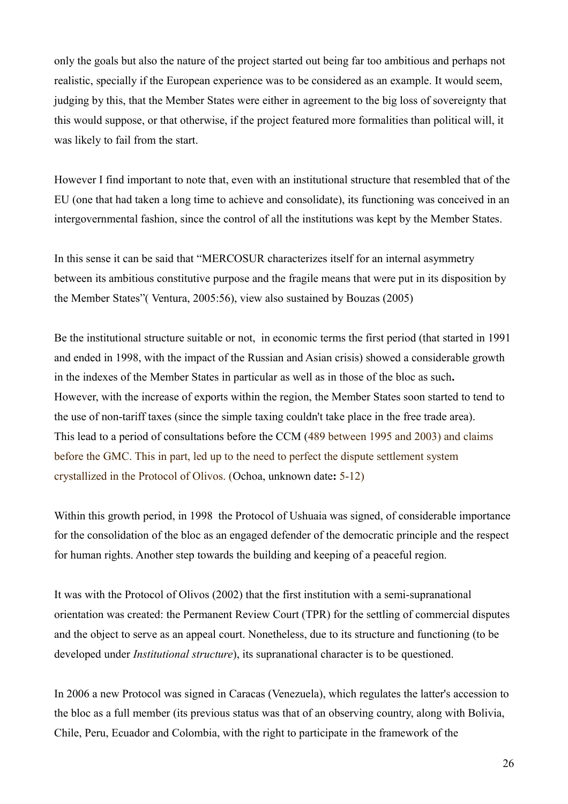only the goals but also the nature of the project started out being far too ambitious and perhaps not realistic, specially if the European experience was to be considered as an example. It would seem, judging by this, that the Member States were either in agreement to the big loss of sovereignty that this would suppose, or that otherwise, if the project featured more formalities than political will, it was likely to fail from the start.

However I find important to note that, even with an institutional structure that resembled that of the EU (one that had taken a long time to achieve and consolidate), its functioning was conceived in an intergovernmental fashion, since the control of all the institutions was kept by the Member States.

In this sense it can be said that "MERCOSUR characterizes itself for an internal asymmetry between its ambitious constitutive purpose and the fragile means that were put in its disposition by the Member States"( Ventura, 2005:56), view also sustained by Bouzas (2005)

Be the institutional structure suitable or not, in economic terms the first period (that started in 1991 and ended in 1998, with the impact of the Russian and Asian crisis) showed a considerable growth in the indexes of the Member States in particular as well as in those of the bloc as such**.** However, with the increase of exports within the region, the Member States soon started to tend to the use of non-tariff taxes (since the simple taxing couldn't take place in the free trade area). This lead to a period of consultations before the CCM (489 between 1995 and 2003) and claims before the GMC. This in part, led up to the need to perfect the dispute settlement system crystallized in the Protocol of Olivos. (Ochoa, unknown date**:** 5-12)

Within this growth period, in 1998 the Protocol of Ushuaia was signed, of considerable importance for the consolidation of the bloc as an engaged defender of the democratic principle and the respect for human rights. Another step towards the building and keeping of a peaceful region.

It was with the Protocol of Olivos (2002) that the first institution with a semi-supranational orientation was created: the Permanent Review Court (TPR) for the settling of commercial disputes and the object to serve as an appeal court. Nonetheless, due to its structure and functioning (to be developed under *Institutional structure*), its supranational character is to be questioned.

In 2006 a new Protocol was signed in Caracas (Venezuela), which regulates the latter's accession to the bloc as a full member (its previous status was that of an observing country, along with Bolivia, Chile, Peru, Ecuador and Colombia, with the right to participate in the framework of the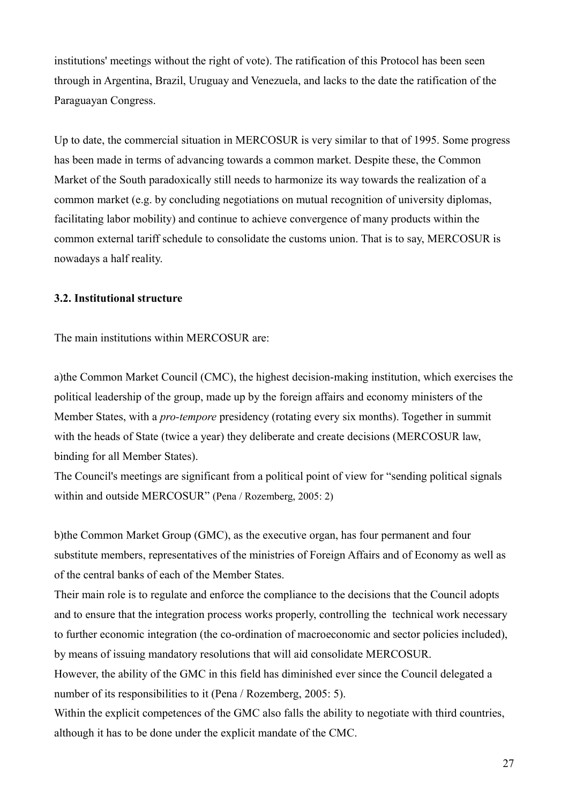institutions' meetings without the right of vote). The ratification of this Protocol has been seen through in Argentina, Brazil, Uruguay and Venezuela, and lacks to the date the ratification of the Paraguayan Congress.

Up to date, the commercial situation in MERCOSUR is very similar to that of 1995. Some progress has been made in terms of advancing towards a common market. Despite these, the Common Market of the South paradoxically still needs to harmonize its way towards the realization of a common market (e.g. by concluding negotiations on mutual recognition of university diplomas, facilitating labor mobility) and continue to achieve convergence of many products within the common external tariff schedule to consolidate the customs union. That is to say, MERCOSUR is nowadays a half reality.

# **3.2. Institutional structure**

The main institutions within MERCOSUR are:

a)the Common Market Council (CMC), the highest decision-making institution, which exercises the political leadership of the group, made up by the foreign affairs and economy ministers of the Member States, with a *pro-tempore* presidency (rotating every six months). Together in summit with the heads of State (twice a year) they deliberate and create decisions (MERCOSUR law, binding for all Member States).

The Council's meetings are significant from a political point of view for "sending political signals within and outside MERCOSUR" (Pena / Rozemberg, 2005: 2)

b)the Common Market Group (GMC), as the executive organ, has four permanent and four substitute members, representatives of the ministries of Foreign Affairs and of Economy as well as of the central banks of each of the Member States.

Their main role is to regulate and enforce the compliance to the decisions that the Council adopts and to ensure that the integration process works properly, controlling the technical work necessary to further economic integration (the co-ordination of macroeconomic and sector policies included), by means of issuing mandatory resolutions that will aid consolidate MERCOSUR.

However, the ability of the GMC in this field has diminished ever since the Council delegated a number of its responsibilities to it (Pena / Rozemberg, 2005: 5).

Within the explicit competences of the GMC also falls the ability to negotiate with third countries, although it has to be done under the explicit mandate of the CMC.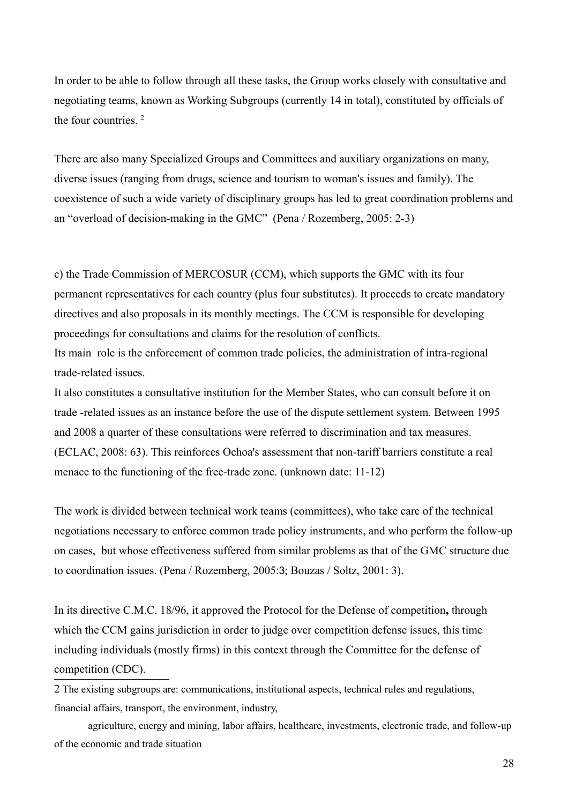In order to be able to follow through all these tasks, the Group works closely with consultative and negotiating teams, known as Working Subgroups (currently 14 in total), constituted by officials of the four countries. [2](#page-27-0)

There are also many Specialized Groups and Committees and auxiliary organizations on many, diverse issues (ranging from drugs, science and tourism to woman's issues and family). The coexistence of such a wide variety of disciplinary groups has led to great coordination problems and an "overload of decision-making in the GMC" (Pena / Rozemberg, 2005: 2-3)

c) the Trade Commission of MERCOSUR (CCM), which supports the GMC with its four permanent representatives for each country (plus four substitutes). It proceeds to create mandatory directives and also proposals in its monthly meetings. The CCM is responsible for developing proceedings for consultations and claims for the resolution of conflicts.

Its main role is the enforcement of common trade policies, the administration of intra-regional trade-related issues.

It also constitutes a consultative institution for the Member States, who can consult before it on trade -related issues as an instance before the use of the dispute settlement system. Between 1995 and 2008 a quarter of these consultations were referred to discrimination and tax measures. (ECLAC, 2008: 63). This reinforces Ochoa's assessment that non-tariff barriers constitute a real menace to the functioning of the free-trade zone. (unknown date: 11-12)

The work is divided between technical work teams (committees), who take care of the technical negotiations necessary to enforce common trade policy instruments, and who perform the follow-up on cases, but whose effectiveness suffered from similar problems as that of the GMC structure due to coordination issues. (Pena / Rozemberg, 2005:3; Bouzas / Soltz, 2001: 3).

In its directive C.M.C. 18/96, it approved the Protocol for the Defense of competition**,** through which the CCM gains jurisdiction in order to judge over competition defense issues, this time including individuals (mostly firms) in this context through the Committee for the defense of competition (CDC).

<span id="page-27-0"></span>2 The existing subgroups are: communications, institutional aspects, technical rules and regulations, financial affairs, transport, the environment, industry,

agriculture, energy and mining, labor affairs, healthcare, investments, electronic trade, and follow-up of the economic and trade situation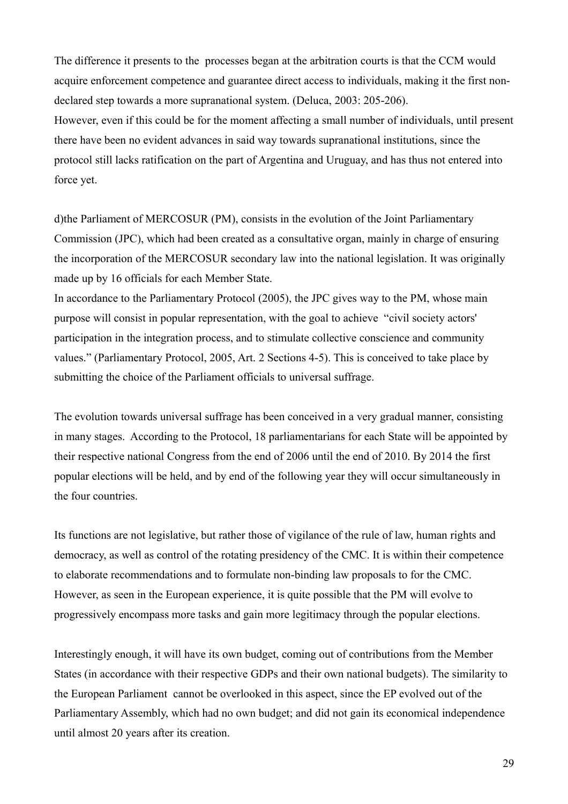The difference it presents to the processes began at the arbitration courts is that the CCM would acquire enforcement competence and guarantee direct access to individuals, making it the first nondeclared step towards a more supranational system. (Deluca, 2003: 205-206). However, even if this could be for the moment affecting a small number of individuals, until present there have been no evident advances in said way towards supranational institutions, since the protocol still lacks ratification on the part of Argentina and Uruguay, and has thus not entered into force yet.

d)the Parliament of MERCOSUR (PM), consists in the evolution of the Joint Parliamentary Commission (JPC), which had been created as a consultative organ, mainly in charge of ensuring the incorporation of the MERCOSUR secondary law into the national legislation. It was originally made up by 16 officials for each Member State.

In accordance to the Parliamentary Protocol (2005), the JPC gives way to the PM, whose main purpose will consist in popular representation, with the goal to achieve "civil society actors' participation in the integration process, and to stimulate collective conscience and community values." (Parliamentary Protocol, 2005, Art. 2 Sections 4-5). This is conceived to take place by submitting the choice of the Parliament officials to universal suffrage.

The evolution towards universal suffrage has been conceived in a very gradual manner, consisting in many stages. According to the Protocol, 18 parliamentarians for each State will be appointed by their respective national Congress from the end of 2006 until the end of 2010. By 2014 the first popular elections will be held, and by end of the following year they will occur simultaneously in the four countries.

Its functions are not legislative, but rather those of vigilance of the rule of law, human rights and democracy, as well as control of the rotating presidency of the CMC. It is within their competence to elaborate recommendations and to formulate non-binding law proposals to for the CMC. However, as seen in the European experience, it is quite possible that the PM will evolve to progressively encompass more tasks and gain more legitimacy through the popular elections.

Interestingly enough, it will have its own budget, coming out of contributions from the Member States (in accordance with their respective GDPs and their own national budgets). The similarity to the European Parliament cannot be overlooked in this aspect, since the EP evolved out of the Parliamentary Assembly, which had no own budget; and did not gain its economical independence until almost 20 years after its creation.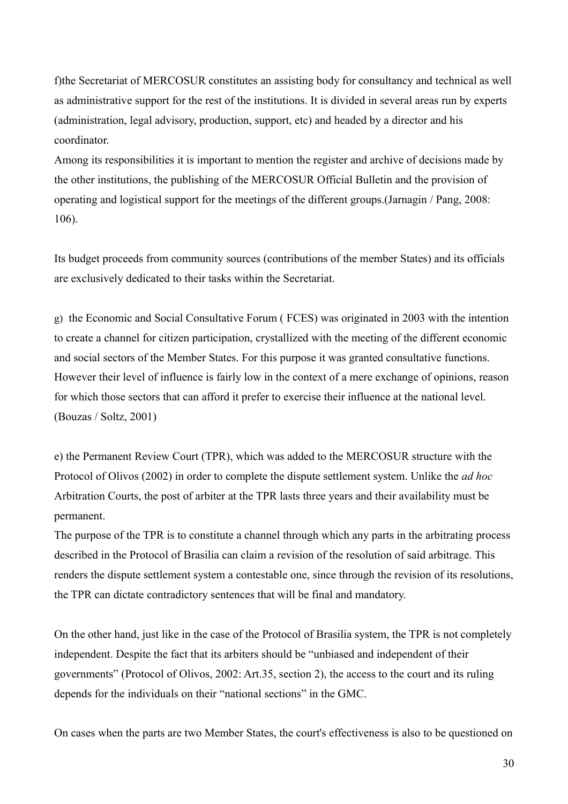f)the Secretariat of MERCOSUR constitutes an assisting body for consultancy and technical as well as administrative support for the rest of the institutions. It is divided in several areas run by experts (administration, legal advisory, production, support, etc) and headed by a director and his coordinator.

Among its responsibilities it is important to mention the register and archive of decisions made by the other institutions, the publishing of the MERCOSUR Official Bulletin and the provision of operating and logistical support for the meetings of the different groups.(Jarnagin / Pang, 2008: 106).

Its budget proceeds from community sources (contributions of the member States) and its officials are exclusively dedicated to their tasks within the Secretariat.

g)the Economic and Social Consultative Forum ( FCES) was originated in 2003 with the intention to create a channel for citizen participation, crystallized with the meeting of the different economic and social sectors of the Member States. For this purpose it was granted consultative functions. However their level of influence is fairly low in the context of a mere exchange of opinions, reason for which those sectors that can afford it prefer to exercise their influence at the national level. (Bouzas / Soltz, 2001)

e) the Permanent Review Court (TPR), which was added to the MERCOSUR structure with the Protocol of Olivos (2002) in order to complete the dispute settlement system. Unlike the *ad hoc* Arbitration Courts, the post of arbiter at the TPR lasts three years and their availability must be permanent.

The purpose of the TPR is to constitute a channel through which any parts in the arbitrating process described in the Protocol of Brasilia can claim a revision of the resolution of said arbitrage. This renders the dispute settlement system a contestable one, since through the revision of its resolutions, the TPR can dictate contradictory sentences that will be final and mandatory.

On the other hand, just like in the case of the Protocol of Brasilia system, the TPR is not completely independent. Despite the fact that its arbiters should be "unbiased and independent of their governments" (Protocol of Olivos, 2002: Art.35, section 2), the access to the court and its ruling depends for the individuals on their "national sections" in the GMC.

On cases when the parts are two Member States, the court's effectiveness is also to be questioned on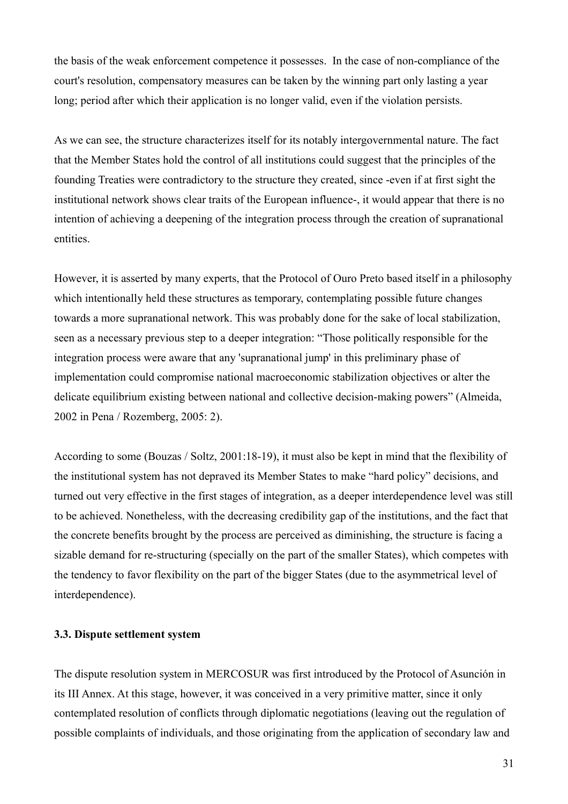the basis of the weak enforcement competence it possesses. In the case of non-compliance of the court's resolution, compensatory measures can be taken by the winning part only lasting a year long; period after which their application is no longer valid, even if the violation persists.

As we can see, the structure characterizes itself for its notably intergovernmental nature. The fact that the Member States hold the control of all institutions could suggest that the principles of the founding Treaties were contradictory to the structure they created, since -even if at first sight the institutional network shows clear traits of the European influence-, it would appear that there is no intention of achieving a deepening of the integration process through the creation of supranational entities.

However, it is asserted by many experts, that the Protocol of Ouro Preto based itself in a philosophy which intentionally held these structures as temporary, contemplating possible future changes towards a more supranational network. This was probably done for the sake of local stabilization, seen as a necessary previous step to a deeper integration: "Those politically responsible for the integration process were aware that any 'supranational jump' in this preliminary phase of implementation could compromise national macroeconomic stabilization objectives or alter the delicate equilibrium existing between national and collective decision-making powers" (Almeida, 2002 in Pena / Rozemberg, 2005: 2).

According to some (Bouzas / Soltz, 2001:18-19), it must also be kept in mind that the flexibility of the institutional system has not depraved its Member States to make "hard policy" decisions, and turned out very effective in the first stages of integration, as a deeper interdependence level was still to be achieved. Nonetheless, with the decreasing credibility gap of the institutions, and the fact that the concrete benefits brought by the process are perceived as diminishing, the structure is facing a sizable demand for re-structuring (specially on the part of the smaller States), which competes with the tendency to favor flexibility on the part of the bigger States (due to the asymmetrical level of interdependence).

#### **3.3. Dispute settlement system**

The dispute resolution system in MERCOSUR was first introduced by the Protocol of Asunción in its III Annex. At this stage, however, it was conceived in a very primitive matter, since it only contemplated resolution of conflicts through diplomatic negotiations (leaving out the regulation of possible complaints of individuals, and those originating from the application of secondary law and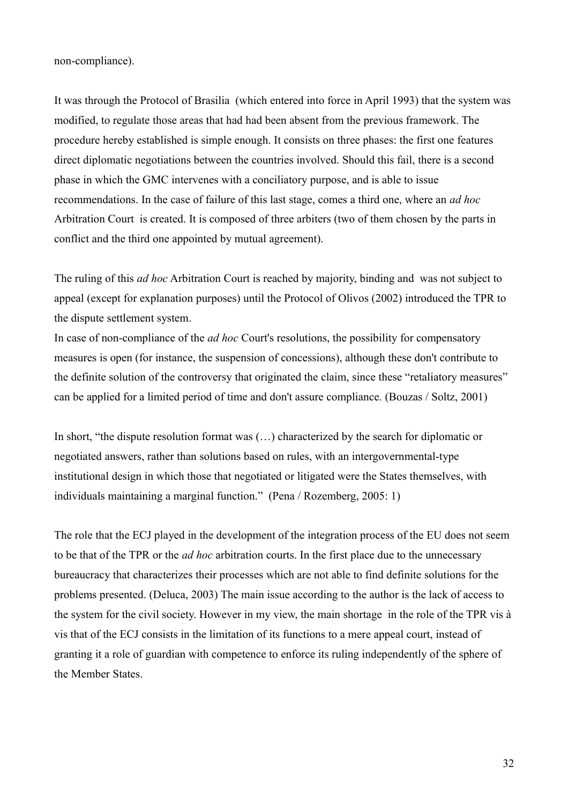non-compliance).

It was through the Protocol of Brasilia (which entered into force in April 1993) that the system was modified, to regulate those areas that had had been absent from the previous framework. The procedure hereby established is simple enough. It consists on three phases: the first one features direct diplomatic negotiations between the countries involved. Should this fail, there is a second phase in which the GMC intervenes with a conciliatory purpose, and is able to issue recommendations. In the case of failure of this last stage, comes a third one, where an *ad hoc* Arbitration Court is created. It is composed of three arbiters (two of them chosen by the parts in conflict and the third one appointed by mutual agreement).

The ruling of this *ad hoc* Arbitration Court is reached by majority, binding and was not subject to appeal (except for explanation purposes) until the Protocol of Olivos (2002) introduced the TPR to the dispute settlement system.

In case of non-compliance of the *ad hoc* Court's resolutions, the possibility for compensatory measures is open (for instance, the suspension of concessions), although these don't contribute to the definite solution of the controversy that originated the claim, since these "retaliatory measures" can be applied for a limited period of time and don't assure compliance. (Bouzas / Soltz, 2001)

In short, "the dispute resolution format was (…) characterized by the search for diplomatic or negotiated answers, rather than solutions based on rules, with an intergovernmental-type institutional design in which those that negotiated or litigated were the States themselves, with individuals maintaining a marginal function." (Pena / Rozemberg, 2005: 1)

The role that the ECJ played in the development of the integration process of the EU does not seem to be that of the TPR or the *ad hoc* arbitration courts. In the first place due to the unnecessary bureaucracy that characterizes their processes which are not able to find definite solutions for the problems presented. (Deluca, 2003) The main issue according to the author is the lack of access to the system for the civil society. However in my view, the main shortage in the role of the TPR vis à vis that of the ECJ consists in the limitation of its functions to a mere appeal court, instead of granting it a role of guardian with competence to enforce its ruling independently of the sphere of the Member States.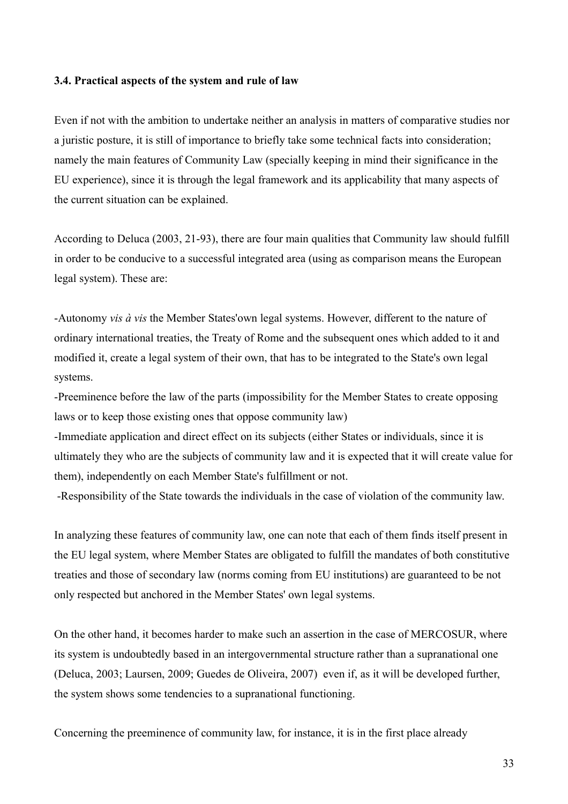#### **3.4. Practical aspects of the system and rule of law**

Even if not with the ambition to undertake neither an analysis in matters of comparative studies nor a juristic posture, it is still of importance to briefly take some technical facts into consideration; namely the main features of Community Law (specially keeping in mind their significance in the EU experience), since it is through the legal framework and its applicability that many aspects of the current situation can be explained.

According to Deluca (2003, 21-93), there are four main qualities that Community law should fulfill in order to be conducive to a successful integrated area (using as comparison means the European legal system). These are:

-Autonomy *vis à vis* the Member States'own legal systems. However, different to the nature of ordinary international treaties, the Treaty of Rome and the subsequent ones which added to it and modified it, create a legal system of their own, that has to be integrated to the State's own legal systems.

-Preeminence before the law of the parts (impossibility for the Member States to create opposing laws or to keep those existing ones that oppose community law)

-Immediate application and direct effect on its subjects (either States or individuals, since it is ultimately they who are the subjects of community law and it is expected that it will create value for them), independently on each Member State's fulfillment or not.

-Responsibility of the State towards the individuals in the case of violation of the community law.

In analyzing these features of community law, one can note that each of them finds itself present in the EU legal system, where Member States are obligated to fulfill the mandates of both constitutive treaties and those of secondary law (norms coming from EU institutions) are guaranteed to be not only respected but anchored in the Member States' own legal systems.

On the other hand, it becomes harder to make such an assertion in the case of MERCOSUR, where its system is undoubtedly based in an intergovernmental structure rather than a supranational one (Deluca, 2003; Laursen, 2009; Guedes de Oliveira, 2007) even if, as it will be developed further, the system shows some tendencies to a supranational functioning.

Concerning the preeminence of community law, for instance, it is in the first place already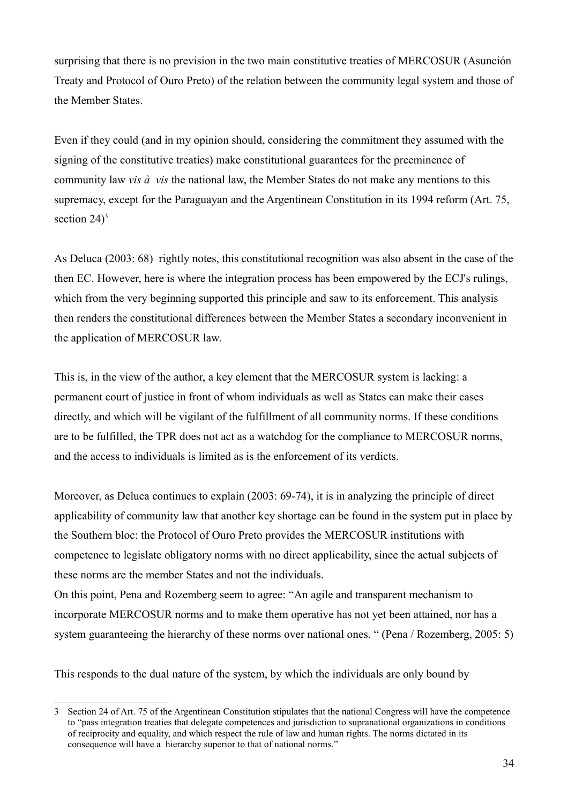surprising that there is no prevision in the two main constitutive treaties of MERCOSUR (Asunción Treaty and Protocol of Ouro Preto) of the relation between the community legal system and those of the Member States.

Even if they could (and in my opinion should, considering the commitment they assumed with the signing of the constitutive treaties) make constitutional guarantees for the preeminence of community law *vis à vis* the national law, the Member States do not make any mentions to this supremacy, except for the Paraguayan and the Argentinean Constitution in its 1994 reform (Art. 75, section  $24$ <sup>[3](#page-33-0)</sup>

As Deluca (2003: 68) rightly notes, this constitutional recognition was also absent in the case of the then EC. However, here is where the integration process has been empowered by the ECJ's rulings, which from the very beginning supported this principle and saw to its enforcement. This analysis then renders the constitutional differences between the Member States a secondary inconvenient in the application of MERCOSUR law.

This is, in the view of the author, a key element that the MERCOSUR system is lacking: a permanent court of justice in front of whom individuals as well as States can make their cases directly, and which will be vigilant of the fulfillment of all community norms. If these conditions are to be fulfilled, the TPR does not act as a watchdog for the compliance to MERCOSUR norms, and the access to individuals is limited as is the enforcement of its verdicts.

Moreover, as Deluca continues to explain (2003: 69-74), it is in analyzing the principle of direct applicability of community law that another key shortage can be found in the system put in place by the Southern bloc: the Protocol of Ouro Preto provides the MERCOSUR institutions with competence to legislate obligatory norms with no direct applicability, since the actual subjects of these norms are the member States and not the individuals.

On this point, Pena and Rozemberg seem to agree: "An agile and transparent mechanism to incorporate MERCOSUR norms and to make them operative has not yet been attained, nor has a system guaranteeing the hierarchy of these norms over national ones. " (Pena / Rozemberg, 2005: 5)

This responds to the dual nature of the system, by which the individuals are only bound by

<span id="page-33-0"></span><sup>3</sup> Section 24 of Art. 75 of the Argentinean Constitution stipulates that the national Congress will have the competence to "pass integration treaties that delegate competences and jurisdiction to supranational organizations in conditions of reciprocity and equality, and which respect the rule of law and human rights. The norms dictated in its consequence will have a hierarchy superior to that of national norms."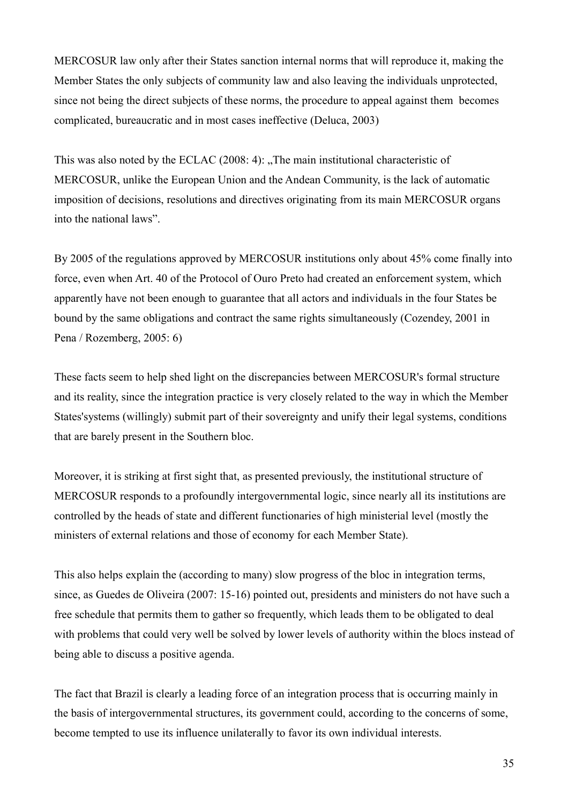MERCOSUR law only after their States sanction internal norms that will reproduce it, making the Member States the only subjects of community law and also leaving the individuals unprotected, since not being the direct subjects of these norms, the procedure to appeal against them becomes complicated, bureaucratic and in most cases ineffective (Deluca, 2003)

This was also noted by the ECLAC (2008: 4): "The main institutional characteristic of MERCOSUR, unlike the European Union and the Andean Community, is the lack of automatic imposition of decisions, resolutions and directives originating from its main MERCOSUR organs into the national laws".

By 2005 of the regulations approved by MERCOSUR institutions only about 45% come finally into force, even when Art. 40 of the Protocol of Ouro Preto had created an enforcement system, which apparently have not been enough to guarantee that all actors and individuals in the four States be bound by the same obligations and contract the same rights simultaneously (Cozendey, 2001 in Pena / Rozemberg, 2005: 6)

These facts seem to help shed light on the discrepancies between MERCOSUR's formal structure and its reality, since the integration practice is very closely related to the way in which the Member States'systems (willingly) submit part of their sovereignty and unify their legal systems, conditions that are barely present in the Southern bloc.

Moreover, it is striking at first sight that, as presented previously, the institutional structure of MERCOSUR responds to a profoundly intergovernmental logic, since nearly all its institutions are controlled by the heads of state and different functionaries of high ministerial level (mostly the ministers of external relations and those of economy for each Member State).

This also helps explain the (according to many) slow progress of the bloc in integration terms, since, as Guedes de Oliveira (2007: 15-16) pointed out, presidents and ministers do not have such a free schedule that permits them to gather so frequently, which leads them to be obligated to deal with problems that could very well be solved by lower levels of authority within the blocs instead of being able to discuss a positive agenda.

The fact that Brazil is clearly a leading force of an integration process that is occurring mainly in the basis of intergovernmental structures, its government could, according to the concerns of some, become tempted to use its influence unilaterally to favor its own individual interests.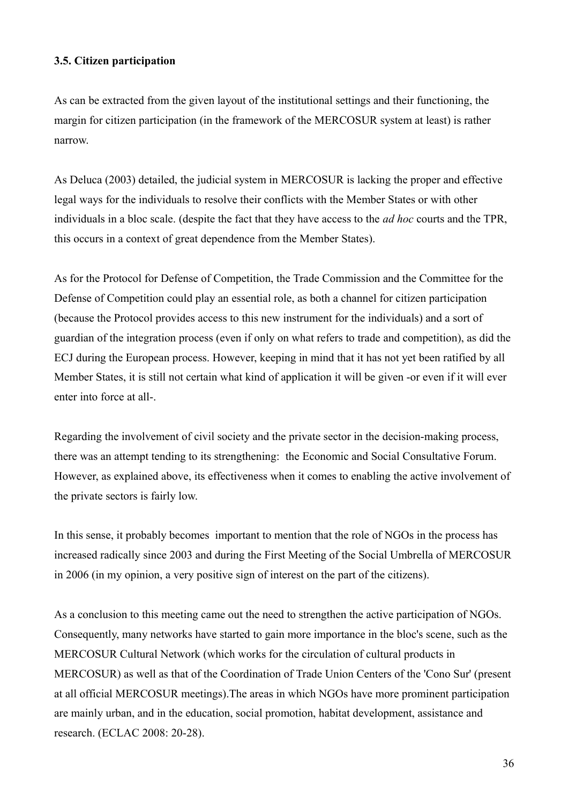## **3.5. Citizen participation**

As can be extracted from the given layout of the institutional settings and their functioning, the margin for citizen participation (in the framework of the MERCOSUR system at least) is rather narrow.

As Deluca (2003) detailed, the judicial system in MERCOSUR is lacking the proper and effective legal ways for the individuals to resolve their conflicts with the Member States or with other individuals in a bloc scale. (despite the fact that they have access to the *ad hoc* courts and the TPR, this occurs in a context of great dependence from the Member States).

As for the Protocol for Defense of Competition, the Trade Commission and the Committee for the Defense of Competition could play an essential role, as both a channel for citizen participation (because the Protocol provides access to this new instrument for the individuals) and a sort of guardian of the integration process (even if only on what refers to trade and competition), as did the ECJ during the European process. However, keeping in mind that it has not yet been ratified by all Member States, it is still not certain what kind of application it will be given -or even if it will ever enter into force at all-.

Regarding the involvement of civil society and the private sector in the decision-making process, there was an attempt tending to its strengthening: the Economic and Social Consultative Forum. However, as explained above, its effectiveness when it comes to enabling the active involvement of the private sectors is fairly low.

In this sense, it probably becomes important to mention that the role of NGOs in the process has increased radically since 2003 and during the First Meeting of the Social Umbrella of MERCOSUR in 2006 (in my opinion, a very positive sign of interest on the part of the citizens).

As a conclusion to this meeting came out the need to strengthen the active participation of NGOs. Consequently, many networks have started to gain more importance in the bloc's scene, such as the MERCOSUR Cultural Network (which works for the circulation of cultural products in MERCOSUR) as well as that of the Coordination of Trade Union Centers of the 'Cono Sur' (present at all official MERCOSUR meetings).The areas in which NGOs have more prominent participation are mainly urban, and in the education, social promotion, habitat development, assistance and research. (ECLAC 2008: 20-28).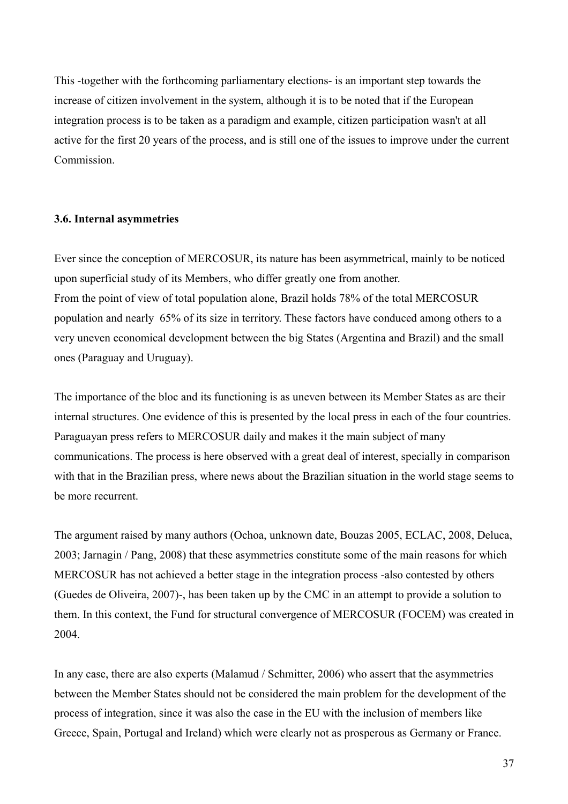This -together with the forthcoming parliamentary elections- is an important step towards the increase of citizen involvement in the system, although it is to be noted that if the European integration process is to be taken as a paradigm and example, citizen participation wasn't at all active for the first 20 years of the process, and is still one of the issues to improve under the current Commission.

### **3.6. Internal asymmetries**

Ever since the conception of MERCOSUR, its nature has been asymmetrical, mainly to be noticed upon superficial study of its Members, who differ greatly one from another. From the point of view of total population alone, Brazil holds 78% of the total MERCOSUR population and nearly 65% of its size in territory. These factors have conduced among others to a very uneven economical development between the big States (Argentina and Brazil) and the small ones (Paraguay and Uruguay).

The importance of the bloc and its functioning is as uneven between its Member States as are their internal structures. One evidence of this is presented by the local press in each of the four countries. Paraguayan press refers to MERCOSUR daily and makes it the main subject of many communications. The process is here observed with a great deal of interest, specially in comparison with that in the Brazilian press, where news about the Brazilian situation in the world stage seems to be more recurrent.

The argument raised by many authors (Ochoa, unknown date, Bouzas 2005, ECLAC, 2008, Deluca, 2003; Jarnagin / Pang, 2008) that these asymmetries constitute some of the main reasons for which MERCOSUR has not achieved a better stage in the integration process -also contested by others (Guedes de Oliveira, 2007)-, has been taken up by the CMC in an attempt to provide a solution to them. In this context, the Fund for structural convergence of MERCOSUR (FOCEM) was created in 2004.

In any case, there are also experts (Malamud / Schmitter, 2006) who assert that the asymmetries between the Member States should not be considered the main problem for the development of the process of integration, since it was also the case in the EU with the inclusion of members like Greece, Spain, Portugal and Ireland) which were clearly not as prosperous as Germany or France.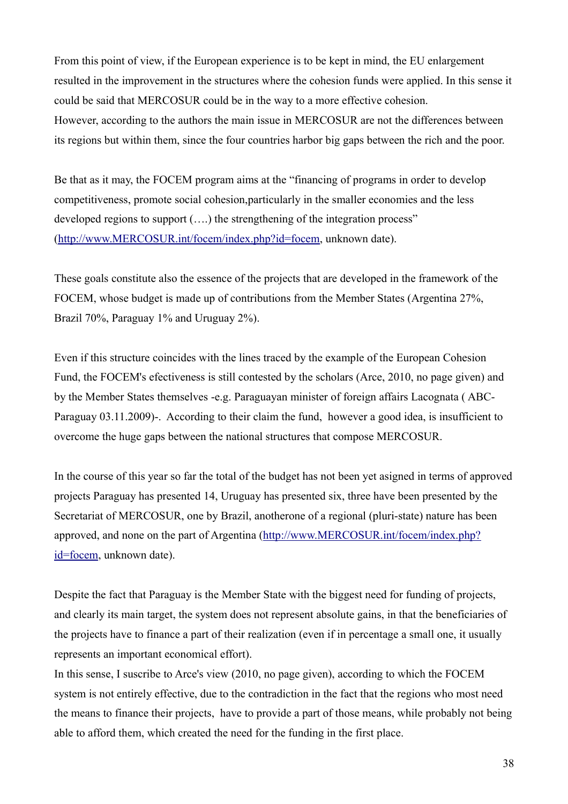From this point of view, if the European experience is to be kept in mind, the EU enlargement resulted in the improvement in the structures where the cohesion funds were applied. In this sense it could be said that MERCOSUR could be in the way to a more effective cohesion. However, according to the authors the main issue in MERCOSUR are not the differences between its regions but within them, since the four countries harbor big gaps between the rich and the poor.

Be that as it may, the FOCEM program aims at the "financing of programs in order to develop competitiveness, promote social cohesion,particularly in the smaller economies and the less developed regions to support (....) the strengthening of the integration process" [\(http://www.MERCOSUR.int/focem/index.php?id=focem,](http://www.mercosur.int/focem/index.php?id=focem) unknown date).

These goals constitute also the essence of the projects that are developed in the framework of the FOCEM, whose budget is made up of contributions from the Member States (Argentina 27%, Brazil 70%, Paraguay 1% and Uruguay 2%).

Even if this structure coincides with the lines traced by the example of the European Cohesion Fund, the FOCEM's efectiveness is still contested by the scholars (Arce, 2010, no page given) and by the Member States themselves -e.g. Paraguayan minister of foreign affairs Lacognata ( ABC-Paraguay 03.11.2009)-. According to their claim the fund, however a good idea, is insufficient to overcome the huge gaps between the national structures that compose MERCOSUR.

In the course of this year so far the total of the budget has not been yet asigned in terms of approved projects Paraguay has presented 14, Uruguay has presented six, three have been presented by the Secretariat of MERCOSUR, one by Brazil, anotherone of a regional (pluri-state) nature has been approved, and none on the part of Argentina [\(http://www.MERCOSUR.int/focem/index.php?](http://www.mercosur.int/focem/index.php?id=focem) [id=focem,](http://www.mercosur.int/focem/index.php?id=focem) unknown date).

Despite the fact that Paraguay is the Member State with the biggest need for funding of projects, and clearly its main target, the system does not represent absolute gains, in that the beneficiaries of the projects have to finance a part of their realization (even if in percentage a small one, it usually represents an important economical effort).

In this sense, I suscribe to Arce's view (2010, no page given), according to which the FOCEM system is not entirely effective, due to the contradiction in the fact that the regions who most need the means to finance their projects, have to provide a part of those means, while probably not being able to afford them, which created the need for the funding in the first place.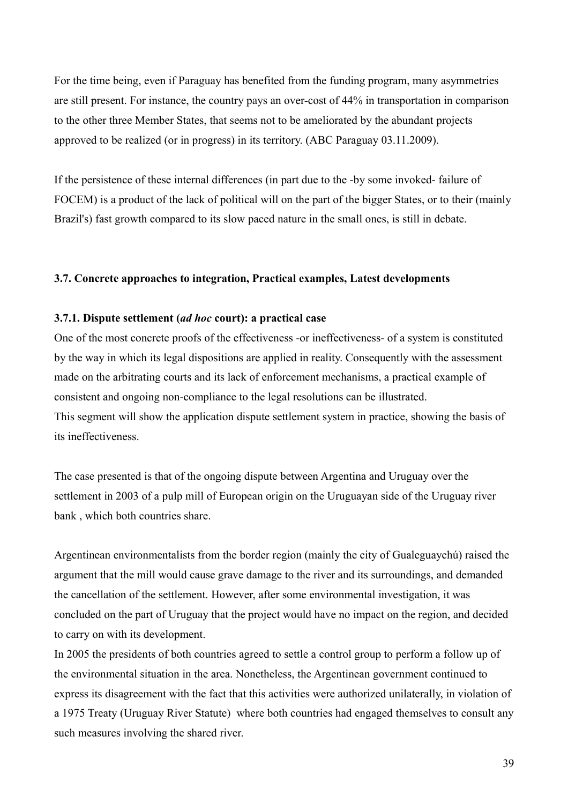For the time being, even if Paraguay has benefited from the funding program, many asymmetries are still present. For instance, the country pays an over-cost of 44% in transportation in comparison to the other three Member States, that seems not to be ameliorated by the abundant projects approved to be realized (or in progress) in its territory. (ABC Paraguay 03.11.2009).

If the persistence of these internal differences (in part due to the -by some invoked- failure of FOCEM) is a product of the lack of political will on the part of the bigger States, or to their (mainly Brazil's) fast growth compared to its slow paced nature in the small ones, is still in debate.

#### **3.7. Concrete approaches to integration, Practical examples, Latest developments**

### **3.7.1. Dispute settlement (***ad hoc* **court): a practical case**

One of the most concrete proofs of the effectiveness -or ineffectiveness- of a system is constituted by the way in which its legal dispositions are applied in reality. Consequently with the assessment made on the arbitrating courts and its lack of enforcement mechanisms, a practical example of consistent and ongoing non-compliance to the legal resolutions can be illustrated. This segment will show the application dispute settlement system in practice, showing the basis of its ineffectiveness.

The case presented is that of the ongoing dispute between Argentina and Uruguay over the settlement in 2003 of a pulp mill of European origin on the Uruguayan side of the Uruguay river bank , which both countries share.

Argentinean environmentalists from the border region (mainly the city of Gualeguaychú) raised the argument that the mill would cause grave damage to the river and its surroundings, and demanded the cancellation of the settlement. However, after some environmental investigation, it was concluded on the part of Uruguay that the project would have no impact on the region, and decided to carry on with its development.

In 2005 the presidents of both countries agreed to settle a control group to perform a follow up of the environmental situation in the area. Nonetheless, the Argentinean government continued to express its disagreement with the fact that this activities were authorized unilaterally, in violation of a 1975 Treaty (Uruguay River Statute) where both countries had engaged themselves to consult any such measures involving the shared river.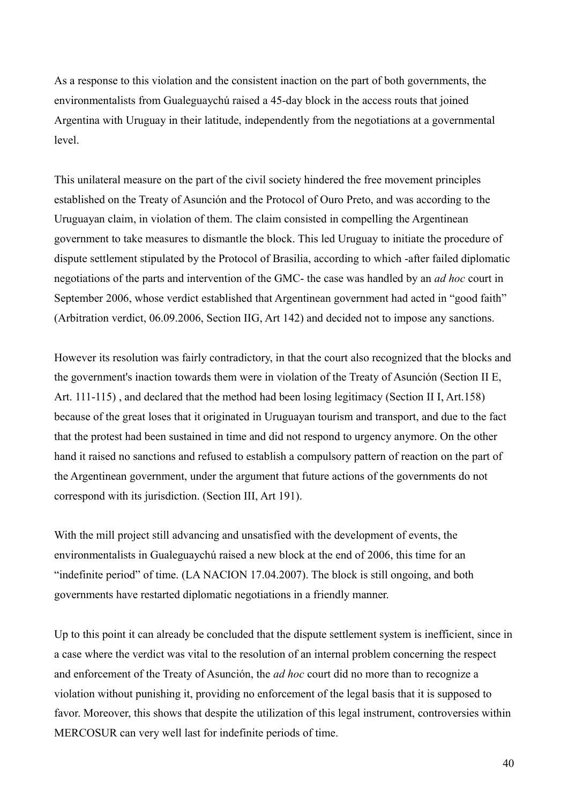As a response to this violation and the consistent inaction on the part of both governments, the environmentalists from Gualeguaychú raised a 45-day block in the access routs that joined Argentina with Uruguay in their latitude, independently from the negotiations at a governmental level.

This unilateral measure on the part of the civil society hindered the free movement principles established on the Treaty of Asunción and the Protocol of Ouro Preto, and was according to the Uruguayan claim, in violation of them. The claim consisted in compelling the Argentinean government to take measures to dismantle the block. This led Uruguay to initiate the procedure of dispute settlement stipulated by the Protocol of Brasilia, according to which -after failed diplomatic negotiations of the parts and intervention of the GMC- the case was handled by an *ad hoc* court in September 2006, whose verdict established that Argentinean government had acted in "good faith" (Arbitration verdict, 06.09.2006, Section IIG, Art 142) and decided not to impose any sanctions.

However its resolution was fairly contradictory, in that the court also recognized that the blocks and the government's inaction towards them were in violation of the Treaty of Asunción (Section II E, Art. 111-115) , and declared that the method had been losing legitimacy (Section II I, Art.158) because of the great loses that it originated in Uruguayan tourism and transport, and due to the fact that the protest had been sustained in time and did not respond to urgency anymore. On the other hand it raised no sanctions and refused to establish a compulsory pattern of reaction on the part of the Argentinean government, under the argument that future actions of the governments do not correspond with its jurisdiction. (Section III, Art 191).

With the mill project still advancing and unsatisfied with the development of events, the environmentalists in Gualeguaychú raised a new block at the end of 2006, this time for an "indefinite period" of time. (LA NACION 17.04.2007). The block is still ongoing, and both governments have restarted diplomatic negotiations in a friendly manner.

Up to this point it can already be concluded that the dispute settlement system is inefficient, since in a case where the verdict was vital to the resolution of an internal problem concerning the respect and enforcement of the Treaty of Asunción, the *ad hoc* court did no more than to recognize a violation without punishing it, providing no enforcement of the legal basis that it is supposed to favor. Moreover, this shows that despite the utilization of this legal instrument, controversies within MERCOSUR can very well last for indefinite periods of time.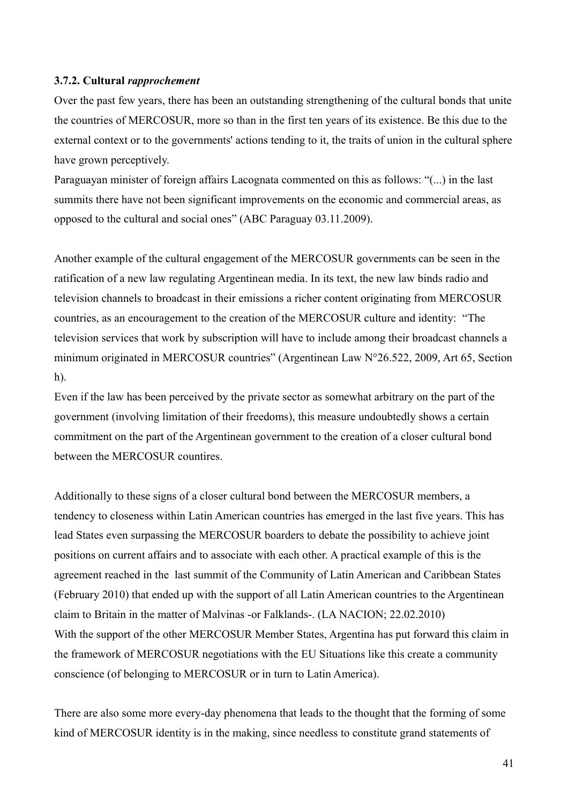### **3.7.2. Cultural** *rapprochement*

Over the past few years, there has been an outstanding strengthening of the cultural bonds that unite the countries of MERCOSUR, more so than in the first ten years of its existence. Be this due to the external context or to the governments' actions tending to it, the traits of union in the cultural sphere have grown perceptively.

Paraguayan minister of foreign affairs Lacognata commented on this as follows: "(...) in the last summits there have not been significant improvements on the economic and commercial areas, as opposed to the cultural and social ones" (ABC Paraguay 03.11.2009).

Another example of the cultural engagement of the MERCOSUR governments can be seen in the ratification of a new law regulating Argentinean media. In its text, the new law binds radio and television channels to broadcast in their emissions a richer content originating from MERCOSUR countries, as an encouragement to the creation of the MERCOSUR culture and identity: "The television services that work by subscription will have to include among their broadcast channels a minimum originated in MERCOSUR countries" (Argentinean Law N°26.522, 2009, Art 65, Section h).

Even if the law has been perceived by the private sector as somewhat arbitrary on the part of the government (involving limitation of their freedoms), this measure undoubtedly shows a certain commitment on the part of the Argentinean government to the creation of a closer cultural bond between the MERCOSUR countires.

Additionally to these signs of a closer cultural bond between the MERCOSUR members, a tendency to closeness within Latin American countries has emerged in the last five years. This has lead States even surpassing the MERCOSUR boarders to debate the possibility to achieve joint positions on current affairs and to associate with each other. A practical example of this is the agreement reached in the last summit of the Community of Latin American and Caribbean States (February 2010) that ended up with the support of all Latin American countries to the Argentinean claim to Britain in the matter of Malvinas -or Falklands-. (LA NACION; 22.02.2010) With the support of the other MERCOSUR Member States, Argentina has put forward this claim in the framework of MERCOSUR negotiations with the EU Situations like this create a community conscience (of belonging to MERCOSUR or in turn to Latin America).

There are also some more every-day phenomena that leads to the thought that the forming of some kind of MERCOSUR identity is in the making, since needless to constitute grand statements of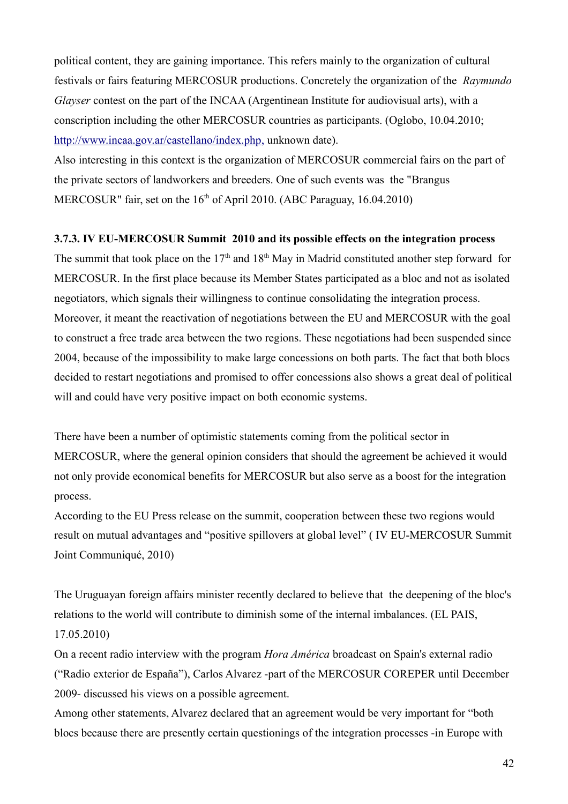political content, they are gaining importance. This refers mainly to the organization of cultural festivals or fairs featuring MERCOSUR productions. Concretely the organization of the *Raymundo Glayser* contest on the part of the INCAA (Argentinean Institute for audiovisual arts), with a conscription including the other MERCOSUR countries as participants. (Oglobo, 10.04.2010; [http://www.incaa.gov.ar/castellano/index.php,](http://www.incaa.gov.ar/castellano/index.php) unknown date).

Also interesting in this context is the organization of MERCOSUR commercial fairs on the part of the private sectors of landworkers and breeders. One of such events was the "Brangus MERCOSUR" fair, set on the  $16<sup>th</sup>$  of April 2010. (ABC Paraguay, 16.04.2010)

### **3.7.3. IV EU-MERCOSUR Summit 2010 and its possible effects on the integration process**

The summit that took place on the  $17<sup>th</sup>$  and  $18<sup>th</sup>$  May in Madrid constituted another step forward for MERCOSUR. In the first place because its Member States participated as a bloc and not as isolated negotiators, which signals their willingness to continue consolidating the integration process. Moreover, it meant the reactivation of negotiations between the EU and MERCOSUR with the goal to construct a free trade area between the two regions. These negotiations had been suspended since 2004, because of the impossibility to make large concessions on both parts. The fact that both blocs decided to restart negotiations and promised to offer concessions also shows a great deal of political will and could have very positive impact on both economic systems.

There have been a number of optimistic statements coming from the political sector in MERCOSUR, where the general opinion considers that should the agreement be achieved it would not only provide economical benefits for MERCOSUR but also serve as a boost for the integration process.

According to the EU Press release on the summit, cooperation between these two regions would result on mutual advantages and "positive spillovers at global level" ( IV EU-MERCOSUR Summit Joint Communiqué, 2010)

The Uruguayan foreign affairs minister recently declared to believe that the deepening of the bloc's relations to the world will contribute to diminish some of the internal imbalances. (EL PAIS, 17.05.2010)

On a recent radio interview with the program *Hora América* broadcast on Spain's external radio ("Radio exterior de España"), Carlos Alvarez -part of the MERCOSUR COREPER until December 2009- discussed his views on a possible agreement.

Among other statements, Alvarez declared that an agreement would be very important for "both blocs because there are presently certain questionings of the integration processes -in Europe with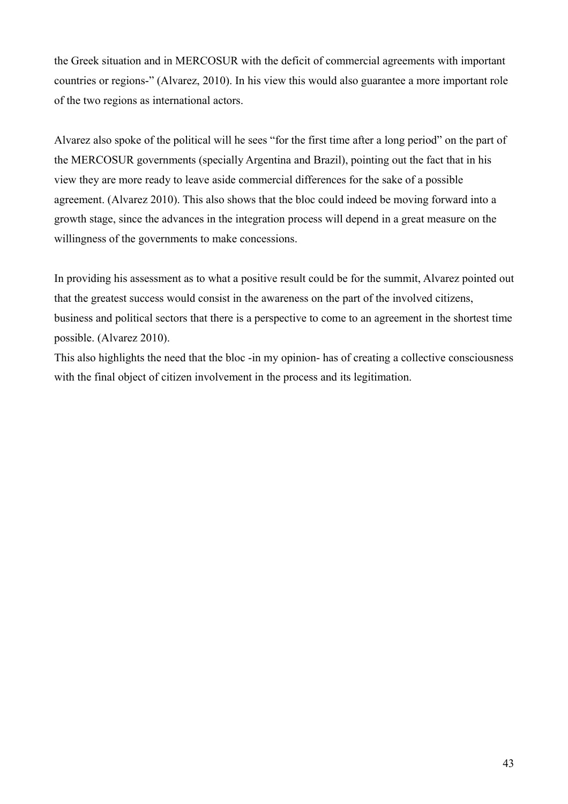the Greek situation and in MERCOSUR with the deficit of commercial agreements with important countries or regions-" (Alvarez, 2010). In his view this would also guarantee a more important role of the two regions as international actors.

Alvarez also spoke of the political will he sees "for the first time after a long period" on the part of the MERCOSUR governments (specially Argentina and Brazil), pointing out the fact that in his view they are more ready to leave aside commercial differences for the sake of a possible agreement. (Alvarez 2010). This also shows that the bloc could indeed be moving forward into a growth stage, since the advances in the integration process will depend in a great measure on the willingness of the governments to make concessions.

In providing his assessment as to what a positive result could be for the summit, Alvarez pointed out that the greatest success would consist in the awareness on the part of the involved citizens, business and political sectors that there is a perspective to come to an agreement in the shortest time possible. (Alvarez 2010).

This also highlights the need that the bloc -in my opinion- has of creating a collective consciousness with the final object of citizen involvement in the process and its legitimation.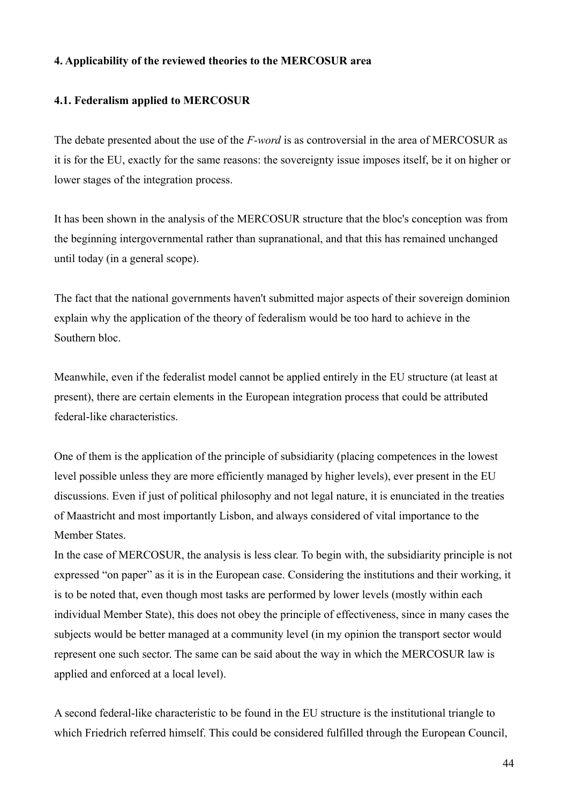## **4. Applicability of the reviewed theories to the MERCOSUR area**

# **4.1. Federalism applied to MERCOSUR**

The debate presented about the use of the *F-word* is as controversial in the area of MERCOSUR as it is for the EU, exactly for the same reasons: the sovereignty issue imposes itself, be it on higher or lower stages of the integration process.

It has been shown in the analysis of the MERCOSUR structure that the bloc's conception was from the beginning intergovernmental rather than supranational, and that this has remained unchanged until today (in a general scope).

The fact that the national governments haven't submitted major aspects of their sovereign dominion explain why the application of the theory of federalism would be too hard to achieve in the Southern bloc.

Meanwhile, even if the federalist model cannot be applied entirely in the EU structure (at least at present), there are certain elements in the European integration process that could be attributed federal-like characteristics.

One of them is the application of the principle of subsidiarity (placing competences in the lowest level possible unless they are more efficiently managed by higher levels), ever present in the EU discussions. Even if just of political philosophy and not legal nature, it is enunciated in the treaties of Maastricht and most importantly Lisbon, and always considered of vital importance to the Member States.

In the case of MERCOSUR, the analysis is less clear. To begin with, the subsidiarity principle is not expressed "on paper" as it is in the European case. Considering the institutions and their working, it is to be noted that, even though most tasks are performed by lower levels (mostly within each individual Member State), this does not obey the principle of effectiveness, since in many cases the subjects would be better managed at a community level (in my opinion the transport sector would represent one such sector. The same can be said about the way in which the MERCOSUR law is applied and enforced at a local level).

A second federal-like characteristic to be found in the EU structure is the institutional triangle to which Friedrich referred himself. This could be considered fulfilled through the European Council,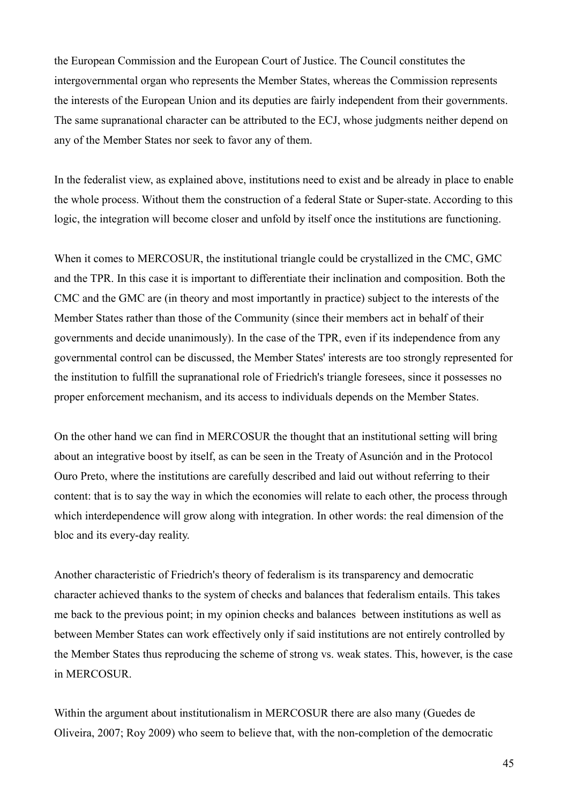the European Commission and the European Court of Justice. The Council constitutes the intergovernmental organ who represents the Member States, whereas the Commission represents the interests of the European Union and its deputies are fairly independent from their governments. The same supranational character can be attributed to the ECJ, whose judgments neither depend on any of the Member States nor seek to favor any of them.

In the federalist view, as explained above, institutions need to exist and be already in place to enable the whole process. Without them the construction of a federal State or Super-state. According to this logic, the integration will become closer and unfold by itself once the institutions are functioning.

When it comes to MERCOSUR, the institutional triangle could be crystallized in the CMC, GMC and the TPR. In this case it is important to differentiate their inclination and composition. Both the CMC and the GMC are (in theory and most importantly in practice) subject to the interests of the Member States rather than those of the Community (since their members act in behalf of their governments and decide unanimously). In the case of the TPR, even if its independence from any governmental control can be discussed, the Member States' interests are too strongly represented for the institution to fulfill the supranational role of Friedrich's triangle foresees, since it possesses no proper enforcement mechanism, and its access to individuals depends on the Member States.

On the other hand we can find in MERCOSUR the thought that an institutional setting will bring about an integrative boost by itself, as can be seen in the Treaty of Asunción and in the Protocol Ouro Preto, where the institutions are carefully described and laid out without referring to their content: that is to say the way in which the economies will relate to each other, the process through which interdependence will grow along with integration. In other words: the real dimension of the bloc and its every-day reality.

Another characteristic of Friedrich's theory of federalism is its transparency and democratic character achieved thanks to the system of checks and balances that federalism entails. This takes me back to the previous point; in my opinion checks and balances between institutions as well as between Member States can work effectively only if said institutions are not entirely controlled by the Member States thus reproducing the scheme of strong vs. weak states. This, however, is the case in MERCOSUR.

Within the argument about institutionalism in MERCOSUR there are also many (Guedes de Oliveira, 2007; Roy 2009) who seem to believe that, with the non-completion of the democratic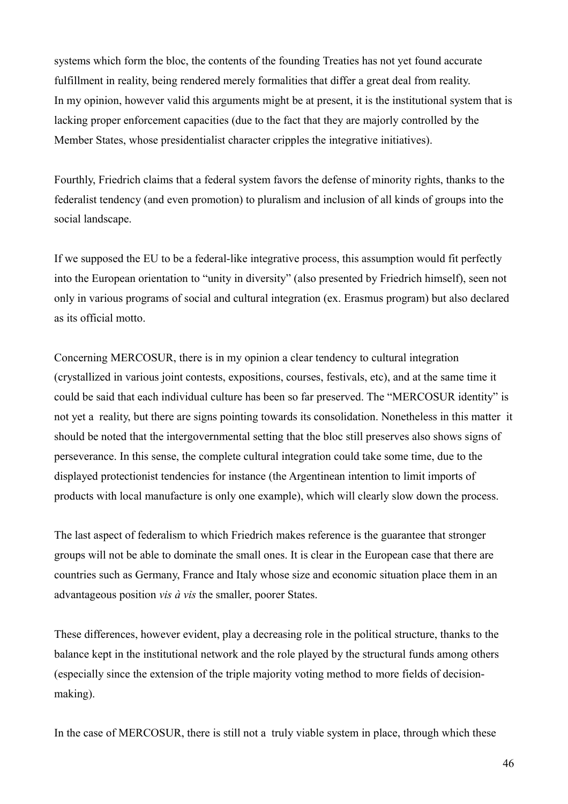systems which form the bloc, the contents of the founding Treaties has not yet found accurate fulfillment in reality, being rendered merely formalities that differ a great deal from reality. In my opinion, however valid this arguments might be at present, it is the institutional system that is lacking proper enforcement capacities (due to the fact that they are majorly controlled by the Member States, whose presidentialist character cripples the integrative initiatives).

Fourthly, Friedrich claims that a federal system favors the defense of minority rights, thanks to the federalist tendency (and even promotion) to pluralism and inclusion of all kinds of groups into the social landscape.

If we supposed the EU to be a federal-like integrative process, this assumption would fit perfectly into the European orientation to "unity in diversity" (also presented by Friedrich himself), seen not only in various programs of social and cultural integration (ex. Erasmus program) but also declared as its official motto.

Concerning MERCOSUR, there is in my opinion a clear tendency to cultural integration (crystallized in various joint contests, expositions, courses, festivals, etc), and at the same time it could be said that each individual culture has been so far preserved. The "MERCOSUR identity" is not yet a reality, but there are signs pointing towards its consolidation. Nonetheless in this matter it should be noted that the intergovernmental setting that the bloc still preserves also shows signs of perseverance. In this sense, the complete cultural integration could take some time, due to the displayed protectionist tendencies for instance (the Argentinean intention to limit imports of products with local manufacture is only one example), which will clearly slow down the process.

The last aspect of federalism to which Friedrich makes reference is the guarantee that stronger groups will not be able to dominate the small ones. It is clear in the European case that there are countries such as Germany, France and Italy whose size and economic situation place them in an advantageous position *vis à vis* the smaller, poorer States.

These differences, however evident, play a decreasing role in the political structure, thanks to the balance kept in the institutional network and the role played by the structural funds among others (especially since the extension of the triple majority voting method to more fields of decisionmaking).

In the case of MERCOSUR, there is still not a truly viable system in place, through which these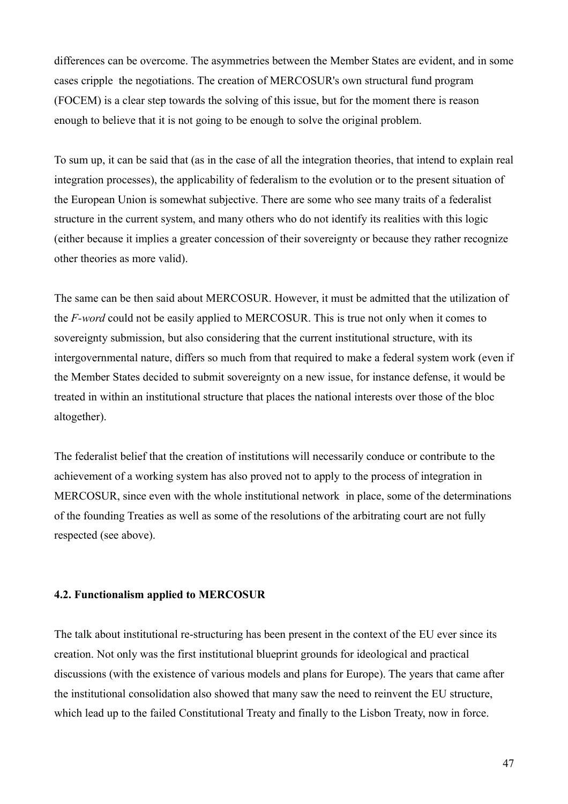differences can be overcome. The asymmetries between the Member States are evident, and in some cases cripple the negotiations. The creation of MERCOSUR's own structural fund program (FOCEM) is a clear step towards the solving of this issue, but for the moment there is reason enough to believe that it is not going to be enough to solve the original problem.

To sum up, it can be said that (as in the case of all the integration theories, that intend to explain real integration processes), the applicability of federalism to the evolution or to the present situation of the European Union is somewhat subjective. There are some who see many traits of a federalist structure in the current system, and many others who do not identify its realities with this logic (either because it implies a greater concession of their sovereignty or because they rather recognize other theories as more valid).

The same can be then said about MERCOSUR. However, it must be admitted that the utilization of the *F-word* could not be easily applied to MERCOSUR. This is true not only when it comes to sovereignty submission, but also considering that the current institutional structure, with its intergovernmental nature, differs so much from that required to make a federal system work (even if the Member States decided to submit sovereignty on a new issue, for instance defense, it would be treated in within an institutional structure that places the national interests over those of the bloc altogether).

The federalist belief that the creation of institutions will necessarily conduce or contribute to the achievement of a working system has also proved not to apply to the process of integration in MERCOSUR, since even with the whole institutional network in place, some of the determinations of the founding Treaties as well as some of the resolutions of the arbitrating court are not fully respected (see above).

### **4.2. Functionalism applied to MERCOSUR**

The talk about institutional re-structuring has been present in the context of the EU ever since its creation. Not only was the first institutional blueprint grounds for ideological and practical discussions (with the existence of various models and plans for Europe). The years that came after the institutional consolidation also showed that many saw the need to reinvent the EU structure, which lead up to the failed Constitutional Treaty and finally to the Lisbon Treaty, now in force.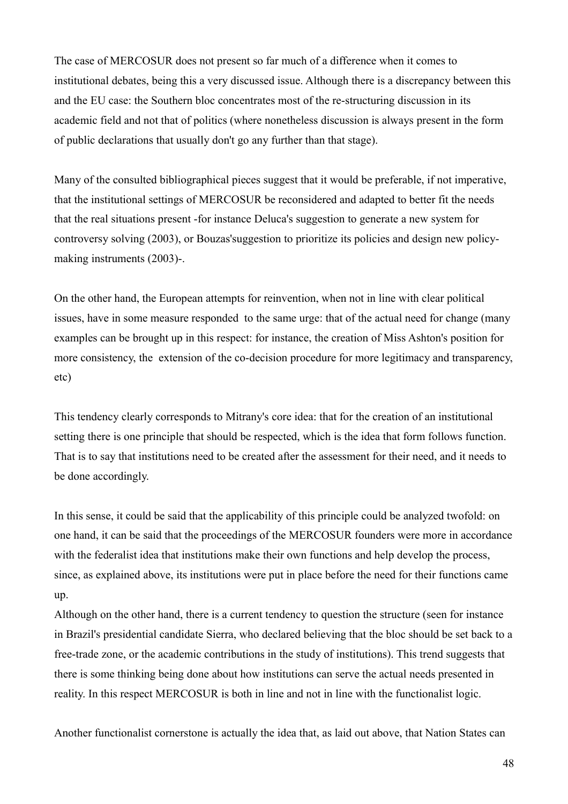The case of MERCOSUR does not present so far much of a difference when it comes to institutional debates, being this a very discussed issue. Although there is a discrepancy between this and the EU case: the Southern bloc concentrates most of the re-structuring discussion in its academic field and not that of politics (where nonetheless discussion is always present in the form of public declarations that usually don't go any further than that stage).

Many of the consulted bibliographical pieces suggest that it would be preferable, if not imperative, that the institutional settings of MERCOSUR be reconsidered and adapted to better fit the needs that the real situations present -for instance Deluca's suggestion to generate a new system for controversy solving (2003), or Bouzas'suggestion to prioritize its policies and design new policymaking instruments (2003)-.

On the other hand, the European attempts for reinvention, when not in line with clear political issues, have in some measure responded to the same urge: that of the actual need for change (many examples can be brought up in this respect: for instance, the creation of Miss Ashton's position for more consistency, the extension of the co-decision procedure for more legitimacy and transparency, etc)

This tendency clearly corresponds to Mitrany's core idea: that for the creation of an institutional setting there is one principle that should be respected, which is the idea that form follows function. That is to say that institutions need to be created after the assessment for their need, and it needs to be done accordingly.

In this sense, it could be said that the applicability of this principle could be analyzed twofold: on one hand, it can be said that the proceedings of the MERCOSUR founders were more in accordance with the federalist idea that institutions make their own functions and help develop the process, since, as explained above, its institutions were put in place before the need for their functions came up.

Although on the other hand, there is a current tendency to question the structure (seen for instance in Brazil's presidential candidate Sierra, who declared believing that the bloc should be set back to a free-trade zone, or the academic contributions in the study of institutions). This trend suggests that there is some thinking being done about how institutions can serve the actual needs presented in reality. In this respect MERCOSUR is both in line and not in line with the functionalist logic.

Another functionalist cornerstone is actually the idea that, as laid out above, that Nation States can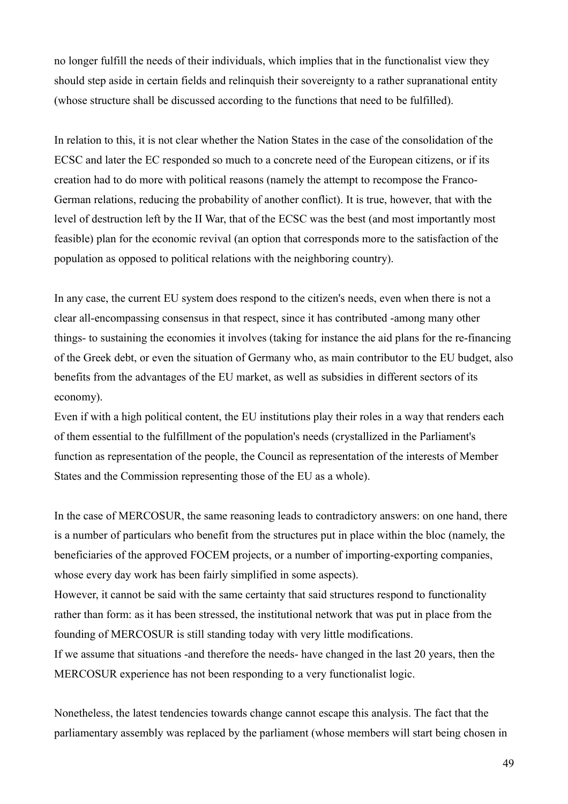no longer fulfill the needs of their individuals, which implies that in the functionalist view they should step aside in certain fields and relinquish their sovereignty to a rather supranational entity (whose structure shall be discussed according to the functions that need to be fulfilled).

In relation to this, it is not clear whether the Nation States in the case of the consolidation of the ECSC and later the EC responded so much to a concrete need of the European citizens, or if its creation had to do more with political reasons (namely the attempt to recompose the Franco-German relations, reducing the probability of another conflict). It is true, however, that with the level of destruction left by the II War, that of the ECSC was the best (and most importantly most feasible) plan for the economic revival (an option that corresponds more to the satisfaction of the population as opposed to political relations with the neighboring country).

In any case, the current EU system does respond to the citizen's needs, even when there is not a clear all-encompassing consensus in that respect, since it has contributed -among many other things- to sustaining the economies it involves (taking for instance the aid plans for the re-financing of the Greek debt, or even the situation of Germany who, as main contributor to the EU budget, also benefits from the advantages of the EU market, as well as subsidies in different sectors of its economy).

Even if with a high political content, the EU institutions play their roles in a way that renders each of them essential to the fulfillment of the population's needs (crystallized in the Parliament's function as representation of the people, the Council as representation of the interests of Member States and the Commission representing those of the EU as a whole).

In the case of MERCOSUR, the same reasoning leads to contradictory answers: on one hand, there is a number of particulars who benefit from the structures put in place within the bloc (namely, the beneficiaries of the approved FOCEM projects, or a number of importing-exporting companies, whose every day work has been fairly simplified in some aspects).

However, it cannot be said with the same certainty that said structures respond to functionality rather than form: as it has been stressed, the institutional network that was put in place from the founding of MERCOSUR is still standing today with very little modifications.

If we assume that situations -and therefore the needs- have changed in the last 20 years, then the MERCOSUR experience has not been responding to a very functionalist logic.

Nonetheless, the latest tendencies towards change cannot escape this analysis. The fact that the parliamentary assembly was replaced by the parliament (whose members will start being chosen in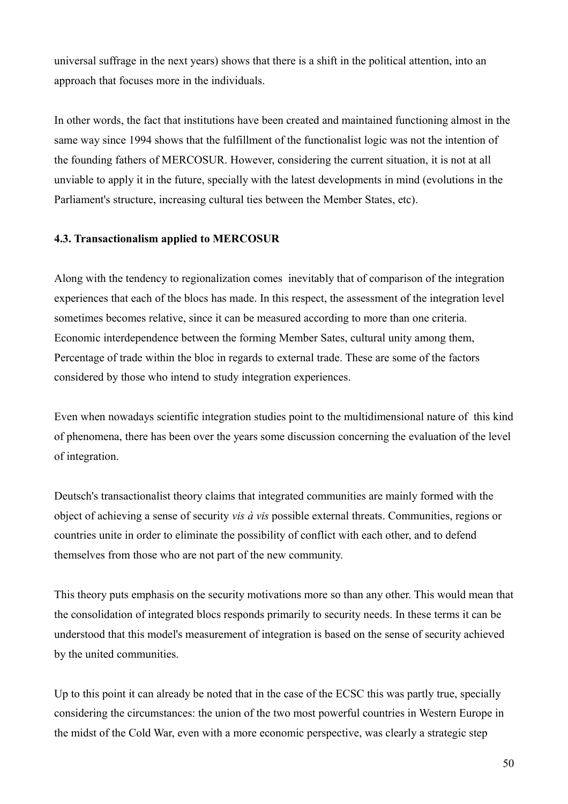universal suffrage in the next years) shows that there is a shift in the political attention, into an approach that focuses more in the individuals.

In other words, the fact that institutions have been created and maintained functioning almost in the same way since 1994 shows that the fulfillment of the functionalist logic was not the intention of the founding fathers of MERCOSUR. However, considering the current situation, it is not at all unviable to apply it in the future, specially with the latest developments in mind (evolutions in the Parliament's structure, increasing cultural ties between the Member States, etc).

## **4.3. Transactionalism applied to MERCOSUR**

Along with the tendency to regionalization comes inevitably that of comparison of the integration experiences that each of the blocs has made. In this respect, the assessment of the integration level sometimes becomes relative, since it can be measured according to more than one criteria. Economic interdependence between the forming Member Sates, cultural unity among them, Percentage of trade within the bloc in regards to external trade. These are some of the factors considered by those who intend to study integration experiences.

Even when nowadays scientific integration studies point to the multidimensional nature of this kind of phenomena, there has been over the years some discussion concerning the evaluation of the level of integration.

Deutsch's transactionalist theory claims that integrated communities are mainly formed with the object of achieving a sense of security *vis à vis* possible external threats. Communities, regions or countries unite in order to eliminate the possibility of conflict with each other, and to defend themselves from those who are not part of the new community.

This theory puts emphasis on the security motivations more so than any other. This would mean that the consolidation of integrated blocs responds primarily to security needs. In these terms it can be understood that this model's measurement of integration is based on the sense of security achieved by the united communities.

Up to this point it can already be noted that in the case of the ECSC this was partly true, specially considering the circumstances: the union of the two most powerful countries in Western Europe in the midst of the Cold War, even with a more economic perspective, was clearly a strategic step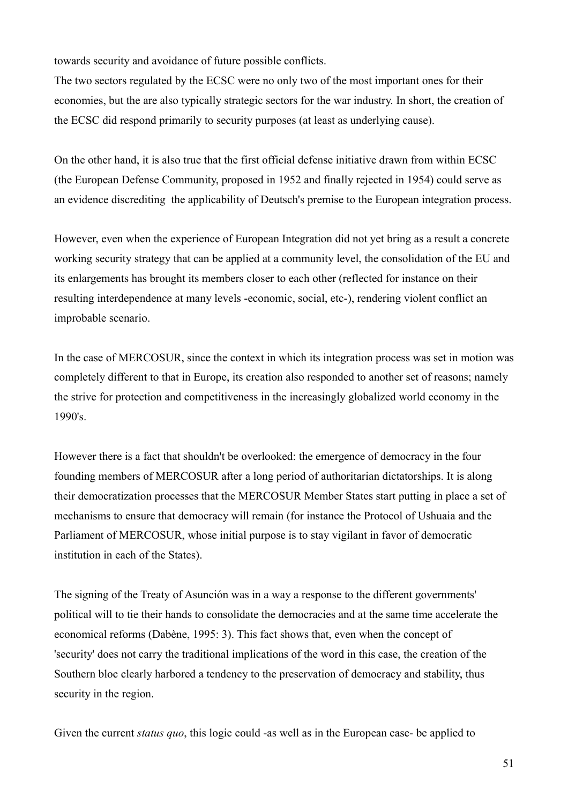towards security and avoidance of future possible conflicts.

The two sectors regulated by the ECSC were no only two of the most important ones for their economies, but the are also typically strategic sectors for the war industry. In short, the creation of the ECSC did respond primarily to security purposes (at least as underlying cause).

On the other hand, it is also true that the first official defense initiative drawn from within ECSC (the European Defense Community, proposed in 1952 and finally rejected in 1954) could serve as an evidence discrediting the applicability of Deutsch's premise to the European integration process.

However, even when the experience of European Integration did not yet bring as a result a concrete working security strategy that can be applied at a community level, the consolidation of the EU and its enlargements has brought its members closer to each other (reflected for instance on their resulting interdependence at many levels -economic, social, etc-), rendering violent conflict an improbable scenario.

In the case of MERCOSUR, since the context in which its integration process was set in motion was completely different to that in Europe, its creation also responded to another set of reasons; namely the strive for protection and competitiveness in the increasingly globalized world economy in the 1990's.

However there is a fact that shouldn't be overlooked: the emergence of democracy in the four founding members of MERCOSUR after a long period of authoritarian dictatorships. It is along their democratization processes that the MERCOSUR Member States start putting in place a set of mechanisms to ensure that democracy will remain (for instance the Protocol of Ushuaia and the Parliament of MERCOSUR, whose initial purpose is to stay vigilant in favor of democratic institution in each of the States).

The signing of the Treaty of Asunción was in a way a response to the different governments' political will to tie their hands to consolidate the democracies and at the same time accelerate the economical reforms (Dabène, 1995: 3). This fact shows that, even when the concept of 'security' does not carry the traditional implications of the word in this case, the creation of the Southern bloc clearly harbored a tendency to the preservation of democracy and stability, thus security in the region.

Given the current *status quo*, this logic could -as well as in the European case- be applied to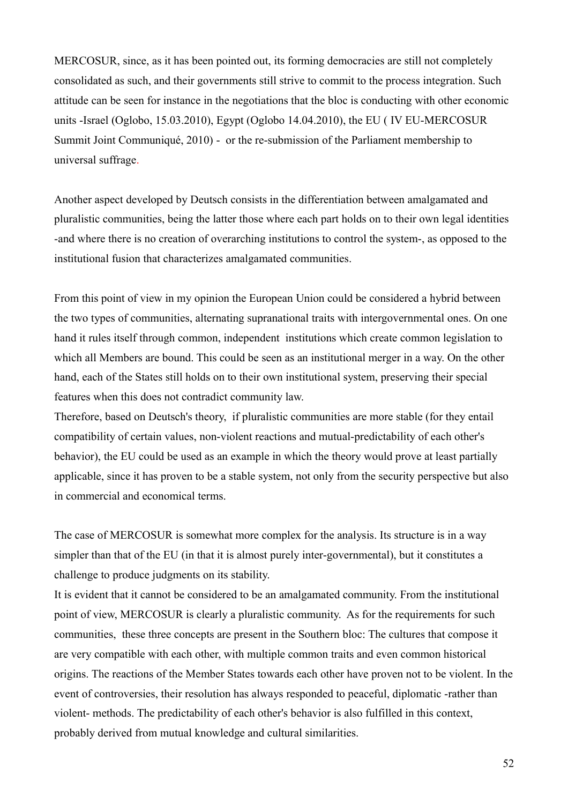MERCOSUR, since, as it has been pointed out, its forming democracies are still not completely consolidated as such, and their governments still strive to commit to the process integration. Such attitude can be seen for instance in the negotiations that the bloc is conducting with other economic units -Israel (Oglobo, 15.03.2010), Egypt (Oglobo 14.04.2010), the EU ( IV EU-MERCOSUR Summit Joint Communiqué, 2010) - or the re-submission of the Parliament membership to universal suffrage.

Another aspect developed by Deutsch consists in the differentiation between amalgamated and pluralistic communities, being the latter those where each part holds on to their own legal identities -and where there is no creation of overarching institutions to control the system-, as opposed to the institutional fusion that characterizes amalgamated communities.

From this point of view in my opinion the European Union could be considered a hybrid between the two types of communities, alternating supranational traits with intergovernmental ones. On one hand it rules itself through common, independent institutions which create common legislation to which all Members are bound. This could be seen as an institutional merger in a way. On the other hand, each of the States still holds on to their own institutional system, preserving their special features when this does not contradict community law.

Therefore, based on Deutsch's theory, if pluralistic communities are more stable (for they entail compatibility of certain values, non-violent reactions and mutual-predictability of each other's behavior), the EU could be used as an example in which the theory would prove at least partially applicable, since it has proven to be a stable system, not only from the security perspective but also in commercial and economical terms.

The case of MERCOSUR is somewhat more complex for the analysis. Its structure is in a way simpler than that of the EU (in that it is almost purely inter-governmental), but it constitutes a challenge to produce judgments on its stability.

It is evident that it cannot be considered to be an amalgamated community. From the institutional point of view, MERCOSUR is clearly a pluralistic community. As for the requirements for such communities, these three concepts are present in the Southern bloc: The cultures that compose it are very compatible with each other, with multiple common traits and even common historical origins. The reactions of the Member States towards each other have proven not to be violent. In the event of controversies, their resolution has always responded to peaceful, diplomatic -rather than violent- methods. The predictability of each other's behavior is also fulfilled in this context, probably derived from mutual knowledge and cultural similarities.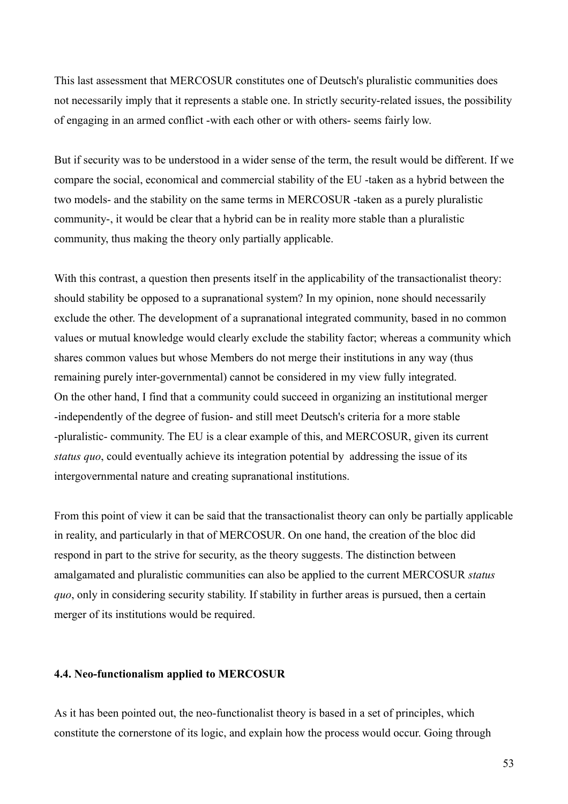This last assessment that MERCOSUR constitutes one of Deutsch's pluralistic communities does not necessarily imply that it represents a stable one. In strictly security-related issues, the possibility of engaging in an armed conflict -with each other or with others- seems fairly low.

But if security was to be understood in a wider sense of the term, the result would be different. If we compare the social, economical and commercial stability of the EU -taken as a hybrid between the two models- and the stability on the same terms in MERCOSUR -taken as a purely pluralistic community-, it would be clear that a hybrid can be in reality more stable than a pluralistic community, thus making the theory only partially applicable.

With this contrast, a question then presents itself in the applicability of the transactionalist theory: should stability be opposed to a supranational system? In my opinion, none should necessarily exclude the other. The development of a supranational integrated community, based in no common values or mutual knowledge would clearly exclude the stability factor; whereas a community which shares common values but whose Members do not merge their institutions in any way (thus remaining purely inter-governmental) cannot be considered in my view fully integrated. On the other hand, I find that a community could succeed in organizing an institutional merger -independently of the degree of fusion- and still meet Deutsch's criteria for a more stable -pluralistic- community. The EU is a clear example of this, and MERCOSUR, given its current *status quo*, could eventually achieve its integration potential by addressing the issue of its intergovernmental nature and creating supranational institutions.

From this point of view it can be said that the transactionalist theory can only be partially applicable in reality, and particularly in that of MERCOSUR. On one hand, the creation of the bloc did respond in part to the strive for security, as the theory suggests. The distinction between amalgamated and pluralistic communities can also be applied to the current MERCOSUR *status quo*, only in considering security stability. If stability in further areas is pursued, then a certain merger of its institutions would be required.

## **4.4. Neo-functionalism applied to MERCOSUR**

As it has been pointed out, the neo-functionalist theory is based in a set of principles, which constitute the cornerstone of its logic, and explain how the process would occur. Going through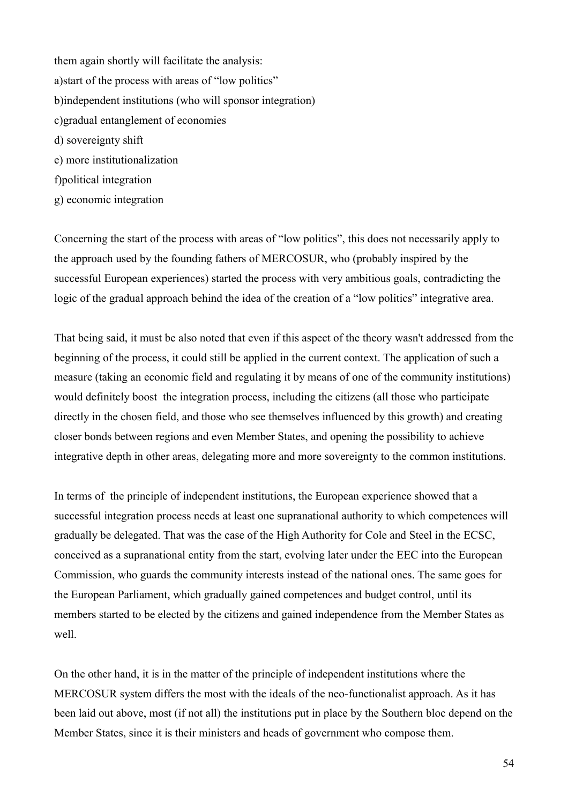them again shortly will facilitate the analysis: a)start of the process with areas of "low politics" b)independent institutions (who will sponsor integration) c)gradual entanglement of economies d) sovereignty shift e) more institutionalization f)political integration g) economic integration

Concerning the start of the process with areas of "low politics", this does not necessarily apply to the approach used by the founding fathers of MERCOSUR, who (probably inspired by the successful European experiences) started the process with very ambitious goals, contradicting the logic of the gradual approach behind the idea of the creation of a "low politics" integrative area.

That being said, it must be also noted that even if this aspect of the theory wasn't addressed from the beginning of the process, it could still be applied in the current context. The application of such a measure (taking an economic field and regulating it by means of one of the community institutions) would definitely boost the integration process, including the citizens (all those who participate directly in the chosen field, and those who see themselves influenced by this growth) and creating closer bonds between regions and even Member States, and opening the possibility to achieve integrative depth in other areas, delegating more and more sovereignty to the common institutions.

In terms of the principle of independent institutions, the European experience showed that a successful integration process needs at least one supranational authority to which competences will gradually be delegated. That was the case of the High Authority for Cole and Steel in the ECSC, conceived as a supranational entity from the start, evolving later under the EEC into the European Commission, who guards the community interests instead of the national ones. The same goes for the European Parliament, which gradually gained competences and budget control, until its members started to be elected by the citizens and gained independence from the Member States as well.

On the other hand, it is in the matter of the principle of independent institutions where the MERCOSUR system differs the most with the ideals of the neo-functionalist approach. As it has been laid out above, most (if not all) the institutions put in place by the Southern bloc depend on the Member States, since it is their ministers and heads of government who compose them.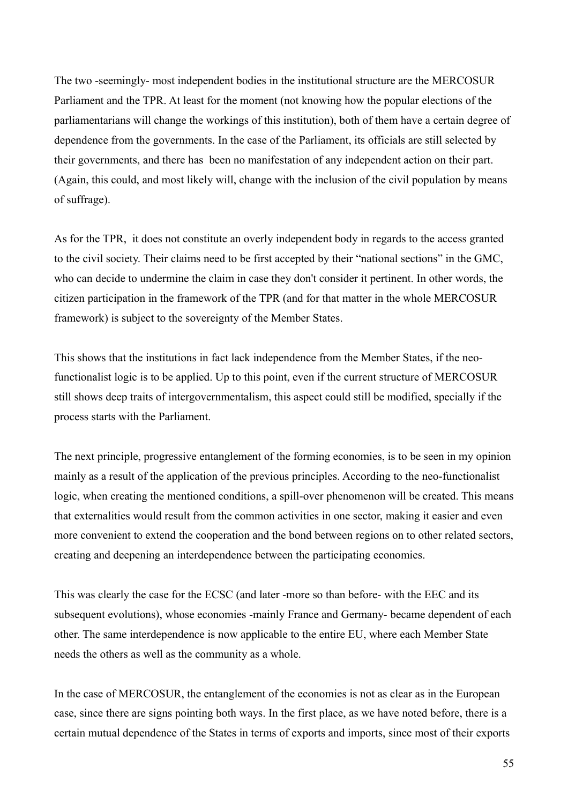The two -seemingly- most independent bodies in the institutional structure are the MERCOSUR Parliament and the TPR. At least for the moment (not knowing how the popular elections of the parliamentarians will change the workings of this institution), both of them have a certain degree of dependence from the governments. In the case of the Parliament, its officials are still selected by their governments, and there has been no manifestation of any independent action on their part. (Again, this could, and most likely will, change with the inclusion of the civil population by means of suffrage).

As for the TPR, it does not constitute an overly independent body in regards to the access granted to the civil society. Their claims need to be first accepted by their "national sections" in the GMC, who can decide to undermine the claim in case they don't consider it pertinent. In other words, the citizen participation in the framework of the TPR (and for that matter in the whole MERCOSUR framework) is subject to the sovereignty of the Member States.

This shows that the institutions in fact lack independence from the Member States, if the neofunctionalist logic is to be applied. Up to this point, even if the current structure of MERCOSUR still shows deep traits of intergovernmentalism, this aspect could still be modified, specially if the process starts with the Parliament.

The next principle, progressive entanglement of the forming economies, is to be seen in my opinion mainly as a result of the application of the previous principles. According to the neo-functionalist logic, when creating the mentioned conditions, a spill-over phenomenon will be created. This means that externalities would result from the common activities in one sector, making it easier and even more convenient to extend the cooperation and the bond between regions on to other related sectors, creating and deepening an interdependence between the participating economies.

This was clearly the case for the ECSC (and later -more so than before- with the EEC and its subsequent evolutions), whose economies -mainly France and Germany- became dependent of each other. The same interdependence is now applicable to the entire EU, where each Member State needs the others as well as the community as a whole.

In the case of MERCOSUR, the entanglement of the economies is not as clear as in the European case, since there are signs pointing both ways. In the first place, as we have noted before, there is a certain mutual dependence of the States in terms of exports and imports, since most of their exports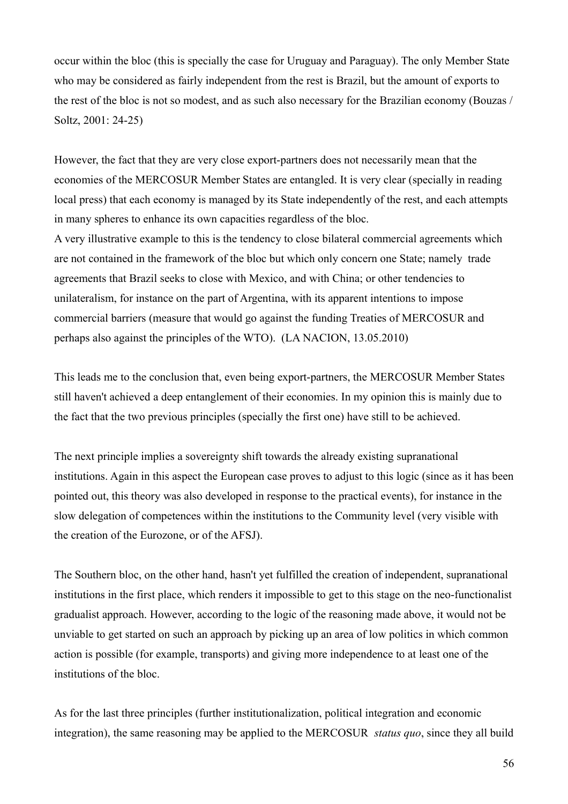occur within the bloc (this is specially the case for Uruguay and Paraguay). The only Member State who may be considered as fairly independent from the rest is Brazil, but the amount of exports to the rest of the bloc is not so modest, and as such also necessary for the Brazilian economy (Bouzas / Soltz, 2001: 24-25)

However, the fact that they are very close export-partners does not necessarily mean that the economies of the MERCOSUR Member States are entangled. It is very clear (specially in reading local press) that each economy is managed by its State independently of the rest, and each attempts in many spheres to enhance its own capacities regardless of the bloc.

A very illustrative example to this is the tendency to close bilateral commercial agreements which are not contained in the framework of the bloc but which only concern one State; namely trade agreements that Brazil seeks to close with Mexico, and with China; or other tendencies to unilateralism, for instance on the part of Argentina, with its apparent intentions to impose commercial barriers (measure that would go against the funding Treaties of MERCOSUR and perhaps also against the principles of the WTO). (LA NACION, 13.05.2010)

This leads me to the conclusion that, even being export-partners, the MERCOSUR Member States still haven't achieved a deep entanglement of their economies. In my opinion this is mainly due to the fact that the two previous principles (specially the first one) have still to be achieved.

The next principle implies a sovereignty shift towards the already existing supranational institutions. Again in this aspect the European case proves to adjust to this logic (since as it has been pointed out, this theory was also developed in response to the practical events), for instance in the slow delegation of competences within the institutions to the Community level (very visible with the creation of the Eurozone, or of the AFSJ).

The Southern bloc, on the other hand, hasn't yet fulfilled the creation of independent, supranational institutions in the first place, which renders it impossible to get to this stage on the neo-functionalist gradualist approach. However, according to the logic of the reasoning made above, it would not be unviable to get started on such an approach by picking up an area of low politics in which common action is possible (for example, transports) and giving more independence to at least one of the institutions of the bloc.

As for the last three principles (further institutionalization, political integration and economic integration), the same reasoning may be applied to the MERCOSUR *status quo*, since they all build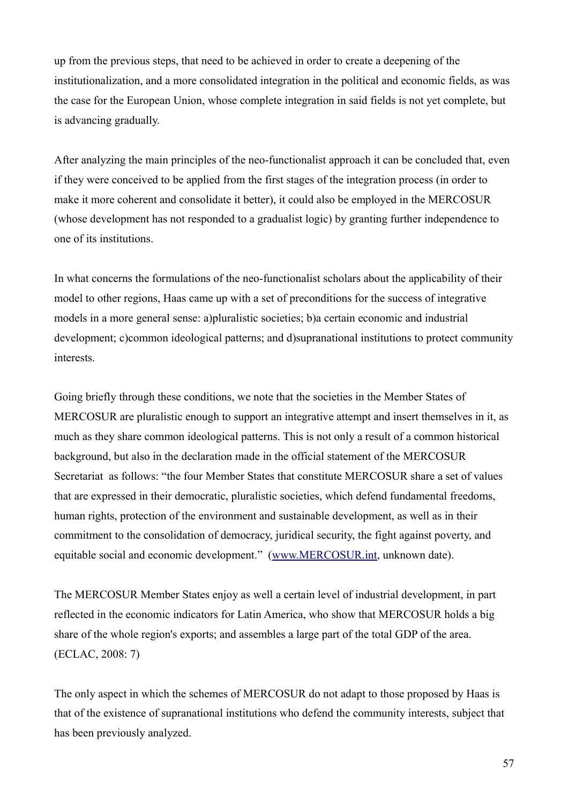up from the previous steps, that need to be achieved in order to create a deepening of the institutionalization, and a more consolidated integration in the political and economic fields, as was the case for the European Union, whose complete integration in said fields is not yet complete, but is advancing gradually.

After analyzing the main principles of the neo-functionalist approach it can be concluded that, even if they were conceived to be applied from the first stages of the integration process (in order to make it more coherent and consolidate it better), it could also be employed in the MERCOSUR (whose development has not responded to a gradualist logic) by granting further independence to one of its institutions.

In what concerns the formulations of the neo-functionalist scholars about the applicability of their model to other regions, Haas came up with a set of preconditions for the success of integrative models in a more general sense: a)pluralistic societies; b)a certain economic and industrial development; c)common ideological patterns; and d)supranational institutions to protect community interests.

Going briefly through these conditions, we note that the societies in the Member States of MERCOSUR are pluralistic enough to support an integrative attempt and insert themselves in it, as much as they share common ideological patterns. This is not only a result of a common historical background, but also in the declaration made in the official statement of the MERCOSUR Secretariat as follows: "the four Member States that constitute MERCOSUR share a set of values that are expressed in their democratic, pluralistic societies, which defend fundamental freedoms, human rights, protection of the environment and sustainable development, as well as in their commitment to the consolidation of democracy, juridical security, the fight against poverty, and equitable social and economic development." [\(www.MERCOSUR.int,](http://www.mercosur.int/) unknown date).

The MERCOSUR Member States enjoy as well a certain level of industrial development, in part reflected in the economic indicators for Latin America, who show that MERCOSUR holds a big share of the whole region's exports; and assembles a large part of the total GDP of the area. (ECLAC, 2008: 7)

The only aspect in which the schemes of MERCOSUR do not adapt to those proposed by Haas is that of the existence of supranational institutions who defend the community interests, subject that has been previously analyzed.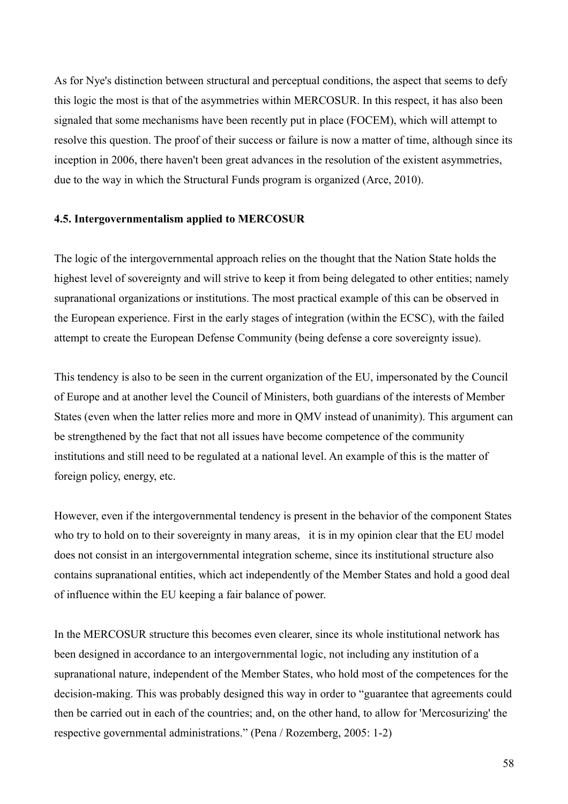As for Nye's distinction between structural and perceptual conditions, the aspect that seems to defy this logic the most is that of the asymmetries within MERCOSUR. In this respect, it has also been signaled that some mechanisms have been recently put in place (FOCEM), which will attempt to resolve this question. The proof of their success or failure is now a matter of time, although since its inception in 2006, there haven't been great advances in the resolution of the existent asymmetries, due to the way in which the Structural Funds program is organized (Arce, 2010).

#### **4.5. Intergovernmentalism applied to MERCOSUR**

The logic of the intergovernmental approach relies on the thought that the Nation State holds the highest level of sovereignty and will strive to keep it from being delegated to other entities; namely supranational organizations or institutions. The most practical example of this can be observed in the European experience. First in the early stages of integration (within the ECSC), with the failed attempt to create the European Defense Community (being defense a core sovereignty issue).

This tendency is also to be seen in the current organization of the EU, impersonated by the Council of Europe and at another level the Council of Ministers, both guardians of the interests of Member States (even when the latter relies more and more in QMV instead of unanimity). This argument can be strengthened by the fact that not all issues have become competence of the community institutions and still need to be regulated at a national level. An example of this is the matter of foreign policy, energy, etc.

However, even if the intergovernmental tendency is present in the behavior of the component States who try to hold on to their sovereignty in many areas, it is in my opinion clear that the EU model does not consist in an intergovernmental integration scheme, since its institutional structure also contains supranational entities, which act independently of the Member States and hold a good deal of influence within the EU keeping a fair balance of power.

In the MERCOSUR structure this becomes even clearer, since its whole institutional network has been designed in accordance to an intergovernmental logic, not including any institution of a supranational nature, independent of the Member States, who hold most of the competences for the decision-making. This was probably designed this way in order to "guarantee that agreements could then be carried out in each of the countries; and, on the other hand, to allow for 'Mercosurizing' the respective governmental administrations." (Pena / Rozemberg, 2005: 1-2)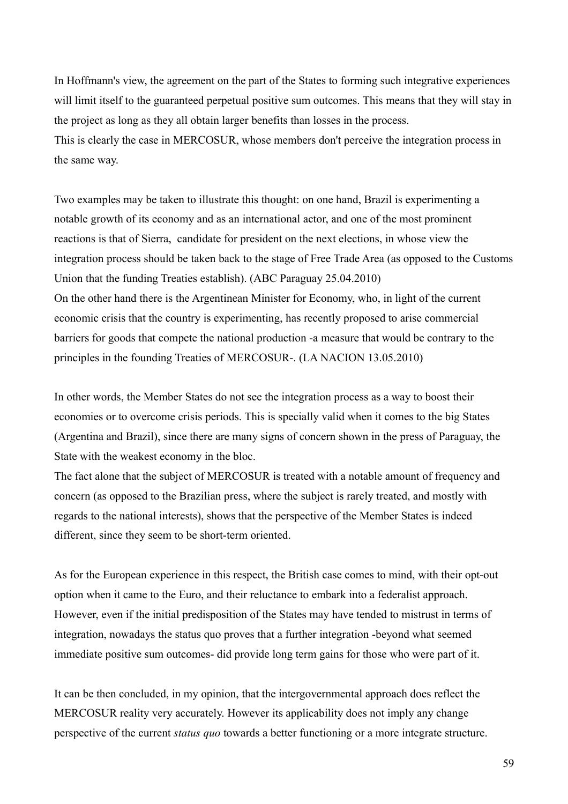In Hoffmann's view, the agreement on the part of the States to forming such integrative experiences will limit itself to the guaranteed perpetual positive sum outcomes. This means that they will stay in the project as long as they all obtain larger benefits than losses in the process. This is clearly the case in MERCOSUR, whose members don't perceive the integration process in the same way.

Two examples may be taken to illustrate this thought: on one hand, Brazil is experimenting a notable growth of its economy and as an international actor, and one of the most prominent reactions is that of Sierra, candidate for president on the next elections, in whose view the integration process should be taken back to the stage of Free Trade Area (as opposed to the Customs Union that the funding Treaties establish). (ABC Paraguay 25.04.2010) On the other hand there is the Argentinean Minister for Economy, who, in light of the current economic crisis that the country is experimenting, has recently proposed to arise commercial barriers for goods that compete the national production -a measure that would be contrary to the principles in the founding Treaties of MERCOSUR-. (LA NACION 13.05.2010)

In other words, the Member States do not see the integration process as a way to boost their economies or to overcome crisis periods. This is specially valid when it comes to the big States (Argentina and Brazil), since there are many signs of concern shown in the press of Paraguay, the State with the weakest economy in the bloc.

The fact alone that the subject of MERCOSUR is treated with a notable amount of frequency and concern (as opposed to the Brazilian press, where the subject is rarely treated, and mostly with regards to the national interests), shows that the perspective of the Member States is indeed different, since they seem to be short-term oriented.

As for the European experience in this respect, the British case comes to mind, with their opt-out option when it came to the Euro, and their reluctance to embark into a federalist approach. However, even if the initial predisposition of the States may have tended to mistrust in terms of integration, nowadays the status quo proves that a further integration -beyond what seemed immediate positive sum outcomes- did provide long term gains for those who were part of it.

It can be then concluded, in my opinion, that the intergovernmental approach does reflect the MERCOSUR reality very accurately. However its applicability does not imply any change perspective of the current *status quo* towards a better functioning or a more integrate structure.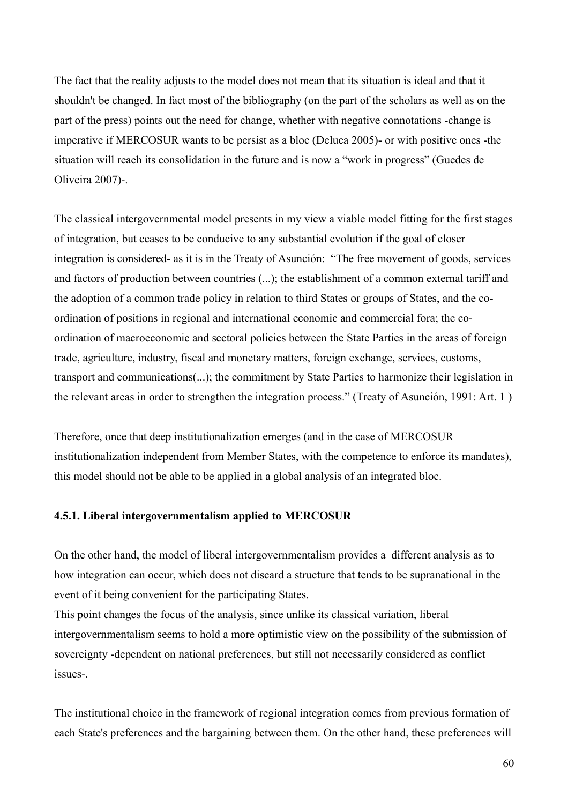The fact that the reality adjusts to the model does not mean that its situation is ideal and that it shouldn't be changed. In fact most of the bibliography (on the part of the scholars as well as on the part of the press) points out the need for change, whether with negative connotations -change is imperative if MERCOSUR wants to be persist as a bloc (Deluca 2005)- or with positive ones -the situation will reach its consolidation in the future and is now a "work in progress" (Guedes de Oliveira 2007)-.

The classical intergovernmental model presents in my view a viable model fitting for the first stages of integration, but ceases to be conducive to any substantial evolution if the goal of closer integration is considered- as it is in the Treaty of Asunción: "The free movement of goods, services and factors of production between countries (...); the establishment of a common external tariff and the adoption of a common trade policy in relation to third States or groups of States, and the coordination of positions in regional and international economic and commercial fora; the coordination of macroeconomic and sectoral policies between the State Parties in the areas of foreign trade, agriculture, industry, fiscal and monetary matters, foreign exchange, services, customs, transport and communications(...); the commitment by State Parties to harmonize their legislation in the relevant areas in order to strengthen the integration process." (Treaty of Asunción, 1991: Art. 1 )

Therefore, once that deep institutionalization emerges (and in the case of MERCOSUR institutionalization independent from Member States, with the competence to enforce its mandates), this model should not be able to be applied in a global analysis of an integrated bloc.

## **4.5.1. Liberal intergovernmentalism applied to MERCOSUR**

On the other hand, the model of liberal intergovernmentalism provides a different analysis as to how integration can occur, which does not discard a structure that tends to be supranational in the event of it being convenient for the participating States.

This point changes the focus of the analysis, since unlike its classical variation, liberal intergovernmentalism seems to hold a more optimistic view on the possibility of the submission of sovereignty -dependent on national preferences, but still not necessarily considered as conflict issues-.

The institutional choice in the framework of regional integration comes from previous formation of each State's preferences and the bargaining between them. On the other hand, these preferences will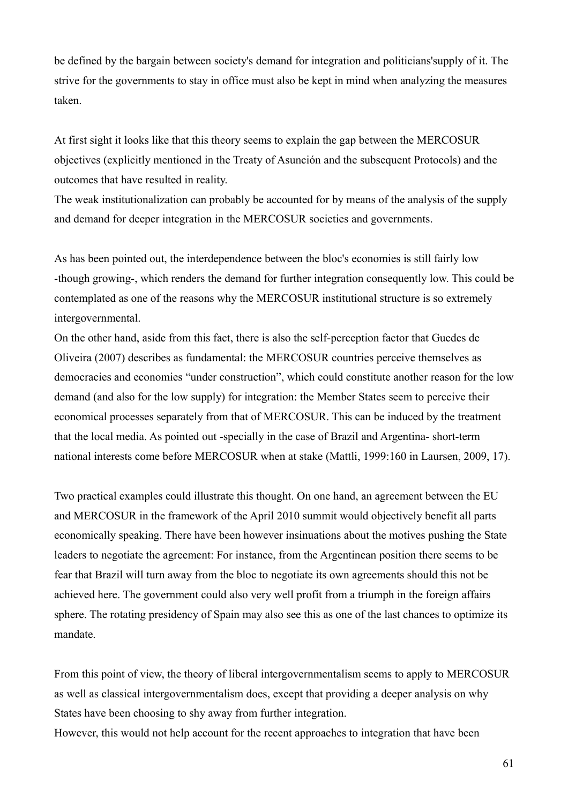be defined by the bargain between society's demand for integration and politicians'supply of it. The strive for the governments to stay in office must also be kept in mind when analyzing the measures taken.

At first sight it looks like that this theory seems to explain the gap between the MERCOSUR objectives (explicitly mentioned in the Treaty of Asunción and the subsequent Protocols) and the outcomes that have resulted in reality.

The weak institutionalization can probably be accounted for by means of the analysis of the supply and demand for deeper integration in the MERCOSUR societies and governments.

As has been pointed out, the interdependence between the bloc's economies is still fairly low -though growing-, which renders the demand for further integration consequently low. This could be contemplated as one of the reasons why the MERCOSUR institutional structure is so extremely intergovernmental.

On the other hand, aside from this fact, there is also the self-perception factor that Guedes de Oliveira (2007) describes as fundamental: the MERCOSUR countries perceive themselves as democracies and economies "under construction", which could constitute another reason for the low demand (and also for the low supply) for integration: the Member States seem to perceive their economical processes separately from that of MERCOSUR. This can be induced by the treatment that the local media. As pointed out -specially in the case of Brazil and Argentina- short-term national interests come before MERCOSUR when at stake (Mattli, 1999:160 in Laursen, 2009, 17).

Two practical examples could illustrate this thought. On one hand, an agreement between the EU and MERCOSUR in the framework of the April 2010 summit would objectively benefit all parts economically speaking. There have been however insinuations about the motives pushing the State leaders to negotiate the agreement: For instance, from the Argentinean position there seems to be fear that Brazil will turn away from the bloc to negotiate its own agreements should this not be achieved here. The government could also very well profit from a triumph in the foreign affairs sphere. The rotating presidency of Spain may also see this as one of the last chances to optimize its mandate.

From this point of view, the theory of liberal intergovernmentalism seems to apply to MERCOSUR as well as classical intergovernmentalism does, except that providing a deeper analysis on why States have been choosing to shy away from further integration.

However, this would not help account for the recent approaches to integration that have been

61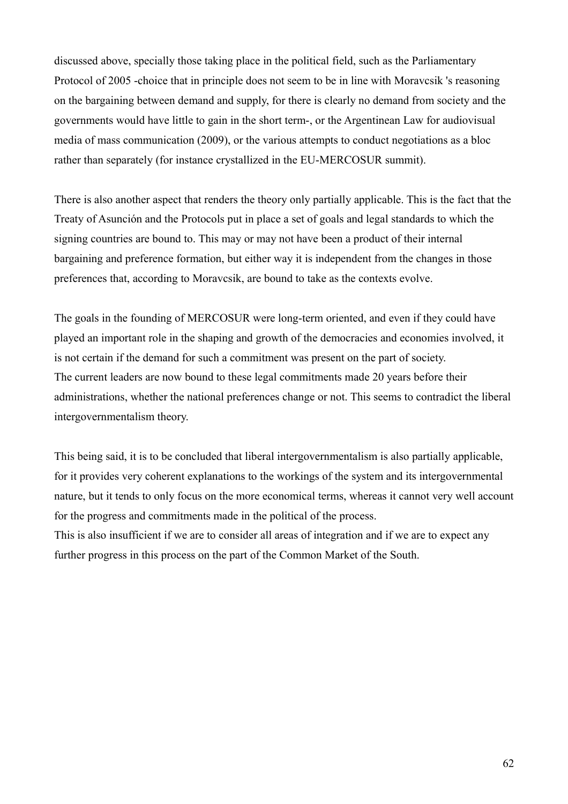discussed above, specially those taking place in the political field, such as the Parliamentary Protocol of 2005 -choice that in principle does not seem to be in line with Moravcsik 's reasoning on the bargaining between demand and supply, for there is clearly no demand from society and the governments would have little to gain in the short term-, or the Argentinean Law for audiovisual media of mass communication (2009), or the various attempts to conduct negotiations as a bloc rather than separately (for instance crystallized in the EU-MERCOSUR summit).

There is also another aspect that renders the theory only partially applicable. This is the fact that the Treaty of Asunción and the Protocols put in place a set of goals and legal standards to which the signing countries are bound to. This may or may not have been a product of their internal bargaining and preference formation, but either way it is independent from the changes in those preferences that, according to Moravcsik, are bound to take as the contexts evolve.

The goals in the founding of MERCOSUR were long-term oriented, and even if they could have played an important role in the shaping and growth of the democracies and economies involved, it is not certain if the demand for such a commitment was present on the part of society. The current leaders are now bound to these legal commitments made 20 years before their administrations, whether the national preferences change or not. This seems to contradict the liberal intergovernmentalism theory.

This being said, it is to be concluded that liberal intergovernmentalism is also partially applicable, for it provides very coherent explanations to the workings of the system and its intergovernmental nature, but it tends to only focus on the more economical terms, whereas it cannot very well account for the progress and commitments made in the political of the process. This is also insufficient if we are to consider all areas of integration and if we are to expect any further progress in this process on the part of the Common Market of the South.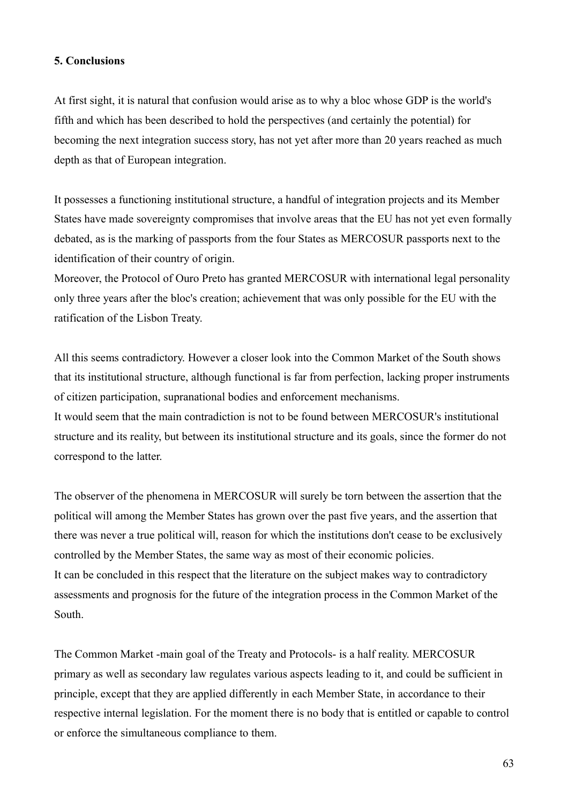## **5. Conclusions**

At first sight, it is natural that confusion would arise as to why a bloc whose GDP is the world's fifth and which has been described to hold the perspectives (and certainly the potential) for becoming the next integration success story, has not yet after more than 20 years reached as much depth as that of European integration.

It possesses a functioning institutional structure, a handful of integration projects and its Member States have made sovereignty compromises that involve areas that the EU has not yet even formally debated, as is the marking of passports from the four States as MERCOSUR passports next to the identification of their country of origin.

Moreover, the Protocol of Ouro Preto has granted MERCOSUR with international legal personality only three years after the bloc's creation; achievement that was only possible for the EU with the ratification of the Lisbon Treaty.

All this seems contradictory. However a closer look into the Common Market of the South shows that its institutional structure, although functional is far from perfection, lacking proper instruments of citizen participation, supranational bodies and enforcement mechanisms.

It would seem that the main contradiction is not to be found between MERCOSUR's institutional structure and its reality, but between its institutional structure and its goals, since the former do not correspond to the latter.

The observer of the phenomena in MERCOSUR will surely be torn between the assertion that the political will among the Member States has grown over the past five years, and the assertion that there was never a true political will, reason for which the institutions don't cease to be exclusively controlled by the Member States, the same way as most of their economic policies. It can be concluded in this respect that the literature on the subject makes way to contradictory assessments and prognosis for the future of the integration process in the Common Market of the South.

The Common Market -main goal of the Treaty and Protocols- is a half reality. MERCOSUR primary as well as secondary law regulates various aspects leading to it, and could be sufficient in principle, except that they are applied differently in each Member State, in accordance to their respective internal legislation. For the moment there is no body that is entitled or capable to control or enforce the simultaneous compliance to them.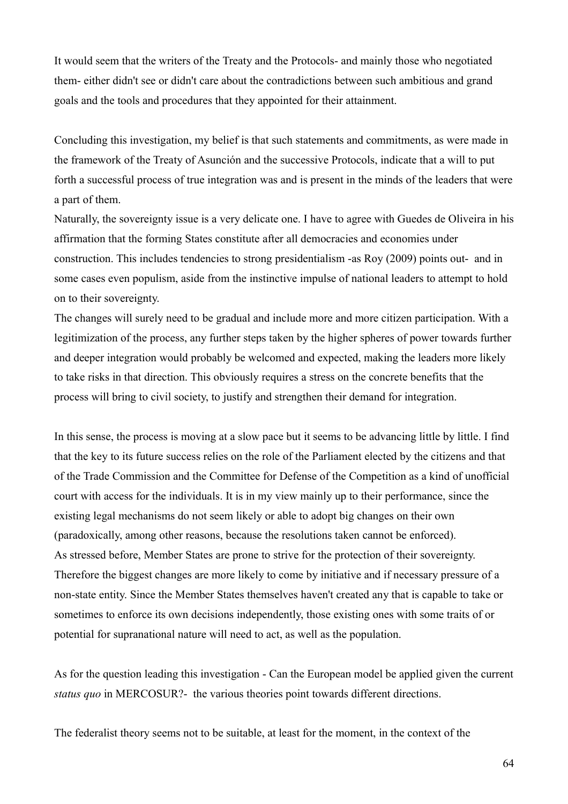It would seem that the writers of the Treaty and the Protocols- and mainly those who negotiated them- either didn't see or didn't care about the contradictions between such ambitious and grand goals and the tools and procedures that they appointed for their attainment.

Concluding this investigation, my belief is that such statements and commitments, as were made in the framework of the Treaty of Asunción and the successive Protocols, indicate that a will to put forth a successful process of true integration was and is present in the minds of the leaders that were a part of them.

Naturally, the sovereignty issue is a very delicate one. I have to agree with Guedes de Oliveira in his affirmation that the forming States constitute after all democracies and economies under construction. This includes tendencies to strong presidentialism -as Roy (2009) points out- and in some cases even populism, aside from the instinctive impulse of national leaders to attempt to hold on to their sovereignty.

The changes will surely need to be gradual and include more and more citizen participation. With a legitimization of the process, any further steps taken by the higher spheres of power towards further and deeper integration would probably be welcomed and expected, making the leaders more likely to take risks in that direction. This obviously requires a stress on the concrete benefits that the process will bring to civil society, to justify and strengthen their demand for integration.

In this sense, the process is moving at a slow pace but it seems to be advancing little by little. I find that the key to its future success relies on the role of the Parliament elected by the citizens and that of the Trade Commission and the Committee for Defense of the Competition as a kind of unofficial court with access for the individuals. It is in my view mainly up to their performance, since the existing legal mechanisms do not seem likely or able to adopt big changes on their own (paradoxically, among other reasons, because the resolutions taken cannot be enforced). As stressed before, Member States are prone to strive for the protection of their sovereignty. Therefore the biggest changes are more likely to come by initiative and if necessary pressure of a non-state entity. Since the Member States themselves haven't created any that is capable to take or sometimes to enforce its own decisions independently, those existing ones with some traits of or potential for supranational nature will need to act, as well as the population.

As for the question leading this investigation - Can the European model be applied given the current *status quo* in MERCOSUR?- the various theories point towards different directions.

The federalist theory seems not to be suitable, at least for the moment, in the context of the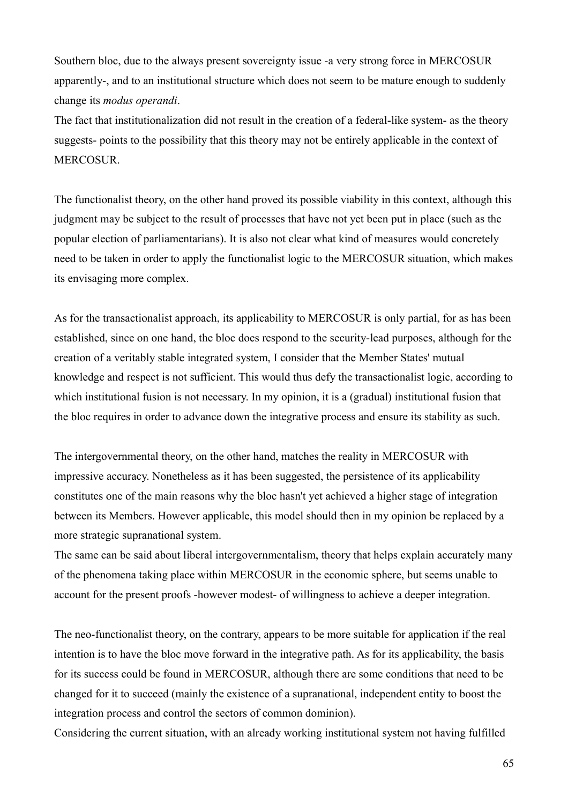Southern bloc, due to the always present sovereignty issue -a very strong force in MERCOSUR apparently-, and to an institutional structure which does not seem to be mature enough to suddenly change its *modus operandi*.

The fact that institutionalization did not result in the creation of a federal-like system- as the theory suggests- points to the possibility that this theory may not be entirely applicable in the context of MERCOSUR.

The functionalist theory, on the other hand proved its possible viability in this context, although this judgment may be subject to the result of processes that have not yet been put in place (such as the popular election of parliamentarians). It is also not clear what kind of measures would concretely need to be taken in order to apply the functionalist logic to the MERCOSUR situation, which makes its envisaging more complex.

As for the transactionalist approach, its applicability to MERCOSUR is only partial, for as has been established, since on one hand, the bloc does respond to the security-lead purposes, although for the creation of a veritably stable integrated system, I consider that the Member States' mutual knowledge and respect is not sufficient. This would thus defy the transactionalist logic, according to which institutional fusion is not necessary. In my opinion, it is a (gradual) institutional fusion that the bloc requires in order to advance down the integrative process and ensure its stability as such.

The intergovernmental theory, on the other hand, matches the reality in MERCOSUR with impressive accuracy. Nonetheless as it has been suggested, the persistence of its applicability constitutes one of the main reasons why the bloc hasn't yet achieved a higher stage of integration between its Members. However applicable, this model should then in my opinion be replaced by a more strategic supranational system.

The same can be said about liberal intergovernmentalism, theory that helps explain accurately many of the phenomena taking place within MERCOSUR in the economic sphere, but seems unable to account for the present proofs -however modest- of willingness to achieve a deeper integration.

The neo-functionalist theory, on the contrary, appears to be more suitable for application if the real intention is to have the bloc move forward in the integrative path. As for its applicability, the basis for its success could be found in MERCOSUR, although there are some conditions that need to be changed for it to succeed (mainly the existence of a supranational, independent entity to boost the integration process and control the sectors of common dominion).

Considering the current situation, with an already working institutional system not having fulfilled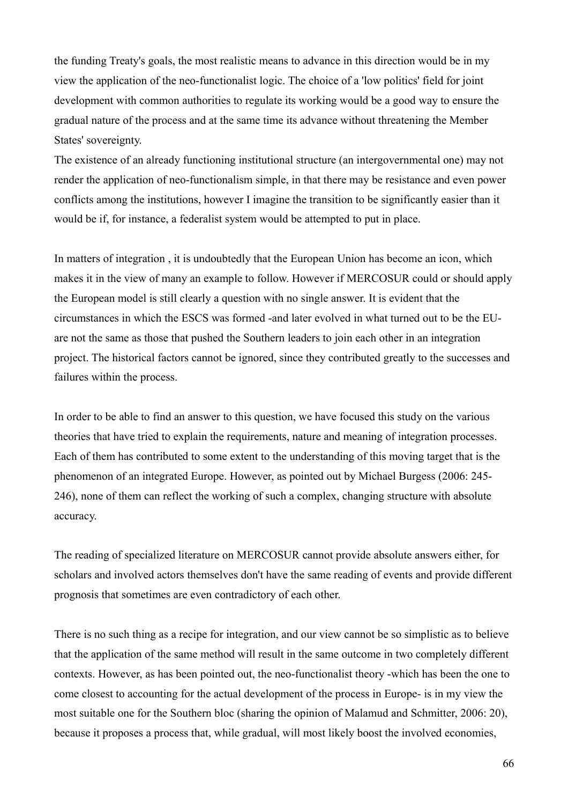the funding Treaty's goals, the most realistic means to advance in this direction would be in my view the application of the neo-functionalist logic. The choice of a 'low politics' field for joint development with common authorities to regulate its working would be a good way to ensure the gradual nature of the process and at the same time its advance without threatening the Member States' sovereignty.

The existence of an already functioning institutional structure (an intergovernmental one) may not render the application of neo-functionalism simple, in that there may be resistance and even power conflicts among the institutions, however I imagine the transition to be significantly easier than it would be if, for instance, a federalist system would be attempted to put in place.

In matters of integration , it is undoubtedly that the European Union has become an icon, which makes it in the view of many an example to follow. However if MERCOSUR could or should apply the European model is still clearly a question with no single answer. It is evident that the circumstances in which the ESCS was formed -and later evolved in what turned out to be the EUare not the same as those that pushed the Southern leaders to join each other in an integration project. The historical factors cannot be ignored, since they contributed greatly to the successes and failures within the process.

In order to be able to find an answer to this question, we have focused this study on the various theories that have tried to explain the requirements, nature and meaning of integration processes. Each of them has contributed to some extent to the understanding of this moving target that is the phenomenon of an integrated Europe. However, as pointed out by Michael Burgess (2006: 245- 246), none of them can reflect the working of such a complex, changing structure with absolute accuracy.

The reading of specialized literature on MERCOSUR cannot provide absolute answers either, for scholars and involved actors themselves don't have the same reading of events and provide different prognosis that sometimes are even contradictory of each other.

There is no such thing as a recipe for integration, and our view cannot be so simplistic as to believe that the application of the same method will result in the same outcome in two completely different contexts. However, as has been pointed out, the neo-functionalist theory -which has been the one to come closest to accounting for the actual development of the process in Europe- is in my view the most suitable one for the Southern bloc (sharing the opinion of Malamud and Schmitter, 2006: 20), because it proposes a process that, while gradual, will most likely boost the involved economies,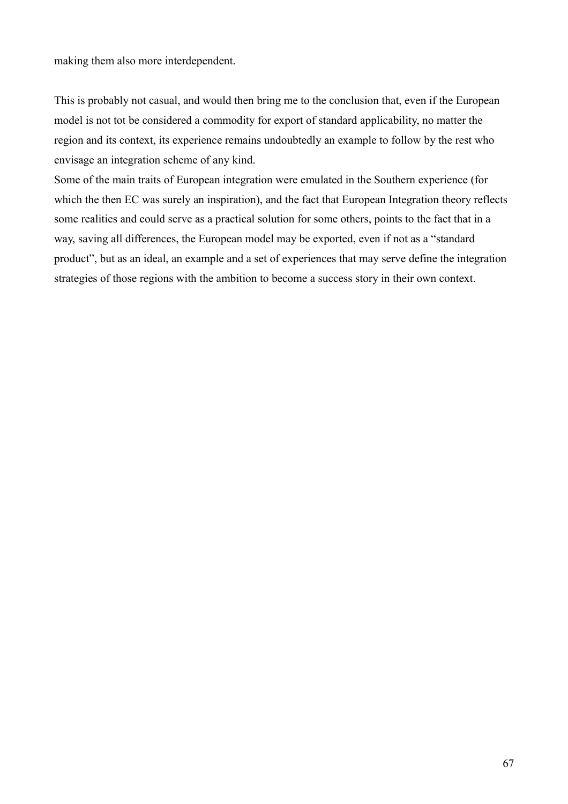making them also more interdependent.

This is probably not casual, and would then bring me to the conclusion that, even if the European model is not tot be considered a commodity for export of standard applicability, no matter the region and its context, its experience remains undoubtedly an example to follow by the rest who envisage an integration scheme of any kind.

Some of the main traits of European integration were emulated in the Southern experience (for which the then EC was surely an inspiration), and the fact that European Integration theory reflects some realities and could serve as a practical solution for some others, points to the fact that in a way, saving all differences, the European model may be exported, even if not as a "standard product", but as an ideal, an example and a set of experiences that may serve define the integration strategies of those regions with the ambition to become a success story in their own context.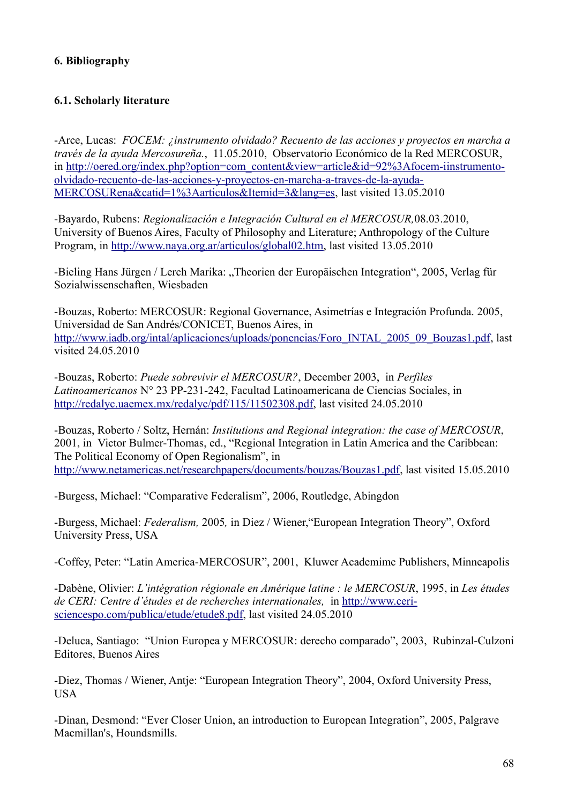# **6. Bibliography**

# **6.1. Scholarly literature**

-Arce, Lucas:*FOCEM: ¿instrumento olvidado? Recuento de las acciones y proyectos en marcha a través de la ayuda Mercosureña.*, 11.05.2010, Observatorio Económico de la Red MERCOSUR, in [http://oered.org/index.php?option=com\\_content&view=article&id=92%3Afocem-iinstrumento](http://oered.org/index.php?option=com_content&view=article&id=92%3Afocem-iinstrumento-olvidado-recuento-de-las-acciones-y-proyectos-en-marcha-a-traves-de-la-ayuda-mercosurena&catid=1%3Aarticulos&Itemid=3&lang=es)[olvidado-recuento-de-las-acciones-y-proyectos-en-marcha-a-traves-de-la-ayuda-](http://oered.org/index.php?option=com_content&view=article&id=92%3Afocem-iinstrumento-olvidado-recuento-de-las-acciones-y-proyectos-en-marcha-a-traves-de-la-ayuda-mercosurena&catid=1%3Aarticulos&Itemid=3&lang=es)[MERCOSURena&catid=1%3Aarticulos&Itemid=3&lang=es,](http://oered.org/index.php?option=com_content&view=article&id=92%3Afocem-iinstrumento-olvidado-recuento-de-las-acciones-y-proyectos-en-marcha-a-traves-de-la-ayuda-mercosurena&catid=1%3Aarticulos&Itemid=3&lang=es) last visited 13.05.2010

-Bayardo, Rubens: *Regionalización e Integración Cultural en el MERCOSUR,*08.03.2010, University of Buenos Aires, Faculty of Philosophy and Literature; Anthropology of the Culture Program, in [http://www.naya.org.ar/articulos/global02.htm,](http://www.naya.org.ar/articulos/global02.htm) last visited 13.05.2010

-Bieling Hans Jürgen / Lerch Marika: "Theorien der Europäischen Integration", 2005, Verlag für Sozialwissenschaften, Wiesbaden

-Bouzas, Roberto: MERCOSUR: Regional Governance, Asimetrías e Integración Profunda. 2005, Universidad de San Andrés/CONICET, Buenos Aires, in [http://www.iadb.org/intal/aplicaciones/uploads/ponencias/Foro\\_INTAL\\_2005\\_09\\_Bouzas1.pdf,](http://www.iadb.org/intal/aplicaciones/uploads/ponencias/Foro_INTAL_2005_09_Bouzas1.pdf) last visited 24.05.2010

-Bouzas, Roberto: *Puede sobrevivir el MERCOSUR?*, December 2003, in *Perfiles Latinoamericanos* N° 23 PP-231-242, Facultad Latinoamericana de Ciencias Sociales, in [http://redalyc.uaemex.mx/redalyc/pdf/115/11502308.pdf,](http://redalyc.uaemex.mx/redalyc/pdf/115/11502308.pdf) last visited 24.05.2010

-Bouzas, Roberto / Soltz, Hernán: *Institutions and Regional integration: the case of MERCOSUR*, 2001, in Victor Bulmer-Thomas, ed., "Regional Integration in Latin America and the Caribbean: The Political Economy of Open Regionalism", in [http://www.netamericas.net/researchpapers/documents/bouzas/Bouzas1.pdf,](http://www.netamericas.net/researchpapers/documents/bouzas/Bouzas1.pdf) last visited 15.05.2010

-Burgess, Michael: "Comparative Federalism", 2006, Routledge, Abingdon

-Burgess, Michael: *Federalism,* 2005*,* in Diez / Wiener,"European Integration Theory", Oxford University Press, USA

-Coffey, Peter: "Latin America-MERCOSUR", 2001, Kluwer Academimc Publishers, Minneapolis

-Dabène, Olivier: *L'intégration régionale en Amérique latine : le MERCOSUR*, 1995, in *Les études de CERI: Centre d'études et de recherches internationales,* in [http://www.ceri](http://www.ceri-sciencespo.com/publica/etude/etude8.pdf)[sciencespo.com/publica/etude/etude8.pdf,](http://www.ceri-sciencespo.com/publica/etude/etude8.pdf) last visited 24.05.2010

-Deluca, Santiago: "Union Europea y MERCOSUR: derecho comparado", 2003, Rubinzal-Culzoni Editores, Buenos Aires

-Diez, Thomas / Wiener, Antje: "European Integration Theory", 2004, Oxford University Press, USA

-Dinan, Desmond: "Ever Closer Union, an introduction to European Integration", 2005, Palgrave Macmillan's, Houndsmills.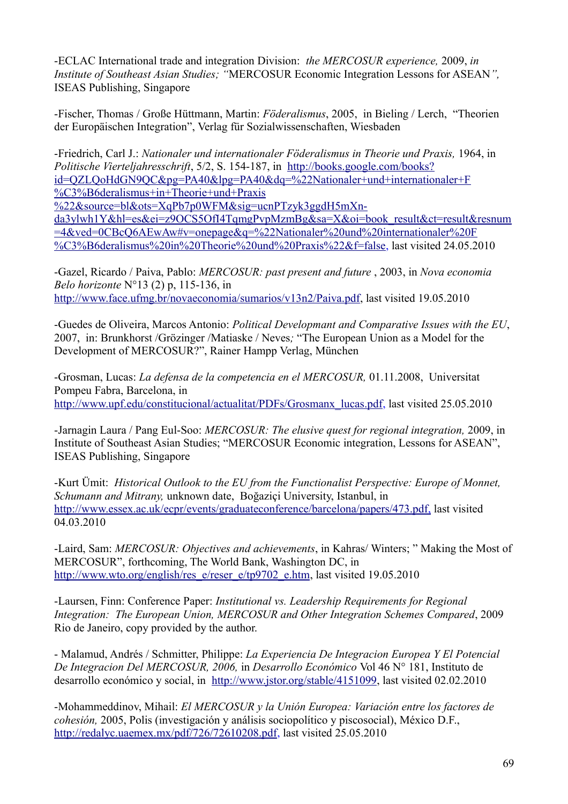-ECLAC International trade and integration Division: *the MERCOSUR experience,* 2009, *in Institute of Southeast Asian Studies; "*MERCOSUR Economic Integration Lessons for ASEAN*",* ISEAS Publishing, Singapore

-Fischer, Thomas / Große Hüttmann, Martin: *Föderalismus*, 2005, in Bieling / Lerch, "Theorien der Europäischen Integration", Verlag für Sozialwissenschaften, Wiesbaden

-Friedrich, Carl J.: *Nationaler und internationaler Föderalismus in Theorie und Praxis,* 1964, in *Politische Vierteljahresschrift*, 5/2, S. 154-187, in [http://books.google.com/books?](http://books.google.com/books?id=QZLQoHdGN9QC&pg=PA40&lpg=PA40&dq=#v=onepage&q=) id=QZLQoHdGN9QC&pg=PA40&lpg=PA40&dq=%22Nationaler+und+internationaler+F %C3%B6deralismus+in+Theorie+und+Praxis

%22&source=bl&ots=XqPb7p0WFM&sig=ucnPTzyk3ggdH5mXn-

[da3ylwh1Y&hl=es&ei=z9OCS5OfI4TqmgPvpMzmBg&sa=X&oi=book\\_result&ct=result&resnum](http://books.google.com/books?id=QZLQoHdGN9QC&pg=PA40&lpg=PA40&dq=#v=onepage&q=) =4&ved=0CBcQ6AEwAw#v=onepage&q=%22Nationaler%20und%20internationaler%20F [%C3%B6deralismus%20in%20Theorie%20und%20Praxis%22&f=false,](http://books.google.com/books?id=QZLQoHdGN9QC&pg=PA40&lpg=PA40&dq=#v=onepage&q=) last visited 24.05.2010

-Gazel, Ricardo / Paiva, Pablo: *MERCOSUR: past present and future* , 2003, in *Nova economia Belo horizonte* N°13 (2) p, 115-136, in [http://www.face.ufmg.br/novaeconomia/sumarios/v13n2/Paiva.pdf,](http://www.face.ufmg.br/novaeconomia/sumarios/v13n2/Paiva.pdf) last visited 19.05.2010

-Guedes de Oliveira, Marcos Antonio: *Political Developmant and Comparative Issues with the EU*, 2007,in: Brunkhorst /Grözinger /Matiaske / Neves*;* "The European Union as a Model for the Development of MERCOSUR?", Rainer Hampp Verlag, München

-Grosman, Lucas: *La defensa de la competencia en el MERCOSUR,* 01.11.2008, Universitat Pompeu Fabra, Barcelona, in [http://www.upf.edu/constitucional/actualitat/PDFs/Grosmanx\\_lucas.pdf,](http://www.upf.edu/constitucional/actualitat/PDFs/Grosmanx_lucas.pdf) last visited 25.05.2010

-Jarnagin Laura / Pang Eul-Soo: *MERCOSUR: The elusive quest for regional integration,* 2009, in Institute of Southeast Asian Studies; "MERCOSUR Economic integration, Lessons for ASEAN", ISEAS Publishing, Singapore

-Kurt Ümit: *Historical Outlook to the EU from the Functionalist Perspective: Europe of Monnet, Schumann and Mitrany,* unknown date, Boğaziçi University, Istanbul, in  [http://www.essex.ac.uk/ecpr/events/graduateconference/barcelona/papers/473.pdf,](http://www.essex.ac.uk/ecpr/events/graduateconference/barcelona/papers/473.pdf) last visited 04.03.2010

-Laird, Sam: *MERCOSUR: Objectives and achievements*, in Kahras/ Winters; " Making the Most of MERCOSUR", forthcoming, The World Bank, Washington DC, in [http://www.wto.org/english/res\\_e/reser\\_e/tp9702\\_e.htm,](http://www.wto.org/english/res_e/reser_e/tp9702_e.htm) last visited 19.05.2010

-Laursen, Finn: Conference Paper: *Institutional vs. Leadership Requirements for Regional Integration: The European Union, MERCOSUR and Other Integration Schemes Compared*, 2009 Rio de Janeiro, copy provided by the author.

- Malamud, Andrés / Schmitter, Philippe: *La Experiencia De Integracion Europea Y El Potencial De Integracion Del MERCOSUR, 2006,* in *Desarrollo Económico* Vol 46 N° 181, Instituto de desarrollo económico y social, in [http://www.jstor.org/stable/4151099,](http://www.jstor.org/stable/4151099) last visited 02.02.2010

-Mohammeddinov, Mihail: *El MERCOSUR y la Unión Europea: Variación entre los factores de cohesión,* 2005, Polis (investigación y análisis sociopolítico y piscosocial), México D.F., [http://redalyc.uaemex.mx/pdf/726/72610208.pdf,](http://redalyc.uaemex.mx/pdf/726/72610208.pdf) last visited 25.05.2010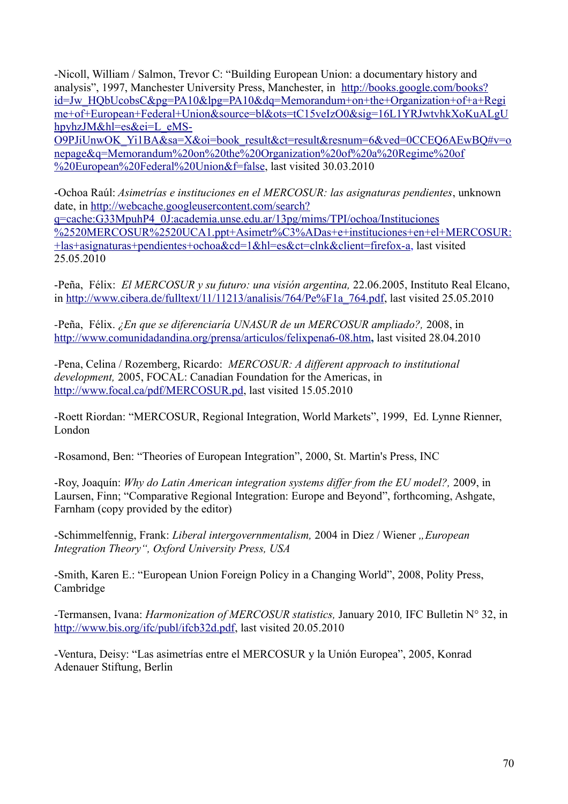-Nicoll, William / Salmon, Trevor C: "Building European Union: a documentary history and analysis", 1997, Manchester University Press, Manchester, in [http://books.google.com/books?](http://books.google.com/books?id=Jw_HQbUcobsC&pg=PA10&lpg=PA10&dq=Memorandum+on+the+Organization+of+a+Regime+of+European+Federal+Union&source=bl&ots=tC15veIzO0&sig=16L1YRJwtvhkXoKuALgUhpyhzJM&hl=es&ei=L_eMS-O9PJiUnwOK_Yi1BA&sa=X&oi=book_result&ct=result&resnum=6&ved=0CCEQ6AEwBQ#v=onepage&q=Memorandum%20on%20the%20Organization%20of%20a%20Regime%20of%20European%20Federal%20Union&f=false) id=Jw\_HQbUcobsC&pg=PA10&lpg=PA10&dq=Memorandum+on+the+Organization+of+a+Regi me+of+European+Federal+Union&source=bl&ots=tC15veIzO0&sig=16L1YRJwtvhkXoKuALgU hpyhzJM&hl=es&ei=L\_eMS-

[O9PJiUnwOK\\_Yi1BA&sa=X&oi=book\\_result&ct=result&resnum=6&ved=0CCEQ6AEwBQ#v=o](http://books.google.com/books?id=Jw_HQbUcobsC&pg=PA10&lpg=PA10&dq=Memorandum+on+the+Organization+of+a+Regime+of+European+Federal+Union&source=bl&ots=tC15veIzO0&sig=16L1YRJwtvhkXoKuALgUhpyhzJM&hl=es&ei=L_eMS-O9PJiUnwOK_Yi1BA&sa=X&oi=book_result&ct=result&resnum=6&ved=0CCEQ6AEwBQ#v=onepage&q=Memorandum%20on%20the%20Organization%20of%20a%20Regime%20of%20European%20Federal%20Union&f=false) nepage&q=Memorandum%20on%20the%20Organization%20of%20a%20Regime%20of [%20European%20Federal%20Union&f=false,](http://books.google.com/books?id=Jw_HQbUcobsC&pg=PA10&lpg=PA10&dq=Memorandum+on+the+Organization+of+a+Regime+of+European+Federal+Union&source=bl&ots=tC15veIzO0&sig=16L1YRJwtvhkXoKuALgUhpyhzJM&hl=es&ei=L_eMS-O9PJiUnwOK_Yi1BA&sa=X&oi=book_result&ct=result&resnum=6&ved=0CCEQ6AEwBQ#v=onepage&q=Memorandum%20on%20the%20Organization%20of%20a%20Regime%20of%20European%20Federal%20Union&f=false) last visited 30.03.2010

-Ochoa Raúl: *Asimetrías e instituciones en el MERCOSUR: las asignaturas pendientes*, unknown date, in [http://webcache.googleusercontent.com/search?](http://webcache.googleusercontent.com/search?q=cache:G33MpuhP4_0J:academia.unse.edu.ar/13pg/mims/TPI/ochoa/Instituciones%2520Mercosur%2520UCA1.ppt+Asimetr%C3%ADas+e+instituciones+en+el+MERCOSUR:+las+asignaturas+pendientes+ochoa&cd=1&hl=es&ct=clnk&client=firefox-a) [q=cache:G33MpuhP4\\_0J:academia.unse.edu.ar/13pg/mims/TPI/ochoa/Instituciones](http://webcache.googleusercontent.com/search?q=cache:G33MpuhP4_0J:academia.unse.edu.ar/13pg/mims/TPI/ochoa/Instituciones%2520Mercosur%2520UCA1.ppt+Asimetr%C3%ADas+e+instituciones+en+el+MERCOSUR:+las+asignaturas+pendientes+ochoa&cd=1&hl=es&ct=clnk&client=firefox-a) [%2520MERCOSUR%2520UCA1.ppt+Asimetr%C3%ADas+e+instituciones+en+el+MERCOSUR:](http://webcache.googleusercontent.com/search?q=cache:G33MpuhP4_0J:academia.unse.edu.ar/13pg/mims/TPI/ochoa/Instituciones%2520Mercosur%2520UCA1.ppt+Asimetr%C3%ADas+e+instituciones+en+el+MERCOSUR:+las+asignaturas+pendientes+ochoa&cd=1&hl=es&ct=clnk&client=firefox-a) [+las+asignaturas+pendientes+ochoa&cd=1&hl=es&ct=clnk&client=firefox-a,](http://webcache.googleusercontent.com/search?q=cache:G33MpuhP4_0J:academia.unse.edu.ar/13pg/mims/TPI/ochoa/Instituciones%2520Mercosur%2520UCA1.ppt+Asimetr%C3%ADas+e+instituciones+en+el+MERCOSUR:+las+asignaturas+pendientes+ochoa&cd=1&hl=es&ct=clnk&client=firefox-a) last visited 25.05.2010

-Peña, Félix: *El MERCOSUR y su futuro: una visión argentina,* 22.06.2005, Instituto Real Elcano, in [http://www.cibera.de/fulltext/11/11213/analisis/764/Pe%F1a\\_764.pdf,](http://www.cibera.de/fulltext/11/11213/analisis/764/Pe%F1a_764.pdf) last visited 25.05.2010

*-*Peña, Félix. *¿En que se diferenciaría UNASUR de un MERCOSUR ampliado?,* 2008, in <http://www.comunidadandina.org/prensa/articulos/felixpena6-08.htm>**,** last visited 28.04.2010

*-*Pena, Celina / Rozemberg, Ricardo: *MERCOSUR: A different approach to institutional development,* 2005, FOCAL: Canadian Foundation for the Americas, in [http://www.focal.ca/pdf/MERCOSUR.pd,](http://www.focal.ca/pdf/mercosur.pd) last visited 15.05.2010

-Roett Riordan: "MERCOSUR, Regional Integration, World Markets", 1999, Ed. Lynne Rienner, London

-Rosamond, Ben: "Theories of European Integration", 2000, St. Martin's Press, INC

-Roy, Joaquín: *Why do Latin American integration systems differ from the EU model?,* 2009, in Laursen, Finn; "Comparative Regional Integration: Europe and Beyond", forthcoming, Ashgate, Farnham (copy provided by the editor)

-Schimmelfennig, Frank: *Liberal intergovernmentalism*, 2004 in Diez / Wiener "European *Integration Theory", Oxford University Press, USA*

-Smith, Karen E.: "European Union Foreign Policy in a Changing World", 2008, Polity Press, Cambridge

-Termansen, Ivana: *Harmonization of MERCOSUR statistics,* January 2010*,* IFC Bulletin N° 32, in [http://www.bis.org/ifc/publ/ifcb32d.pdf,](http://www.bis.org/ifc/publ/ifcb32d.pdf) last visited 20.05.2010

-Ventura, Deisy: "Las asimetrías entre el MERCOSUR y la Unión Europea", 2005, Konrad Adenauer Stiftung, Berlin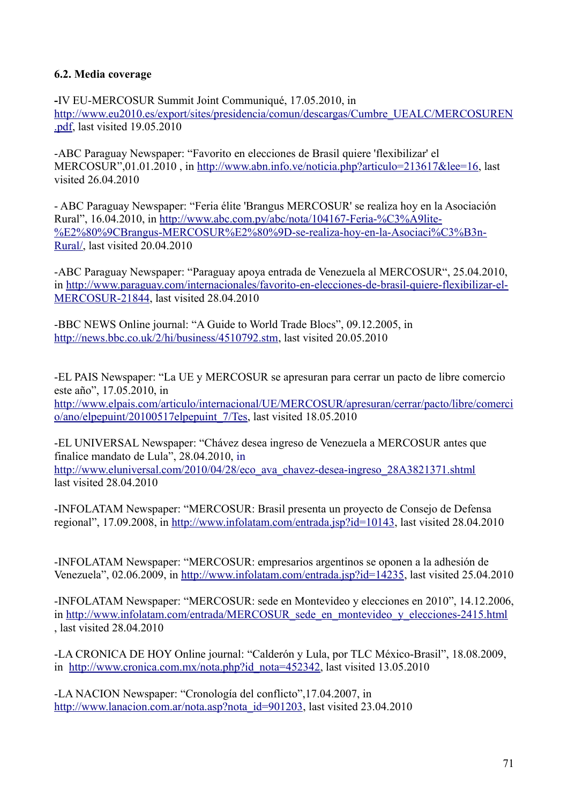## **6.2. Media coverage**

**-**IV EU-MERCOSUR Summit Joint Communiqué, 17.05.2010, in [http://www.eu2010.es/export/sites/presidencia/comun/descargas/Cumbre\\_UEALC/MERCOSUREN](http://www.eu2010.es/export/sites/presidencia/comun/descargas/Cumbre_UEALC/mercosurEN.pdf) [.pdf,](http://www.eu2010.es/export/sites/presidencia/comun/descargas/Cumbre_UEALC/mercosurEN.pdf) last visited 19.05.2010

-ABC Paraguay Newspaper: "Favorito en elecciones de Brasil quiere 'flexibilizar' el MERCOSUR",01.01.2010 , in [http://www.abn.info.ve/noticia.php?articulo=213617&lee=16,](http://www.abn.info.ve/noticia.php?articulo=213617&lee=16) last visited 26.04.2010

- ABC Paraguay Newspaper: "Feria élite 'Brangus MERCOSUR' se realiza hoy en la Asociación Rural", 16.04.2010, in [http://www.abc.com.py/abc/nota/104167-Feria-%C3%A9lite-](http://www.abc.com.py/abc/nota/104167-Feria-%C3%A9lite-%E2%80%9CBrangus-Mercosur) [%E2%80%9CBrangus-MERCOSUR%E2%80%9D-se-realiza-hoy-en-la-Asociaci%C3%B3n-](http://www.abc.com.py/abc/nota/104167-Feria-%C3%A9lite-%E2%80%9CBrangus-Mercosur)[Rural/,](http://www.abc.com.py/abc/nota/104167-Feria-%C3%A9lite-%E2%80%9CBrangus-Mercosur) last visited 20.04.2010

-ABC Paraguay Newspaper: "Paraguay apoya entrada de Venezuela al MERCOSUR", 25.04.2010, in [http://www.paraguay.com/internacionales/favorito-en-elecciones-de-brasil-quiere-flexibilizar-el-](http://www.paraguay.com/internacionales/favorito-en-elecciones-de-brasil-quiere-flexibilizar-el-mercosur-21844)[MERCOSUR-21844,](http://www.paraguay.com/internacionales/favorito-en-elecciones-de-brasil-quiere-flexibilizar-el-mercosur-21844) last visited 28.04.2010

-BBC NEWS Online journal: "A Guide to World Trade Blocs", 09.12.2005, in [http://news.bbc.co.uk/2/hi/business/4510792.stm,](http://news.bbc.co.uk/2/hi/business/4510792.stm) last visited 20.05.2010

-EL PAIS Newspaper: "La UE y MERCOSUR se apresuran para cerrar un pacto de libre comercio este año", 17.05.2010, in [http://www.elpais.com/articulo/internacional/UE/MERCOSUR/apresuran/cerrar/pacto/libre/comerci](http://www.elpais.com/articulo/internacional/UE/Mercosur/apresuran/cerrar/pacto/libre/comercio/ano/elpepuint/20100517elpepuint_7/Tes) [o/ano/elpepuint/20100517elpepuint\\_7/Tes,](http://www.elpais.com/articulo/internacional/UE/Mercosur/apresuran/cerrar/pacto/libre/comercio/ano/elpepuint/20100517elpepuint_7/Tes) last visited 18.05.2010

-EL UNIVERSAL Newspaper: "Chávez desea ingreso de Venezuela a MERCOSUR antes que finalice mandato de Lula", 28.04.2010, in [http://www.eluniversal.com/2010/04/28/eco\\_ava\\_chavez-desea-ingreso\\_28A3821371.shtml](http://www.eluniversal.com/2010/04/28/eco_ava_chavez-desea-ingreso_28A3821371.shtml) last visited 28.04.2010

-INFOLATAM Newspaper: "MERCOSUR: Brasil presenta un proyecto de Consejo de Defensa regional", 17.09.2008, in [http://www.infolatam.com/entrada.jsp?id=10143,](http://www.infolatam.com/entrada.jsp?id=10143) last visited 28.04.2010

-INFOLATAM Newspaper: "MERCOSUR: empresarios argentinos se oponen a la adhesión de Venezuela", 02.06.2009, in [http://www.infolatam.com/entrada.jsp?id=14235,](http://www.infolatam.com/entrada.jsp?id=14235) last visited 25.04.2010

-INFOLATAM Newspaper: "MERCOSUR: sede en Montevideo y elecciones en 2010", 14.12.2006, in http://www.infolatam.com/entrada/MERCOSUR\_sede\_en\_montevideo\_y\_elecciones-2415.html , last visited 28.04.2010

-LA CRONICA DE HOY Online journal: "Calderón y Lula, por TLC México-Brasil", 18.08.2009, in [http://www.cronica.com.mx/nota.php?id\\_nota=452342,](http://www.cronica.com.mx/nota.php?id_nota=452342) last visited 13.05.2010

-LA NACION Newspaper: "Cronología del conflicto",17.04.2007, in [http://www.lanacion.com.ar/nota.asp?nota\\_id=901203,](http://www.lanacion.com.ar/nota.asp?nota_id=901203) last visited 23.04.2010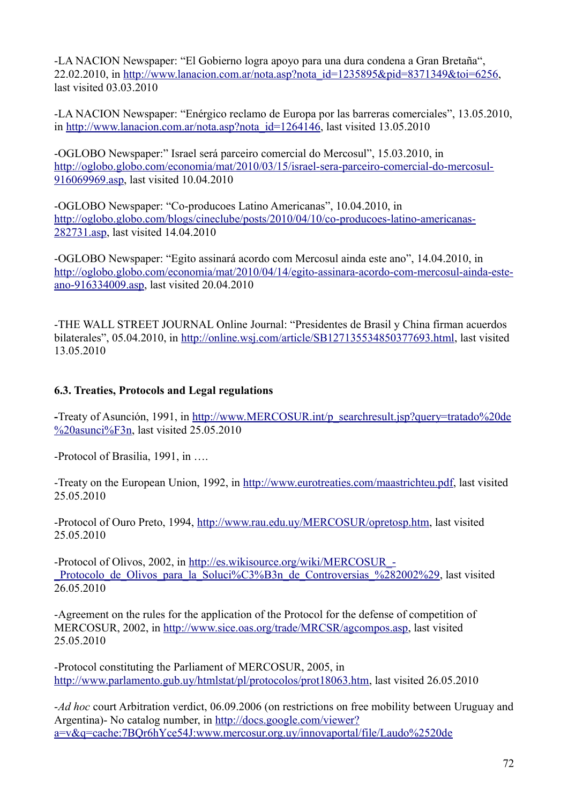-LA NACION Newspaper: "El Gobierno logra apoyo para una dura condena a Gran Bretaña", 22.02.2010, in [http://www.lanacion.com.ar/nota.asp?nota\\_id=1235895&pid=8371349&toi=6256,](http://www.lanacion.com.ar/nota.asp?nota_id=1235895&pid=8371349&toi=6256) last visited 03.03.2010

-LA NACION Newspaper: "Enérgico reclamo de Europa por las barreras comerciales", 13.05.2010, in [http://www.lanacion.com.ar/nota.asp?nota\\_id=1264146,](http://www.lanacion.com.ar/nota.asp?nota_id=1264146) last visited 13.05.2010

-OGLOBO Newspaper:" Israel será parceiro comercial do Mercosul", 15.03.2010, in [http://oglobo.globo.com/economia/mat/2010/03/15/israel-sera-parceiro-comercial-do-mercosul-](http://oglobo.globo.com/economia/mat/2010/03/15/israel-sera-parceiro-comercial-do-mercosul-916069969.asp)[916069969.asp,](http://oglobo.globo.com/economia/mat/2010/03/15/israel-sera-parceiro-comercial-do-mercosul-916069969.asp) last visited 10.04.2010

-OGLOBO Newspaper: "Co-producoes Latino Americanas", 10.04.2010, in [http://oglobo.globo.com/blogs/cineclube/posts/2010/04/10/co-producoes-latino-americanas-](http://oglobo.globo.com/blogs/cineclube/posts/2010/04/10/co-producoes-latino-americanas-282731.asp)[282731.asp,](http://oglobo.globo.com/blogs/cineclube/posts/2010/04/10/co-producoes-latino-americanas-282731.asp) last visited 14.04.2010

-OGLOBO Newspaper: "Egito assinará acordo com Mercosul ainda este ano", 14.04.2010, in [http://oglobo.globo.com/economia/mat/2010/04/14/egito-assinara-acordo-com-mercosul-ainda-este](http://oglobo.globo.com/economia/mat/2010/04/14/egito-assinara-acordo-com-mercosul-ainda-este-ano-916334009.asp)[ano-916334009.asp,](http://oglobo.globo.com/economia/mat/2010/04/14/egito-assinara-acordo-com-mercosul-ainda-este-ano-916334009.asp) last visited 20.04.2010

-THE WALL STREET JOURNAL Online Journal: "Presidentes de Brasil y China firman acuerdos bilaterales", 05.04.2010, in [http://online.wsj.com/article/SB127135534850377693.html,](http://online.wsj.com/article/SB127135534850377693.html) last visited 13.05.2010

## **6.3. Treaties, Protocols and Legal regulations**

**-**Treaty of Asunción, 1991, in [http://www.MERCOSUR.int/p\\_searchresult.jsp?query=tratado%20de](http://www.mercosur.int/p_searchresult.jsp?query=tratado%20de%20asunci%F3n)  $\frac{\%20$ asunci $\frac{\%F3n}{s}$ , last visited 25.05.2010

-Protocol of Brasilia, 1991, in ….

-Treaty on the European Union, 1992, in [http://www.eurotreaties.com/maastrichteu.pdf,](http://www.eurotreaties.com/maastrichteu.pdf) last visited 25.05.2010

-Protocol of Ouro Preto, 1994, [http://www.rau.edu.uy/MERCOSUR/opretosp.htm,](http://www.rau.edu.uy/mercosur/opretosp.htm) last visited 25.05.2010

-Protocol of Olivos, 2002, in [http://es.wikisource.org/wiki/MERCOSUR\\_-](http://es.wikisource.org/wiki/Mercosur_-_Protocolo_de_Olivos_para_la_Soluci%C3%B3n_de_Controversias_(2002)) Protocolo de Olivos para la Soluci%C3%B3n de Controversias %282002%29, last visited 26.05.2010

-Agreement on the rules for the application of the Protocol for the defense of competition of MERCOSUR, 2002, in [http://www.sice.oas.org/trade/MRCSR/agcompos.asp,](http://www.sice.oas.org/trade/MRCSR/agcompos.asp) last visited 25.05.2010

-Protocol constituting the Parliament of MERCOSUR, 2005, in [http://www.parlamento.gub.uy/htmlstat/pl/protocolos/prot18063.htm,](http://www.parlamento.gub.uy/htmlstat/pl/protocolos/prot18063.htm) last visited 26.05.2010

-*Ad hoc* court Arbitration verdict, 06.09.2006 (on restrictions on free mobility between Uruguay and Argentina)- No catalog number, in [http://docs.google.com/viewer?](http://docs.google.com/viewer?a=v&q=cache:7BQr6hYce54J:www.mercosur.org.uy/innovaportal/file/Laudo%2520de%2520Cortes%2520de%2520Ruta%2520-%2520ES.pdf%3Fcontentid%3D440%26version%3D1%26filename%3DLaudo%2520de%2520Cortes%2520de%2520Ruta%2520-%2520ES.pdf+laudo+cortes+de+ruta+2006+gamio&hl=es&pid=bl&srcid=ADGEESgo1QeD-AWBIARkaIRmlxhcVI7G6FGvdpviD4AA_LIN072U2kKK10zcvztUOn2ZYl3Ved4H1jQdrt2pN5cv0CKPtBiOhPrKItjXAmCCTVovMQ1JlfZfjsuFk8HPrNkmqKDGz9mB&sig=AHIEtbQ4VqLhW6efNVvO7j8wTsMC-2RyEA) [a=v&q=cache:7BQr6hYce54J:www.mercosur.org.uy/innovaportal/file/Laudo%2520de](http://docs.google.com/viewer?a=v&q=cache:7BQr6hYce54J:www.mercosur.org.uy/innovaportal/file/Laudo%2520de%2520Cortes%2520de%2520Ruta%2520-%2520ES.pdf%3Fcontentid%3D440%26version%3D1%26filename%3DLaudo%2520de%2520Cortes%2520de%2520Ruta%2520-%2520ES.pdf+laudo+cortes+de+ruta+2006+gamio&hl=es&pid=bl&srcid=ADGEESgo1QeD-AWBIARkaIRmlxhcVI7G6FGvdpviD4AA_LIN072U2kKK10zcvztUOn2ZYl3Ved4H1jQdrt2pN5cv0CKPtBiOhPrKItjXAmCCTVovMQ1JlfZfjsuFk8HPrNkmqKDGz9mB&sig=AHIEtbQ4VqLhW6efNVvO7j8wTsMC-2RyEA)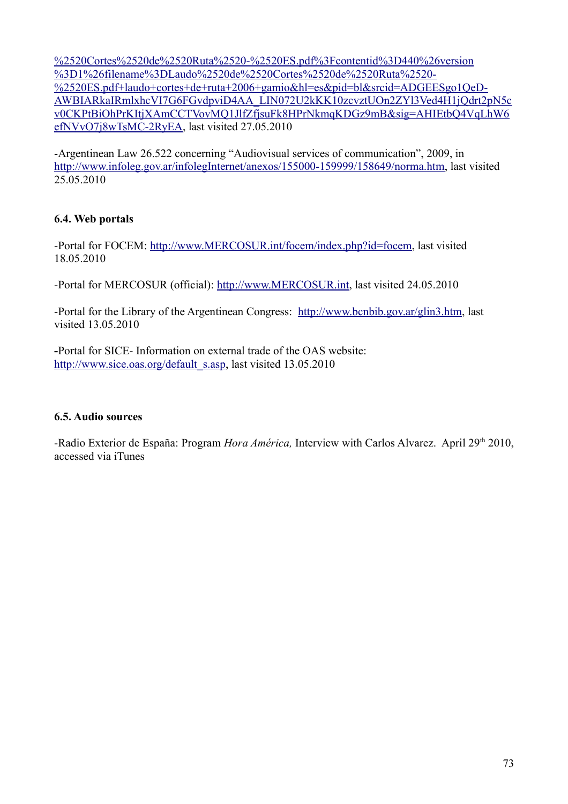%2520Cortes%2520de%2520Ruta%2520-%2520ES.pdf%3Fcontentid%3D440%26version %3D1%26filename%3DLaudo%2520de%2520Cortes%2520de%2520Ruta%2520- %2520ES.pdf+laudo+cortes+de+ruta+2006+gamio&hl=es&pid=bl&srcid=ADGEESgo1QeD-[AWBIARkaIRmlxhcVI7G6FGvdpviD4AA\\_LIN072U2kKK10zcvztUOn2ZYl3Ved4H1jQdrt2pN5c](http://docs.google.com/viewer?a=v&q=cache:7BQr6hYce54J:www.mercosur.org.uy/innovaportal/file/Laudo%2520de%2520Cortes%2520de%2520Ruta%2520-%2520ES.pdf%3Fcontentid%3D440%26version%3D1%26filename%3DLaudo%2520de%2520Cortes%2520de%2520Ruta%2520-%2520ES.pdf+laudo+cortes+de+ruta+2006+gamio&hl=es&pid=bl&srcid=ADGEESgo1QeD-AWBIARkaIRmlxhcVI7G6FGvdpviD4AA_LIN072U2kKK10zcvztUOn2ZYl3Ved4H1jQdrt2pN5cv0CKPtBiOhPrKItjXAmCCTVovMQ1JlfZfjsuFk8HPrNkmqKDGz9mB&sig=AHIEtbQ4VqLhW6efNVvO7j8wTsMC-2RyEA) v0CKPtBiOhPrKItjXAmCCTVovMQ1JlfZfjsuFk8HPrNkmqKDGz9mB&sig=AHIEtbQ4VqLhW6 [efNVvO7j8wTsMC-2RyEA,](http://docs.google.com/viewer?a=v&q=cache:7BQr6hYce54J:www.mercosur.org.uy/innovaportal/file/Laudo%2520de%2520Cortes%2520de%2520Ruta%2520-%2520ES.pdf%3Fcontentid%3D440%26version%3D1%26filename%3DLaudo%2520de%2520Cortes%2520de%2520Ruta%2520-%2520ES.pdf+laudo+cortes+de+ruta+2006+gamio&hl=es&pid=bl&srcid=ADGEESgo1QeD-AWBIARkaIRmlxhcVI7G6FGvdpviD4AA_LIN072U2kKK10zcvztUOn2ZYl3Ved4H1jQdrt2pN5cv0CKPtBiOhPrKItjXAmCCTVovMQ1JlfZfjsuFk8HPrNkmqKDGz9mB&sig=AHIEtbQ4VqLhW6efNVvO7j8wTsMC-2RyEA) last visited 27.05.2010

-Argentinean Law 26.522 concerning "Audiovisual services of communication", 2009, in [http://www.infoleg.gov.ar/infolegInternet/anexos/155000-159999/158649/norma.htm,](http://www.infoleg.gov.ar/infolegInternet/anexos/155000-159999/158649/norma.htm) last visited 25.05.2010

## **6.4. Web portals**

-Portal for FOCEM: [http://www.MERCOSUR.int/focem/index.php?id=focem,](http://www.mercosur.int/focem/index.php?id=focem) last visited 18.05.2010

-Portal for MERCOSUR (official): [http://www.MERCOSUR.int,](http://www.mercosur.int/) last visited 24.05.2010

-Portal for the Library of the Argentinean Congress: [http://www.bcnbib.gov.ar/glin3.htm,](http://www.bcnbib.gov.ar/glin3.htm) last visited 13.05.2010

**-**Portal for SICE- Information on external trade of the OAS website: [http://www.sice.oas.org/default\\_s.asp,](http://www.sice.oas.org/default_s.asp) last visited 13.05.2010

## **6.5. Audio sources**

-Radio Exterior de España: Program *Hora América*, Interview with Carlos Alvarez. April 29<sup>th</sup> 2010, accessed via iTunes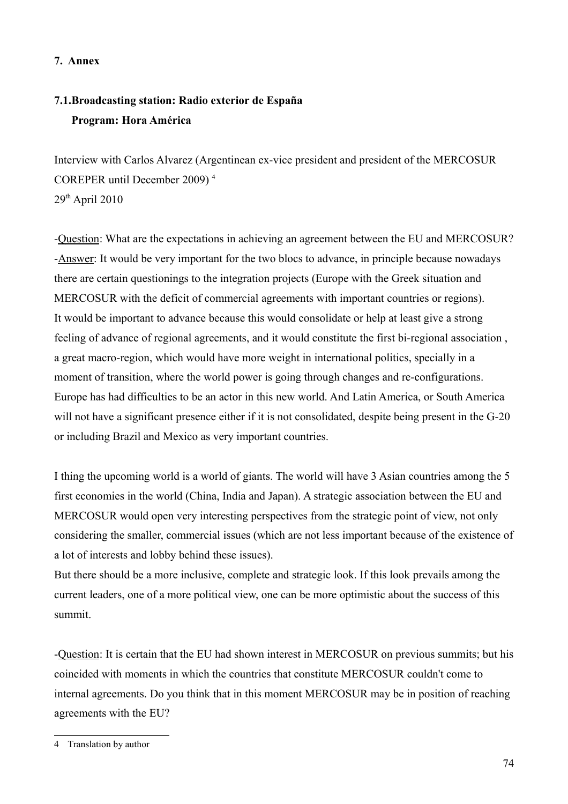## **7. Annex**

## **7.1.Broadcasting station: Radio exterior de España Program: Hora América**

Interview with Carlos Alvarez (Argentinean ex-vice president and president of the MERCOSUR COREPER until December 2009) [4](#page-73-0)  $29<sup>th</sup>$  April 2010

-Question: What are the expectations in achieving an agreement between the EU and MERCOSUR? -Answer: It would be very important for the two blocs to advance, in principle because nowadays there are certain questionings to the integration projects (Europe with the Greek situation and MERCOSUR with the deficit of commercial agreements with important countries or regions). It would be important to advance because this would consolidate or help at least give a strong feeling of advance of regional agreements, and it would constitute the first bi-regional association , a great macro-region, which would have more weight in international politics, specially in a moment of transition, where the world power is going through changes and re-configurations. Europe has had difficulties to be an actor in this new world. And Latin America, or South America will not have a significant presence either if it is not consolidated, despite being present in the G-20 or including Brazil and Mexico as very important countries.

I thing the upcoming world is a world of giants. The world will have 3 Asian countries among the 5 first economies in the world (China, India and Japan). A strategic association between the EU and MERCOSUR would open very interesting perspectives from the strategic point of view, not only considering the smaller, commercial issues (which are not less important because of the existence of a lot of interests and lobby behind these issues).

But there should be a more inclusive, complete and strategic look. If this look prevails among the current leaders, one of a more political view, one can be more optimistic about the success of this summit.

-Question: It is certain that the EU had shown interest in MERCOSUR on previous summits; but his coincided with moments in which the countries that constitute MERCOSUR couldn't come to internal agreements. Do you think that in this moment MERCOSUR may be in position of reaching agreements with the EU?

<span id="page-73-0"></span><sup>4</sup> Translation by author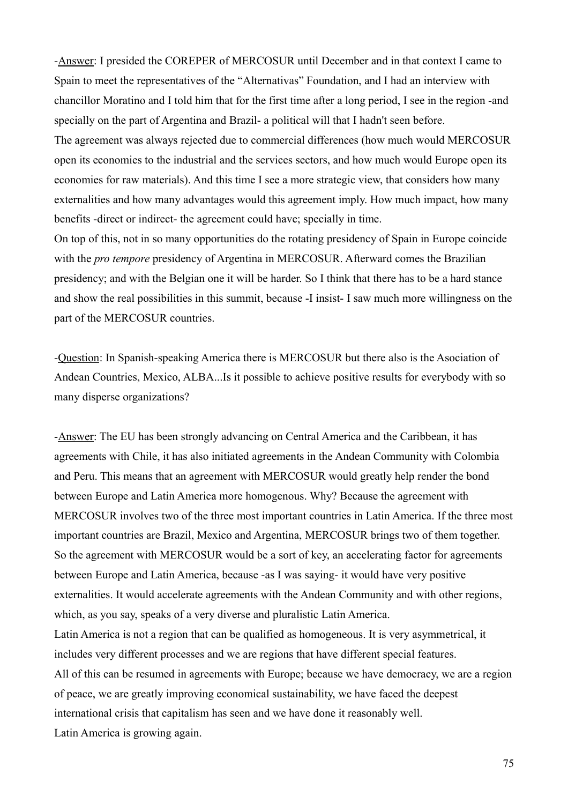-Answer: I presided the COREPER of MERCOSUR until December and in that context I came to Spain to meet the representatives of the "Alternativas" Foundation, and I had an interview with chancillor Moratino and I told him that for the first time after a long period, I see in the region -and specially on the part of Argentina and Brazil- a political will that I hadn't seen before.

The agreement was always rejected due to commercial differences (how much would MERCOSUR open its economies to the industrial and the services sectors, and how much would Europe open its economies for raw materials). And this time I see a more strategic view, that considers how many externalities and how many advantages would this agreement imply. How much impact, how many benefits -direct or indirect- the agreement could have; specially in time.

On top of this, not in so many opportunities do the rotating presidency of Spain in Europe coincide with the *pro tempore* presidency of Argentina in MERCOSUR. Afterward comes the Brazilian presidency; and with the Belgian one it will be harder. So I think that there has to be a hard stance and show the real possibilities in this summit, because -I insist- I saw much more willingness on the part of the MERCOSUR countries.

-Question: In Spanish-speaking America there is MERCOSUR but there also is the Asociation of Andean Countries, Mexico, ALBA...Is it possible to achieve positive results for everybody with so many disperse organizations?

-Answer: The EU has been strongly advancing on Central America and the Caribbean, it has agreements with Chile, it has also initiated agreements in the Andean Community with Colombia and Peru. This means that an agreement with MERCOSUR would greatly help render the bond between Europe and Latin America more homogenous. Why? Because the agreement with MERCOSUR involves two of the three most important countries in Latin America. If the three most important countries are Brazil, Mexico and Argentina, MERCOSUR brings two of them together. So the agreement with MERCOSUR would be a sort of key, an accelerating factor for agreements between Europe and Latin America, because -as I was saying- it would have very positive externalities. It would accelerate agreements with the Andean Community and with other regions, which, as you say, speaks of a very diverse and pluralistic Latin America. Latin America is not a region that can be qualified as homogeneous. It is very asymmetrical, it includes very different processes and we are regions that have different special features. All of this can be resumed in agreements with Europe; because we have democracy, we are a region of peace, we are greatly improving economical sustainability, we have faced the deepest international crisis that capitalism has seen and we have done it reasonably well. Latin America is growing again.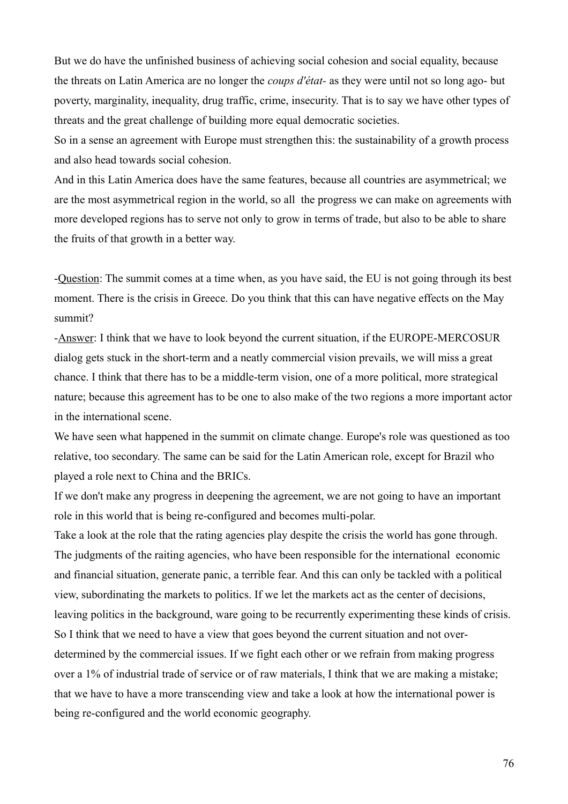But we do have the unfinished business of achieving social cohesion and social equality, because the threats on Latin America are no longer the *coups d'état-* as they were until not so long ago- but poverty, marginality, inequality, drug traffic, crime, insecurity. That is to say we have other types of threats and the great challenge of building more equal democratic societies.

So in a sense an agreement with Europe must strengthen this: the sustainability of a growth process and also head towards social cohesion.

And in this Latin America does have the same features, because all countries are asymmetrical; we are the most asymmetrical region in the world, so all the progress we can make on agreements with more developed regions has to serve not only to grow in terms of trade, but also to be able to share the fruits of that growth in a better way.

-Question: The summit comes at a time when, as you have said, the EU is not going through its best moment. There is the crisis in Greece. Do you think that this can have negative effects on the May summit?

-Answer: I think that we have to look beyond the current situation, if the EUROPE-MERCOSUR dialog gets stuck in the short-term and a neatly commercial vision prevails, we will miss a great chance. I think that there has to be a middle-term vision, one of a more political, more strategical nature; because this agreement has to be one to also make of the two regions a more important actor in the international scene.

We have seen what happened in the summit on climate change. Europe's role was questioned as too relative, too secondary. The same can be said for the Latin American role, except for Brazil who played a role next to China and the BRICs.

If we don't make any progress in deepening the agreement, we are not going to have an important role in this world that is being re-configured and becomes multi-polar.

Take a look at the role that the rating agencies play despite the crisis the world has gone through. The judgments of the raiting agencies, who have been responsible for the international economic and financial situation, generate panic, a terrible fear. And this can only be tackled with a political view, subordinating the markets to politics. If we let the markets act as the center of decisions, leaving politics in the background, ware going to be recurrently experimenting these kinds of crisis. So I think that we need to have a view that goes beyond the current situation and not overdetermined by the commercial issues. If we fight each other or we refrain from making progress over a 1% of industrial trade of service or of raw materials, I think that we are making a mistake; that we have to have a more transcending view and take a look at how the international power is being re-configured and the world economic geography.